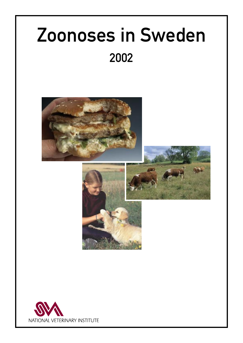# Zoonoses in Sweden 2002







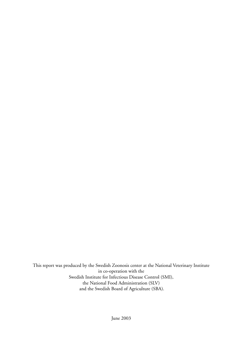This report was produced by the Swedish Zoonosis center at the National Veterinary Institute in co-operation with the Swedish Institute for Infectious Disease Control (SMI), the National Food Administration (SLV) and the Swedish Board of Agriculture (SBA).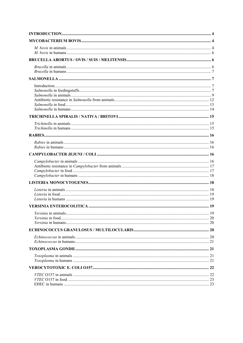| 19 |
|----|
|    |
|    |
|    |
|    |
|    |
|    |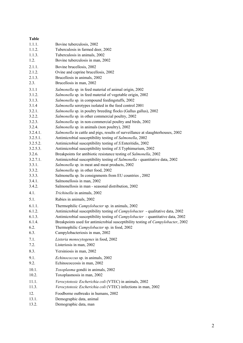| <b>Table</b> |                                                                                       |
|--------------|---------------------------------------------------------------------------------------|
| 1.1.1.       | Bovine tuberculosis, 2002                                                             |
| 1.1.2.       | Tuberculosis in farmed deer, 2002                                                     |
| 1.1.3.       | Tuberculosis in animals, 2002                                                         |
| 1.2.         | Bovine tuberculosis in man, 2002                                                      |
| 2.1.1.       | Bovine brucellosis, 2002                                                              |
| 2.1.2.       | Ovine and caprine brucellosis, 2002                                                   |
| 2.1.3.       | Brucellosis in animals, 2002                                                          |
| 2.3.         | Brucellosis in man, 2002                                                              |
| 3.1.1        | Salmonella sp. in feed material of animal origin, 2002                                |
| 3.1.2.       | Salmonella sp. in feed material of vegetable origin, 2002                             |
| 3.1.3.       | Salmonella sp. in compound feedingstuffs, 2002                                        |
| 3.1.4        | Salmonella serotypes isolated in the feed control 2001                                |
| 3.2.1.       | Salmonella sp. in poultry breeding flocks (Gallus gallus), 2002                       |
| 3.2.2.       | Salmonella sp. in other commercial poultry, 2002                                      |
| 3.2.3.       | Salmonella sp. in non-commercial poultry and birds, 2002                              |
| 3.2.4.       | Salmonella sp. in animals (non poultry), 2002                                         |
| 3.2.4.1.     | Salmonella in cattle and pigs, results of surveillance at slaughterhouses, 2002       |
| 3.2.5.1.     | Antimicrobial susceptibility testing of Salmonella, 2002                              |
| 3.2.5.2.     | Antimicrobial susceptibility testing of S. Enteritidis, 2002                          |
| 3.2.5.3.     | Antimicrobial susceptibility testing of S.Typhimurium, 2002                           |
| 3.2.6.       | Breakpoints for antibiotic resistance testing of Salmonella, 2002                     |
| 3.2.7.1.     | Antimicrobial susceptibility testing of Salmonella - quantitative data, 2002          |
| 3.3.1.       | Salmonella sp. in meat and meat products, 2002                                        |
| 3.3.2.       | Salmonella sp. in other food, 2002                                                    |
| 3.3.3.       | Salmonella sp. In consignments from EU countries, 2002                                |
| 3.4.1.       | Salmonellosis in man, 2002                                                            |
| 3.4.2.       | Salmonellosis in man - seasonal distribution, 2002                                    |
| 4.1.         | Trichinella in animals, 2002                                                          |
| 5.1.         | Rabies in animals, 2002                                                               |
| 6.1.1.       | Thermophilic Campylobacter sp. in animals, 2002                                       |
| 6.1.2.       | Antimicrobial susceptibility testing of <i>Campylobacter</i> - qualitative data, 2002 |
| 6.1.3.       | Antimicrobial susceptibility testing of Campylobacter - quantitative data, 2002       |
| 6.1.4.       | Breakpoints used for antimicrobial susceptibility testing of Campylobacter, 2002      |
| 6.2.         | Thermophilic Campylobacter sp. in food, 2002                                          |
| 6.3.         | Campylobacteriosis in man, 2002                                                       |
| 7.1.         | Listeria monocytogenes in food, 2002                                                  |
| 7.2.         | Listeriosis in man, 2002                                                              |
| 8.3.         | Yersiniosis in man, 2002                                                              |
| 9.1.         | <i>Echinococcus</i> sp. in animals, 2002                                              |
| 9.2.         | Echinococcosis in man, 2002                                                           |
| 10.1.        | Toxoplasma gondii in animals, 2002                                                    |
| 10.2.        | Toxoplasmosis in man, 2002                                                            |
| 11.1.        | Verocytotoxic Escherichia coli (VTEC) in animals, 2002                                |
| 11.3.        | Verocytotoxic Escherichia coli (VTEC) infections in man, 2002                         |
| 12.          | Foodborne outbreaks in humans, 2002                                                   |
| 13.1.        | Demographic data, animal                                                              |
|              |                                                                                       |

13.2. Demographic data, man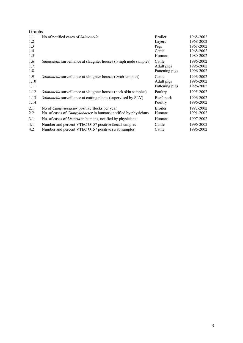| Graphs |                                                                        |                |           |
|--------|------------------------------------------------------------------------|----------------|-----------|
| 1.1    | No of notified cases of Salmonella                                     | <b>Broiler</b> | 1968-2002 |
| 1.2    |                                                                        | Layers         | 1968-2002 |
| 1.3    |                                                                        | Pigs           | 1968-2002 |
| 1.4    |                                                                        | Cattle         | 1968-2002 |
| 1.5    |                                                                        | Humans         | 1980-2002 |
| 1.6    | Salmonella surveillance at slaughter houses (lymph node samples)       | Cattle         | 1996-2002 |
| 1.7    |                                                                        | Adult pigs     | 1996-2002 |
| 1.8    |                                                                        | Fattening pigs | 1996-2002 |
| 1.9    | Salmonella surveillance at slaughter houses (swab samples)             | Cattle         | 1996-2002 |
| 1.10   |                                                                        | Adult pigs     | 1996-2002 |
| 1.11   |                                                                        | Fattening pigs | 1996-2002 |
| 1.12   | Salmonella surveillance at slaughter houses (neck skin samples)        | Poultry        | 1995-2002 |
| 1.13   | Salmonella surveillance at cutting plants (supervised by SLV)          | Beef, pork     | 1996-2002 |
| 1.14   |                                                                        | Poultry        | 1996-2002 |
| 2.1    | No of <i>Campylobacter</i> positive flocks per year                    | <b>Broiler</b> | 1992-2002 |
| 2.2    | No. of cases of <i>Campylobacter</i> in humans, notified by physicians | <b>Humans</b>  | 1991-2002 |
| 3.1    | No. of cases of <i>Listeria</i> in humans, notified by physicians      | Humans         | 1997-2002 |
| 4.1    | Number and percent VTEC O157 positive faecal samples                   | Cattle         | 1996-2002 |
| 4.2    | Number and percent VTEC 0157 positive swab samples                     | Cattle         | 1996-2002 |
|        |                                                                        |                |           |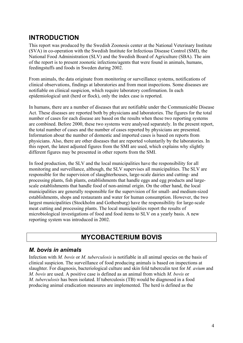### **INTRODUCTION**

This report was produced by the Swedish Zoonosis center at the National Veterinary Institute (SVA) in co-operation with the Swedish Institute for Infectious Disease Control (SMI), the National Food Administration (SLV) and the Swedish Board of Agriculture (SBA). The aim of the report is to present zoonotic infections/agents that were found in animals, humans, feedingstuffs and foods in Sweden during 2002.

From animals, the data originate from monitoring or surveillance systems, notifications of clinical observations, findings at laboratories and from meat inspections. Some diseases are notifiable on clinical suspicion, which require laboratory confirmation. In each epidemiological unit (herd or flock), only the index case is reported.

In humans, there are a number of diseases that are notifiable under the Communicable Disease Act. These diseases are reported both by physicians and laboratories. The figures for the total number of cases for each disease are based on the results when these two reporting systems are combined. Before 2000, these two systems were analysed separately. In the present report, the total number of cases and the number of cases reported by physicians are presented. Information about the number of domestic and imported cases is based on reports from physicians. Also, there are other diseases that are reported voluntarily by the laboratories. In this report, the latest adjusted figures from the SMI are used, which explains why slightly different figures may be presented in other reports from the SMI.

In food production, the SLV and the local municipalities have the responsibility for all monitoring and surveillance, although, the SLV supervises all municipalities. The SLV are responsible for the supervision of slaughterhouses, large-scale dairies and cutting- and processing plants, fish plants, establishments that handle eggs and egg products and largescale establishments that handle food of non-animal origin. On the other hand, the local municipalities are generally responsible for the supervision of for small- and medium-sized establishments, shops and restaurants and water for human consumption. However, the two largest municipalities (Stockholm and Gothenburg) have the responsibility for large-scale meat cutting and processing plants. The local municipalities report the results of microbiological investigations of food and food items to SLV on a yearly basis. A new reporting system was introduced in 2002.

### **MYCOBACTERIUM BOVIS**

### *M. bovis in animals*

Infection with *M. bovis* or *M. tuberculosis* is notifiable in all animal species on the basis of clinical suspicion. The surveillance of food producing animals is based on inspections at slaughter. For diagnosis, bacteriological culture and skin fold tuberculin test for *M. avium* and *M. bovis* are used. A positive case is defined as an animal from which *M. bovis* or *M. tuberculosis* has been isolated. If tuberculosis (TB) would be diagnosed in a food producing animal eradication measures are implemented. The herd is defined as the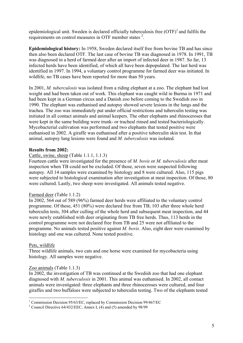epidemiological unit. Sweden is declared officially tuberculosis free  $(OTF)^{1}$  and fulfils the requirements on control measures in OTF member states<sup>2</sup>.

**Epidemiological history:** In 1958, Sweden declared itself free from bovine TB and has since then also been declared OTF. The last case of bovine TB was diagnosed in 1978. In 1991, TB was diagnosed in a herd of farmed deer after an import of infected deer in 1987. So far, 13 infected herds have been identified, of which all have been depopulated. The last herd was identified in 1997. In 1994, a voluntary control programme for farmed deer was initiated. In wildlife, no TB cases have been reported for more than 50 years.

In 2001, *M. tuberculosis* was isolated from a riding elephant at a zoo. The elephant had lost weight and had been taken out of work. This elephant was caught wild in Burma in 1971 and had been kept in a German circus and a Danish zoo before coming to the Swedish zoo in 1990. The elephant was euthanised and autopsy showed severe lesions in the lungs and the trachea. The zoo was immediately put under official restrictions and tuberculin testing was initiated in all contact animals and animal keepers. The other elephants and rhinoceroses that were kept in the same building were trunk- or tracheal rinsed and tested bacteriologically. Mycobacterial cultivation was performed and two elephants that tested positive were euthanised in 2002. A giraffe was euthanised after a positive tuberculin skin test. In that animal, autopsy lung lesions were found and *M. tuberculosis* was isolated.

#### **Results from 2002:**

Cattle, swine, sheep (Table 1.1.1, 1.1.3)

Fourteen cattle were investigated for the presence of *M. bovis* or *M. tuberculosis* after meat inspection when TB could not be excluded. Of those, seven were suspected following autopsy. All 14 samples were examined by histology and 8 were cultured. Also, 115 pigs were subjected to histological examination after investigation at meat inspection. Of those, 80 were cultured. Lastly, two sheep were investigated. All animals tested negative.

#### Farmed deer (Table 1.1.2)

In 2002, 564 out of 589 (96%) farmed deer herds were affiliated to the voluntary control programme. Of these, 451 (80%) were declared free from TB; 103 after three whole herd tuberculin tests, 304 after culling of the whole herd and subsequent meat inspection, and 44 were newly established with deer originating from TB free herds. Thus, 113 herds in the control programme were not declared free from TB and 25 were not affiliated to the programme. No animals tested positive against *M. bovis*. Also, eight deer were examined by histology and one was cultured. None tested positive.

#### Pets, wildlife

Three wildlife animals, two cats and one horse were examined for mycobacteria using histology. All samples were negative.

#### Zoo animals (Table 1.1.3)

In 2002, the investigation of TB was continued at the Swedish zoo that had one elephant diagnosed with *M. tuberculosis* in 2001. This animal was euthanised. In 2002, all contact animals were investigated: three elephants and three rhinoceroses were cultured, and four giraffes and two buffaloes were subjected to tuberculin testing. Two of the elephants tested

<sup>&</sup>lt;sup>1</sup> Commission Decision 95/63/EC, replaced by Commission Decision 99/467/EC<br><sup>2</sup> Council Directive 64/432/EEC, Annoy J. (4) and (5) smanded by 08/00

<sup>&</sup>lt;sup>2</sup> Council Directive 64/432/EEC, Annex I, (4) and (5) amended by 98/99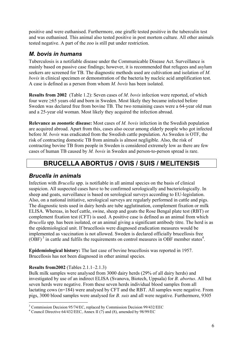positive and were euthanised. Furthermore, one giraffe tested positive in the tuberculin test and was euthanised. This animal also tested positive in post mortem culture. All other animals tested negative. A part of the zoo is still put under restriction.

### *M. bovis in humans*

Tuberculosis is a notifiable disease under the Communicable Disease Act. Surveillance is mainly based on passive case findings; however, it is recommended that refugees and asylum seekers are screened for TB. The diagnostic methods used are cultivation and isolation of *M. bovis* in clinical specimen or demonstration of the bacteria by nucleic acid amplification test. A case is defined as a person from whom *M. bovis* has been isolated.

**Results from 2002** (Table 1.2): Seven cases of *M*. *bovis* infection were reported, of which four were ≥65 years old and born in Sweden. Most likely they became infected before Sweden was declared free from bovine TB. The two remaining cases were a 64-year old man and a 25-year old woman. Most likely they acquired the infection abroad.

**Relevance as zoonotic disease:** Most cases of *M. bovis* infection in the Swedish population are acquired abroad. Apart from this, cases also occur among elderly people who got infected before *M. bovis* was eradicated from the Swedish cattle population. As Sweden is OTF, the risk of contracting domestic TB from animals is almost negligible. Also, the risk of contracting bovine TB from people in Sweden is considered extremely low as there are few cases of human TB caused by *M. bovis* in Sweden and person-to-person spread is rare.

### **BRUCELLA ABORTUS / OVIS / SUIS / MELITENSIS**

### *Brucella in animals*

Infection with *Brucella* spp. is notifiable in all animal species on the basis of clinical suspicion. All suspected cases have to be confirmed serologically and bacteriologically. In sheep and goats, surveillance is based on serological surveys according to EU-legislation. Also, on a national initiative, serological surveys are regularly performed in cattle and pigs. The diagnostic tests used in dairy herds are tube agglutination, complement fixation or milk ELISA. Whereas, in beef cattle, swine, sheep and goats the Rose Bengal plate test (RBT) or complement fixation test (CFT) is used. A positive case is defined as an animal from which *Brucella* spp. has been isolated, or an animal giving a significant antibody titre. The herd is as the epidemiological unit. If brucellosis were diagnosed eradication measures would be implemented as vaccination is not allowed. Sweden is declared officially brucellosis free  $(OBF)^3$  in cattle and fulfils the requirements on control measures in OBF member states<sup>4</sup>.

**Epidemiological history:** The last case of bovine brucellosis was reported in 1957. Brucellosis has not been diagnosed in other animal species.

### **Results from2002** (Tables 2.1.1–2.1.3)

Bulk milk samples were analysed from 3000 dairy herds (29% of all dairy herds) and investigated by use of an indirect ELISA (Svanova, Biotech, Uppsala) for *B. abortus*. All but seven herds were negative. From these seven herds individual blood samples from all lactating cows (n=184) were analysed by CFT and the RBT. All samples were negative. From pigs, 3000 blood samples were analysed for *B. suis* and all were negative. Furthermore, 9305

<sup>1</sup> <sup>3</sup> Commission Decision 95/74/EC, replaced by Commission Decision 99/432/EEC  $\frac{4}{5}$  Council Directive 64/432/EEC Annoy II (7) and (8) among the 08/00/EC

Council Directive 64/432/EEC, Annex II (7) and (8), amended by 98/99/EC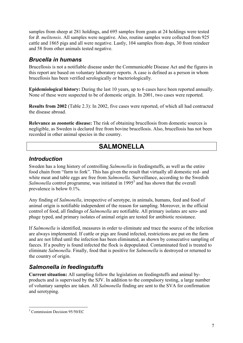samples from sheep at 281 holdings, and 695 samples from goats at 24 holdings were tested for *B. melitensis*. All samples were negative. Also, routine samples were collected from 925 cattle and 1865 pigs and all were negative. Lastly, 104 samples from dogs, 30 from reindeer and 58 from other animals tested negative.

### *Brucella in humans*

Brucellosis is not a notifiable disease under the Communicable Disease Act and the figures in this report are based on voluntary laboratory reports. A case is defined as a person in whom brucellosis has been verified serologically or bacteriologically.

**Epidemiological history:** During the last 10 years, up to 6 cases have been reported annually. None of these were suspected to be of domestic origin. In 2001, two cases were reported.

**Results from 2002** (Table 2.3): In 2002, five cases were reported, of which all had contracted the disease abroad.

**Relevance as zoonotic disease:** The risk of obtaining brucellosis from domestic sources is negligible, as Sweden is declared free from bovine brucellosis. Also, brucellosis has not been recorded in other animal species in the country.

### **SALMONELLA**

### *Introduction*

Sweden has a long history of controlling *Salmonella* in feedingstuffs, as well as the entire food chain from "farm to fork". This has given the result that virtually all domestic red- and white meat and table eggs are free from *Salmonella*. Surveillance, according to the Swedish Salmonella control programme, was initiated in 1995<sup>5</sup> and has shown that the overall prevalence is below 0.1%.

Any finding of *Salmonella*, irrespective of serotype, in animals, humans, feed and food of animal origin is notifiable independent of the reason for sampling. Moreover, in the official control of food, all findings of *Salmonella* are notifiable. All primary isolates are sero- and phage typed, and primary isolates of animal origin are tested for antibiotic resistance.

If *Salmonella* is identified, measures in order to eliminate and trace the source of the infection are always implemented. If cattle or pigs are found infected, restrictions are put on the farm and are not lifted until the infection has been eliminated, as shown by consecutive sampling of faeces. If a poultry is found infected the flock is depopulated. Contaminated feed is treated to eliminate *Salmonella*. Finally, food that is positive for *Salmonella* is destroyed or returned to the country of origin.

### *Salmonella in feedingstuffs*

**Current situation:** All sampling follow the legislation on feedingstuffs and animal byproducts and is supervised by the SJV. In addition to the compulsory testing, a large number of voluntary samples are taken. All *Salmonella* finding are sent to the SVA for confirmation and serotyping.

<sup>1</sup> 5 Commission Decision 95/50/EC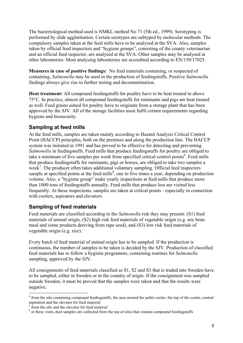The bacteriological method used is NMKL method No 71 (5th ed., 1999). Serotyping is performed by slide agglutination. Certain serotypes are subtyped by molecular methods. The compulsory samples taken at the feed mills have to be analysed at the SVA. Also, samples taken by official feed inspectors and "hygiene groups", consisting of the county veterinarian and an official feed inspector, are analysed at the SVA. Other samples may be analysed at other laboratories. Most analysing laboratories are accredited according to EN/150/17025.

**Measures in case of positive findings:** No feed materials containing, or suspected of containing, *Salmonella* may be used in the production of feedingstuffs. Positive *Salmonella* findings always give rise to further testing and decontamination.

**Heat treatment:** All compound feedingstuffs for poultry have to be heat treated to above 75°C. In practice, almost all compound feedingstuffs for ruminants and pigs are heat treated as well. Feed grains aimed for poultry have to originate from a storage plant that has been approved by the SJV. All of the storage facilities must fulfil certain requirements regarding hygiene and biosecurity.

### **Sampling at feed mills**

At the feed mills, samples are taken mainly according to Hazard Analysis Critical Control Point (HACCP) principles, both on the premises and along the production line. The HACCP system was initiated in 1991 and has proved to be effective for detecting and preventing *Salmonella* in feedingstuffs. Feed mills that produce feedingstuffs for poultry are obliged to take a minimum of five samples per week from specified critical control points<sup>6</sup>. Feed mills that produce feedingstuffs for ruminants, pigs or horses, are obliged to take two samples a week<sup>7</sup>. The producer often takes additional voluntary sampling. Official feed inspectors sample at specified points at the feed mills<sup>8</sup>, one to five times a year, depending on production volume. Also, a "hygiene group" make yearly inspections at feed mills that produce more than 1000 tons of feedingstuffs annually. Feed mills that produce less are visited less frequently. At these inspections, samples are taken at critical points - especially in connection with coolers, aspirators and elevators.

### **Sampling of feed materials**

Feed materials are classified according to the *Salmonella* risk they may present: (S1) feed materials of animal origin, (S2) high risk feed materials of vegetable origin (e.g. soy bean meal and some products deriving from rape seed), and (S3) low risk feed materials of vegetable origin (e.g. rice).

Every batch of feed material of animal origin has to be sampled. If the production is continuous, the number of samples to be taken is decided by the SJV. Production of classified feed materials has to follow a hygiene programme, containing routines for *Salmonella* sampling, approved by the SJV.

All consignments of feed materials classified as S1, S2 and S3 that is traded into Sweden have to be sampled, either in Sweden or in the country of origin. If the consignment was sampled outside Sweden, it must be proved that the samples were taken and that the results were negative.

<sup>1</sup>  $6$  from the silo containing compound feedingstuffs, the area around the pellet cooler, the top of the cooler, central aspiration and the elevator for feed material

<sup>7</sup> from the silo and the elevator for feed material

 $8$  at these visits, dust samples are collected from the top of silos that contain compound feedingstuffs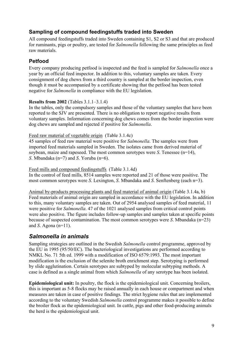### **Sampling of compound feedingstuffs traded into Sweden**

All compound feedingstuffs traded into Sweden containing S1, S2 or S3 and that are produced for ruminants, pigs or poultry, are tested for *Salmonella* following the same principles as feed raw materials.

### **Petfood**

Every company producing petfood is inspected and the feed is sampled for *Salmonella* once a year by an official feed inspector. In addition to this, voluntary samples are taken. Every consignment of dog chews from a third country is sampled at the border inspection, even though it must be accompanied by a certificate showing that the petfood has been tested negative for *Salmonella* in compliance with the EU legislation.

### **Results from 2002** (Tables 3.1.1–3.1.4)

In the tables, only the compulsory samples and those of the voluntary samples that have been reported to the SJV are presented. There is no obligation to report negative results from voluntary samples. Information concerning dog chews comes from the border inspection were dog chews are sampled and rejected if positive for *Salmonella*.

### Feed raw material of vegetable origin (Table 3.1.4c)

45 samples of feed raw material were positive for *Salmonella*. The samples were from imported feed materials sampled in Sweden. The isolates came from derived material of soybean, maize and rapeseed. The most common serotypes were *S*. Tenessee (n=14), *S*. Mbandaka (n=7) and *S*. Yoruba (n=6).

Feed mills and compound feedingstuffs (Table 3.1.4d) In the control of feed mills, 8514 samples were reported and 21 of those were positive. The most common serotypes were *S*. Lexington, *S*. Mbandaka and *S*. Senftenberg (each n=3).

Animal by-products processing plants and feed material of animal origin (Table 3.1.4a, b) Feed materials of animal origin are sampled in accordance with the EU legislation. In addition to this, many voluntary samples are taken. Out of 2954 analysed samples of feed material, 11 were positive for *Salmonella*. 47 of the 1021 analysed samples from critical control points were also positive. The figure includes follow-up samples and samples taken at specific points because of suspected contamination. The most common serotypes were *S*. Mbandaka (n=23) and *S*. Agona (n=11).

### *Salmonella in animals*

Sampling strategies are outlined in the Swedish *Salmonella* control programme, approved by the EU in 1995 (95/50/EC). The bacteriological investigations are performed according to NMKL No. 71 5th ed. 1999 with a modification of ISO 6579:1993. The most important modification is the exclusion of the selenite broth enrichment step. Serotyping is performed by slide agglutination. Certain serotypes are subtyped by molecular subtyping methods. A case is defined as a single animal from which *Salmonella* of any serotype has been isolated.

**Epidemiological unit:** In poultry, the flock is the epidemiological unit. Concerning broilers, this is important as 5-8 flocks may be raised annually in each house or compartment and when measures are taken in case of positive findings. The strict hygiene rules that are implemented according to the voluntary Swedish *Salmonella* control programme makes it possible to define the broiler flock as the epidemiological unit. In cattle, pigs and other food-producing animals the herd is the epidemiological unit.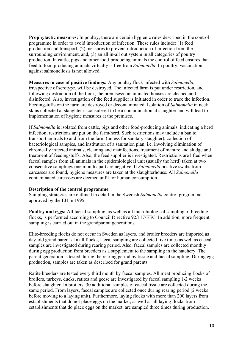**Prophylactic measures:** In poultry, there are certain hygienic rules described in the control programme in order to avoid introduction of infection. These rules include: (1) feed production and transport, (2) measures to prevent introduction of infection from the surrounding environment, and, (3) an all in-all out system in all categories of poultry production. In cattle, pigs and other food-producing animals the control of feed ensures that feed to food producing animals virtually is free from *Salmonella*. In poultry, vaccination against salmonellosis is not allowed.

**Measures in case of positive findings:** Any poultry flock infected with *Salmonella*, irrespective of serotype, will be destroyed. The infected farm is put under restriction, and following destruction of the flock, the premises/contaminated houses are cleaned and disinfected. Also, investigation of the feed supplier is initiated in order to trace the infection. Feedingstuffs on the farm are destroyed or decontaminated. Isolation of *Salmonella* in neck skins collected at slaughter is considered to be a contamination at slaughter and will lead to implementation of hygiene measures at the premises.

If *Salmonella* is isolated from cattle, pigs and other food-producing animals, indicating a herd infection, restrictions are put on the farm/herd. Such restrictions may include a ban to transport animals to and from the farm (unless for sanitary slaughter), collection of bacteriological samples, and institution of a sanitation plan, i.e. involving elimination of chronically infected animals, cleaning and disinfections, treatment of manure and sludge and treatment of feedingstuffs. Also, the feed supplier is investigated. Restrictions are lifted when faecal samples from all animals in the epidemiological unit (usually the herd) taken at two consecutive samplings one month apart are negative. If *Salmonella* positive swabs from carcasses are found, hygiene measures are taken at the slaughterhouse. All *Salmonella* contaminated carcasses are deemed unfit for human consumption.

#### **Description of the control programme**

Sampling strategies are outlined in detail in the Swedish *Salmonella* control programme, approved by the EU in 1995.

**Poultry and eggs:** All faecal sampling, as well as all microbiological sampling of breeding flocks, is performed according to Council Directive 92/117/EEC. In addition, more frequent sampling is carried out in the grandparent generations.

Elite-breeding flocks do not occur in Sweden as layers, and broiler breeders are imported as day-old grand parents. In all flocks, faecal sampling are collected five times as well as caecal samples are investigated during rearing period. Also, faecal samples are collected monthly during egg production from breeders as a supplement to the sampling in the hatchery. The parent generation is tested during the rearing period by tissue and faecal sampling. During egg production, samples are taken as described for grand parents.

Ratite breeders are tested every third month by faecal samples. All meat producing flocks of broilers, turkeys, ducks, ratites and geese are investigated by faecal sampling 1-2 weeks before slaughter. In broilers, 30 additional samples of caecal tissue are collected during the same period. From layers, faecal samples are collected once during rearing period (2 weeks before moving to a laying unit). Furthermore, laying flocks with more than 200 layers from establishments that do not place eggs on the market, as well as all laying flocks from establishments that do place eggs on the market, are sampled three times during production.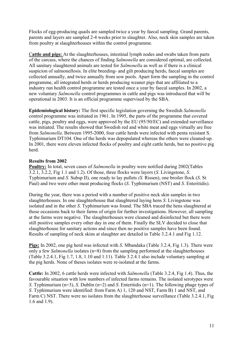Flocks of egg-producing quails are sampled twice a year by faecal sampling. Grand parents, parents and layers are sampled 2-4 weeks prior to slaughter. Also, neck skin samples are taken from poultry at slaughterhouses within the control programme.

C**attle and pigs:** At the slaughterhouses, intestinal lymph nodes and swabs taken from parts of the carcass, where the chances of finding *Salmonella* are considered optimal, are collected. All sanitary slaughtered animals are tested for *Salmonella* as well as if there is a clinical suspicion of salmonellosis. In elite breeding- and gilt producing herds, faecal samples are collected annually, and twice annually from sow pools. Apart form the sampling in the control programme, all integrated herds or herds producing weaner pigs that are affiliated to a industry run health control programme are tested once a year by faecal samples. In 2002, a new voluntary *Salmonella* control programmes in cattle and pigs was introduced that will be operational in 2003. It is an official programme supervised by the SBA.

**Epidemiological history:** The first specific legislation governing the Swedish *Salmonella* control programme was initiated in 1961. In 1995, the parts of the programme that covered cattle, pigs, poultry and eggs, were approved by the EU (95/50/EC) and extended surveillance was initiated. The results showed that Swedish red and white meat and eggs virtually are free from *Salmonella*. Between 1995-2000, four cattle herds were infected with penta resistant S. Typhimurium DT104. One of the herds was depopulated whereas the others were cleaned-up. In 2001, there were eleven infected flocks of poultry and eight cattle herds, but no positive pig herd.

#### **Results from 2002**

**Poultry:** In total, seven cases of *Salmonella* in poultry were notified during 2002(Tables 3.2.1, 3.2.2, Fig 1.1 and 1.2). Of those, three flocks were layers (*S*. Livingstone, *S*. Typhimurium and *S*. Subsp II), one ready to lay pullets *(S.* Rissen), one broiler flock (*S*. St Paul) and two were other meat producing flocks (*S*. Typhimurium (NST) and *S*. Enteritidis).

During the year, there was a period with a number of positive neck skin samples in two slaughterhouses. In one slaughterhouse that slaughtered laying hens *S*. Livingstone was isolated and in the other *S*. Typhimurium was found. The SBA traced the hens slaughtered at those occasions back to their farms of origin for further investigations. However, all sampling at the farms were negative. The slaughterhouses were cleaned and disinfected but there were still positive samples every other day in one of them. Finally the SLV decided to close that slaughterhouse for sanitary actions and since then no positive samples have been found. Results of sampling of neck skins at slaughter are detailed in Table 3.2.4.1 and Fig 1.12.

**Pigs:** In 2002, one pig herd was infected with *S*. Mbandaka (Table 3.2.4, Fig 1.3). There were only a few *Salmonella* isolates (n=8) from the sampling performed at the slaughterhouses (Table 3.2.4.1, Fig 1.7, 1.8, 1.10 and 1.11). Table 3.2.4.1 also include voluntary sampling at the pig herds. None of theses isolates were re-isolated at the farms.

**Cattle:** In 2002, 6 cattle herds were infected with *Salmonella* (Table 3.2.4, Fig 1.4). Thus, the favourable situation with low numbers of infected farms remains. The isolated serotypes were *S*. Typhimurium (n=3), *S*. Dublin (n=2) and *S*. Enteritidis (n=1). The following phage types of *S*. Typhimurium were identified: from Farm A) 1, 120 and NST, Farm B) 1 and NST, and Farm C) NST. There were no isolates from the slaughterhouse surveillance (Table 3.2.4.1, Fig. 1.6 and 1.9).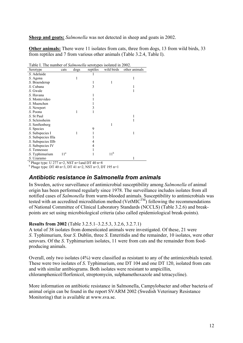**Sheep and goats:** *Salmonella* was not detected in sheep and goats in 2002.

**Other animals:** There were 11 isolates from cats, three from dogs, 13 from wild birds, 33 from reptiles and 7 from various other animals (Table 3.2.4, Table I).

| Lable 1. The number of <i>Salmonetia</i> Scrotypes isolated in 2002. |                 |      |          |                 |               |  |  |
|----------------------------------------------------------------------|-----------------|------|----------|-----------------|---------------|--|--|
| Serotype                                                             | cats            | dogs | reptiles | wild birds      | other animals |  |  |
| S. Adelaide                                                          |                 |      |          |                 |               |  |  |
| S. Agona                                                             |                 | 1    |          |                 | 1             |  |  |
| S. Braenderup                                                        |                 |      |          |                 |               |  |  |
| S. Cubana                                                            |                 |      | 3        |                 | 1             |  |  |
| S. Gwale                                                             |                 |      |          |                 | 1             |  |  |
| S. Havana                                                            |                 |      |          |                 |               |  |  |
| S. Montevideo                                                        |                 |      |          |                 |               |  |  |
| S. Muenchen                                                          |                 |      |          |                 |               |  |  |
| S. Newport                                                           |                 |      | 3        |                 |               |  |  |
| S. Poona                                                             |                 | 1    |          |                 |               |  |  |
| S. St Paul                                                           |                 |      |          |                 | 1             |  |  |
| S. Scleissheim                                                       |                 |      |          |                 | 1             |  |  |
| S. Senftenberg                                                       |                 |      |          | 1               |               |  |  |
| S. Species                                                           |                 |      | 9        |                 |               |  |  |
| <i>S</i> . Subspecies I                                              |                 |      |          |                 | 1             |  |  |
| S. Subspecies IIIa                                                   |                 |      |          |                 |               |  |  |
| S. Subspecies IIIb                                                   |                 |      | 4        |                 |               |  |  |
| S. Subspecies IV                                                     |                 |      | 4        |                 |               |  |  |
| S. Tennessee                                                         |                 |      |          |                 |               |  |  |
| S. Typhimurium                                                       | 11 <sup>a</sup> |      |          | 11 <sup>b</sup> |               |  |  |
| S. Uzaramo                                                           |                 |      |          |                 |               |  |  |
| <sup>a</sup> Phage type: U 277 n=2, NST n=1 and DT 40 n=8            |                 |      |          |                 |               |  |  |

Table I. The number of *Salmonella* serotypes isolated in 2002.

<sup>b</sup> Phage type: DT 40 n=3, DT 41 n=2, NST n=3, DT 195 n=1

### *Antibiotic resistance in Salmonella from animals*

In Sweden, active surveillance of antimicrobial susceptibility among *Salmonella* of animal origin has been performed regularly since 1978. The surveillance includes isolates from all notified cases of *Salmonella* from warm-blooded animals. Susceptibility to antimicrobials was tested with an accredited microdilution method (VetMIC<sup>TM</sup>) following the recommendations of National Committee of Clinical Laboratory Standards (NCCLS) (Table 3.2.6) and breakpoints are set using microbiological criteria (also called epidemiological break-points).

#### **Results from 2002** (Table 3.2.5.1–3.2.5.3, 3.2.6, 3.2.7.1)

A total of 38 isolates from domesticated animals were investigated. Of these, 21 were *S*. Typhimurium, four *S*. Dublin, three *S*. Enteritidis and the remainder, 10 isolates, were other serovars. Of the *S*. Typhimurium isolates, 11 were from cats and the remainder from foodproducing animals.

Overall, only two isolates (4%) were classified as resistant to any of the antimicrobials tested. These were two isolates of *S*. Typhimurium, one DT 104 and one DT 120, isolated from cats and with similar antibiograms. Both isolates were resistant to ampicillin, chloramphenicol/florfenicol, streptomycin, sulphamethoxazole and tetracycline).

More information on antibiotic resistance in Salmonella, Campylobacter and other bacteria of animal origin can be found in the report SVARM 2002 (Swedish Veterinary Resistance Monitoring) that is available at www.sva.se.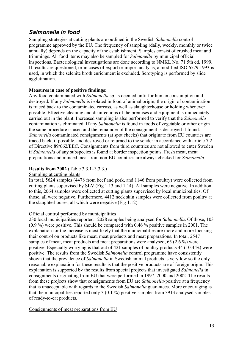### *Salmonella in food*

Sampling strategies at cutting plants are outlined in the Swedish *Salmonella* control programme approved by the EU. The frequency of sampling (daily, weekly, monthly or twice annually) depends on the capacity of the establishment. Samples consist of crushed meat and trimmings. All food items may also be sampled for *Salmonella* by municipal official inspections. Bacteriological investigations are done according to NMKL No. 71 5th ed. 1999. If results are questioned, or in cases of export or import analysis, a modified ISO 6579:1993 is used, in which the selenite broth enrichment is excluded. Serotyping is performed by slide agglutination.

### **Measures in case of positive findings:**

Any food contaminated with *Salmonella* sp. is deemed unfit for human consumption and destroyed. If any *Salmonella* is isolated in food of animal origin, the origin of contamination is traced back to the contaminated carcass, as well as slaughterhouse or holding whenever possible. Effective cleaning and disinfections of the premises and equipment is immediately carried out in the plant. Increased sampling is also performed to verify that the *Salmonella* contamination is eliminated. If any *Salmonella* is found in foods of vegetable or other origin the same procedure is used and the remainder of the consignment is destroyed if found. *Salmonella* contaminated consignments (at spot checks) that originate from EU countries are traced back, if possible, and destroyed or returned to the sender in accordance with article 7.2 of Directive 89/662/EEC. Consignments from third countries are not allowed to enter Sweden if *Salmonella* of any subspecies is found at border inspection points. Fresh meat, meat preparations and minced meat from non-EU countries are always checked for *Salmonella*.

#### **Results from 2002** (Table 3.3.1–3.3.3.)

#### Sampling at cutting plants

In total, 5624 samples (4478 from beef and pork, and 1146 from poultry) were collected from cutting plants supervised by SLV (Fig 1.13 and 1.14). All samples were negative. In addition to this, 2064 samples were collected at cutting plants supervised by local municipalities. Of those, all were negative. Furthermore, 4412 neck skin samples were collected from poultry at the slaughterhouses, all which were negative (Fig 1.12).

### Official control performed by municipalities

230 local municipalities reported 12028 samples being analysed for *Salmonella*. Of those, 103 (0.9 %) were positive. This should be compared with 0.46 % positive samples in 2001. The explanation for the increase is most likely that the municipalities are more and more focusing their control on products like meat, meat products and meat preparations. In total, 2547 samples of meat, meat products and meat preparations were analysed, 65 (2.6 %) were positive. Especially worrying is that out of 421 samples of poultry products 44 (10.4 %) were positive. The results from the Swedish *Salmonella* control programme have consistently shown that the prevalence of *Salmonella* in Swedish animal products is very low so the only reasonable explanation for these results is that the positive products are of foreign origin. This explanation is supported by the results from special projects that investigated *Salmonella* in consignments originating from EU that were performed in 1997, 2000 and 2002. The results from these projects show that consignments from EU are *Salmonella*-positive at a frequency that is unacceptable with regards to the Swedish *Salmonella* guarantees. More encouraging is that the municipalities reported only 3 (0.1 %) positive samples from 3913 analysed samples of ready-to-eat products.

Consignments of meat preparations from EU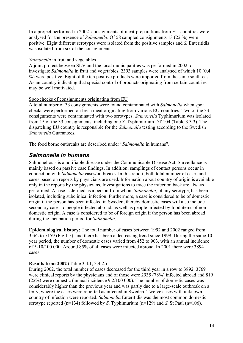In a project performed in 2002, consignments of meat-preparations from EU-countries were analysed for the presence of *Salmonella*. Of 58 sampled consignments 13 (22 %) were positive. Eight different serotypes were isolated from the positive samples and *S.* Enteritidis was isolated from six of the consignments.

#### *Salmonella* in fruit and vegetables

A joint project between SLV and the local municipalities was performed in 2002 to investigate *Salmonella* in fruit and vegetables. 2393 samples were analysed of which 10 (0,4 %) were positive. Eight of the ten positive products were imported from the same south-east Asian country indicating that special control of products originating from certain countries may be well motivated.

#### Spot-checks of consignments originating from EU

A total number of 33 consignments were found contaminated with *Salmonella* when spot checks were performed on fresh meat originating from various EU-countries. Two of the 33 consignments were contaminated with two serotypes. *Salmonella* Typhimurium was isolated from 15 of the 33 consignments, including one *S.* Typhimurium DT 104 (Table 3.3.3). The dispatching EU country is responsible for the *Salmonella* testing according to the Swedish *Salmonella* Guarantees.

The food borne outbreaks are described under "*Salmonella* in humans".

### *Salmonella in humans*

Salmonellosis is a notifiable disease under the Communicable Disease Act. Surveillance is mainly based on passive case findings. In addition, samplings of contact persons occur in connection with *Salmonella* cases/outbreaks. In this report, both total number of cases and cases based on reports by physicians are used. Information about country of origin is available only in the reports by the physicians. Investigations to trace the infection back are always performed. A case is defined as a person from whom *Salmonella*, of any serotype, has been isolated, including subclinical infection. Furthermore, a case is considered to be of domestic origin if the person has been infected in Sweden, thereby domestic cases will also include secondary cases to people infected abroad, as well as people infected by food items of nondomestic origin. A case is considered to be of foreign origin if the person has been abroad during the incubation period for *Salmonella*.

**Epidemiological history:** The total number of cases between 1992 and 2002 ranged from 3562 to 5159 (Fig 1.5), and there has been a decreasing trend since 1999. During the same 10 year period, the number of domestic cases varied from 452 to 903, with an annual incidence of 5-10/100 000. Around 85% of all cases were infected abroad. In 2001 there were 3894 cases.

### **Results from 2002** (Table 3.4.1, 3.4.2.)

During 2002, the total number of cases decreased for the third year in a row to 3892. 3769 were clinical reports by the physicians and of those were 2935 (78%) infected abroad and 819 (22%) were domestic (annual incidence 9.2/100 000). The number of domestic cases was considerably higher than the previous year and was partly due to a large-scale outbreak on a ferry, where the cases were reported as infected in Sweden. Twelve cases with unknown country of infection were reported. *Salmonella* Enteritidis was the most common domestic serotype reported (n=134) followed by *S*. Typhimurium (n=129) and *S*. St Paul (n=106).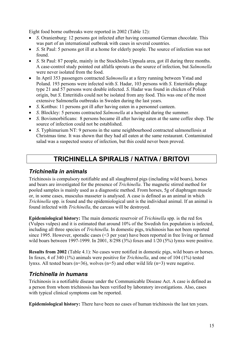Eight food borne outbreaks were reported in 2002 (Table 12):

- *S*. Oranienburg: 12 persons got infected after having consumed German chocolate. This was part of an international outbreak with cases in several countries.
- *S*. St Paul: 5 persons got ill at a home for elderly people. The source of infection was not found.
- *S*. St Paul: 87 people, mainly in the Stockholm-Uppsala area, got ill during three months. A case-control study pointed out alfalfa sprouts as the source of infection, but *Salmonella* were never isolated from the food.
- In April 353 passengers contracted *Salmonella* at a ferry running between Ystad and Poland. 193 persons were infected with *S*. Hadar, 103 persons with *S*. Enteritidis phage type 21 and 57 persons were double infected. *S*. Hadar was found in chicken of Polish origin, but *S*. Enteritidis could not be isolated from any food. This was one of the most extensive Salmonella outbreaks in Sweden during the last years.
- *S*. Kottbus: 11 persons got ill after having eaten in a personnel canteen.
- *S*. Blockley: 5 persons contracted *Salmonella* at a hospital during the summer.
- *S*. Bovismorbificans: 8 persons became ill after having eaten at the same coffee shop. The source of infection could not be established.
- *S*. Typhimurium NT: 9 persons in the same neighbourhood contracted salmonellosis at Christmas time. It was shown that they had all eaten at the same restaurant. Contaminated salad was a suspected source of infection, but this could never been proved.

### **TRICHINELLA SPIRALIS / NATIVA / BRITOVI**

### *Trichinella in animals*

Trichinosis is compulsory notifiable and all slaughtered pigs (including wild boars), horses and bears are investigated for the presence of *Trichinella*. The magnetic stirred method for pooled samples is mainly used as a diagnostic method. From horses, 5g of diaphragm muscle or, in some cases, musculus masseter is analysed. A case is defined as an animal in which *Trichinella* spp. is found and the epidemiological unit is the individual animal. If an animal is found infected with *Trichinella*, the carcass will be destroyed.

**Epidemiological history:** The main domestic reservoir of *Trichinella* spp. is the red fox (Vulpes vulpes) and it is estimated that around 10% of the Swedish fox population is infected, including all three species of *Trichinella*. In domestic pigs, trichinosis has not been reported since 1995. However, sporadic cases (<3 per year) have been reported in free living or farmed wild boars between 1997-1999. In 2001, 8/298 (3%) foxes and 1/20 (5%) lynxs were positive.

**Results from 2002** (Table 4.1): No cases were notified in domestic pigs, wild boars or horses. In foxes, 4 of 340 (1%) animals were positive for *Trichinella*, and one of 104 (1%) tested lynxs. All tested bears (n=36), wolves (n=5) and other wild life (n=3) were negative.

### *Trichinella in humans*

Trichinosis is a notifiable disease under the Communicable Disease Act. A case is defined as a person from whom trichinosis has been verified by laboratory investigations. Also, cases with typical clinical symptoms can be reported.

**Epidemiological history:** There have been no cases of human trichinosis the last ten years.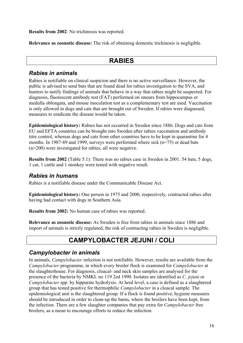**Results from 2002**: No trichinosis was reported.

**Relevance as zoonotic disease:** The risk of obtaining domestic trichinosis is negligible.

### **RABIES**

### *Rabies in animals*

Rabies is notifiable on clinical suspicion and there is no active surveillance. However, the public is advised to send bats that are found dead for rabies investigation to the SVA, and hunters to notify findings of animals that behave in a way that rabies might be suspected. For diagnosis, fluorescent antibody test (FAT) performed on smears from hippocampus or medulla oblongata, and mouse inoculation test as a complementary test are used. Vaccination is only allowed in dogs and cats that are brought out of Sweden. If rabies were diagnosed, measures to eradicate the disease would be taken.

**Epidemiological history:** Rabies has not occurred in Sweden since 1886. Dogs and cats from EU and EFTA countries can be brought into Sweden after rabies vaccination and antibody titre control, whereas dogs and cats from other countries have to be kept in quarantine for 4 months. In 1987-89 and 1999, surveys were performed where sick (n=75) or dead bats (n=200) were investigated for rabies, all were negative.

**Results from 2002** (Table 5.1): There was no rabies case in Sweden in 2001. 54 bats, 5 dogs, 1 cat, 1 cattle and 1 monkey were tested with negative result.

### *Rabies in humans*

Rabies is a notifiable disease under the Communicable Disease Act.

**Epidemiological history:** One person in 1975 and 2000, respectively, contracted rabies after having had contact with dogs in Southern Asia.

**Results from 2002:** No human case of rabies was reported.

**Relevance as zoonotic disease:** As Sweden is free from rabies in animals since 1886 and import of animals is strictly regulated, the risk of contracting rabies in Sweden is negligible.

### **CAMPYLOBACTER JEJUNI / COLI**

### *Campylobacter in animals*

In animals, *Campylobacter* infection is not notifiable. However, results are available from the *Campylobacter* programme, in which every broiler flock is examined for *Campylobacter* at the slaughterhouse. For diagnosis, cloacal- and neck skin samples are analysed for the presence of the bacteria by NMKL no 119 2ed 1990. Isolates are identified as *C. jejuni* or *Campylobacter* spp. by hippurate hydrolysis. At herd level, a case is defined as a slaughtered group that has tested positive for thermophilic *Campylobacter* in a cloacal sample. The epidemiological unit is the slaughtered group. If a flock is found positive, hygiene measures should be introduced in order to clean-up the barns, where the broilers have been kept, from the infection. There are a few slaughter companies that pay extra for *Campylobacter* free broilers, as a mean to encourage efforts to reduce the infection.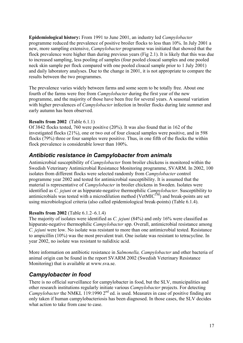**Epidemiological history:** From 1991 to June 2001, an industry led *Campylobacter* programme reduced the prevalence of positive broiler flocks to less than 10%. In July 2001 a new, more sampling extensive, *Campylobacter* programme was initiated that showed that the flock prevalence were higher than during previous years (Fig 2.1). It is likely that this was due to increased sampling, less pooling of samples (four pooled cloacal samples and one pooled neck skin sample per flock compared with one pooled cloacal sample prior to 1 July 2001) and daily laboratory analyses. Due to the change in 2001, it is not appropriate to compare the results between the two programmes.

The prevalence varies widely between farms and some seem to be totally free. About one fourth of the farms were free from *Campylobacter* during the first year of the new programme, and the majority of those have been free for several years. A seasonal variation with higher prevalences of *Campylobacter* infection in broiler flocks during late summer and early autumn has been observed.

#### **Results from 2002** (Table 6.1.1)

Of 3842 flocks tested, 760 were positive (20%). It was also found that in 162 of the investigated flocks (21%), one or two out of four cloacal samples were positive, and in 598 flocks (79%) three or four samples were positive. Thus, in one fifth of the flocks the within flock prevalence is considerable lower than 100%.

### *Antibiotic resistance in Campylobacter from animals*

Antimicrobial susceptibility of *Campylobacter* from broiler chickens is monitored within the Swedish Veterinary Antimicrobial Resistance Monitoring programme, SVARM. In 2002, 100 isolates from different flocks were selected randomly from *Campylobacter* control programme year 2002 and tested for antimicrobial susceptibility. It is assumed that the material is representative of *Campylobacter* in broiler chickens in Sweden. Isolates were identified as *C. jejuni* or as hippurate-negative thermophilic *Campylobacter*. Susceptibility to antimicrobials was tested with a microdilution method ( $VetMIC^{TM}$ ) and break-points are set using microbiological criteria (also called epidemiological break-points) (Table 6.1.4).

### **Results from 2002** (Table 6.1.2–6.1.4)

The majority of isolates were identified as *C. jejuni* (84%) and only 16% were classified as hippurate-negative thermophilic *Campylobacter* spp. Overall, antimicrobial resistance among *C. jejuni* were low. No isolate was resistant to more than one antimicrobial tested. Resistance to ampicillin (10%) was the most prevalent trait. One isolate was resistant to tetracycline. In year 2002, no isolate was resistant to nalidixic acid.

More information on antibiotic resistance in *Salmonella, Campylobacter* and other bacteria of animal origin can be found in the report SVARM 2002 (Swedish Veterinary Resistance Monitoring) that is available at www.sva.se.

### *Campylobacter in food*

There is no official surveillance for campylobacter in food, but the SLV, municipalities and other research institutions regularly initiate various *Campylobacter* projects. For detecting *Campylobacter* the NMKL 119:1990 2<sup>nd</sup> ed. is used. Measures in case of positive finding are only taken if human campylobacteriosis has been diagnosed. In those cases, the SLV decides what action to take from case to case.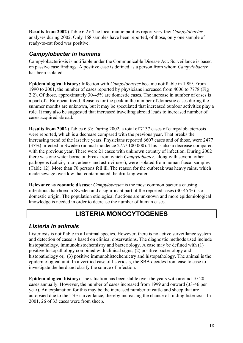**Results from 2002** (Table 6.2): The local municipalities report very few *Campylobacter* analyses during 2002. Only 168 samples have been reported, of those, only one sample of ready-to-eat food was positive.

### *Campylobacter in humans*

Campylobacteriosis is notifiable under the Communicable Disease Act. Surveillance is based on passive case findings. A positive case is defined as a person from whom *Campylobacter* has been isolated.

**Epidemiological history:** Infection with *Campylobacter* became notifiable in 1989. From 1990 to 2001, the number of cases reported by physicians increased from 4006 to 7778 (Fig 2.2). Of those, approximately 30-45% are domestic cases. The increase in number of cases is a part of a European trend. Reasons for the peak in the number of domestic cases during the summer months are unknown, but it may be speculated that increased outdoor activities play a role. It may also be suggested that increased travelling abroad leads to increased number of cases acquired abroad.

**Results from 2002** (Tables 6.3): During 2002, a total of 7137 cases of campylobacteriosis were reported, which is a decrease compared with the previous year. That breaks the increasing trend of the last five years. Physicians reported 6607 cases and of those, were 2477 (37%) infected in Sweden (annual incidence 27.7/ 100 000). This is also a decrease compared with the previous year. There were 21 cases with unknown country of infection. During 2002 there was one water borne outbreak from which *Campylobacter*, along with several other pathogens (calici-, rota-, adeno- and astroviruses), were isolated from human faecal samples (Table 12). More than 70 persons fell ill. The reason for the outbreak was heavy rains, which made sewage overflow that contaminated the drinking water.

**Relevance as zoonotic disease:** *Campylobacter* is the most common bacteria causing infectious diarrhoea in Sweden and a significant part of the reported cases (30-45 %) is of domestic origin. The population etiological fractions are unknown and more epidemiological knowledge is needed in order to decrease the number of human cases.

### **LISTERIA MONOCYTOGENES**

### *Listeria in animals*

Listeriosis is notifiable in all animal species. However, there is no active surveillance system and detection of cases is based on clinical observations. The diagnostic methods used include histopathology, immunohistochemistry and bacteriology. A case may be defined with (1) positive histopathology combined with clinical signs, (2) positive bacteriology and histopathology or, (3) positive immunohistochemictry and histopathology. The animal is the epidemiological unit. In a verified case of listeriosis, the SBA decides from case to case to investigate the herd and clarify the source of infection.

**Epidemiological history:** The situation has been stable over the years with around 10-20 cases annually. However, the number of cases increased from 1999 and onward (33-46 per year). An explanation for this may be the increased number of cattle and sheep that are autopsied due to the TSE surveillance, thereby increasing the chance of finding listeriosis. In 2001, 26 of 33 cases were from sheep.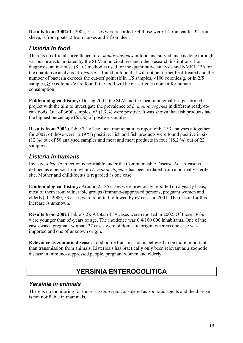**Results from 2002:** In 2002, 51 cases were recorded. Of those were 12 from cattle, 32 from sheep, 3 from goats, 2 from horses and 2 from deer.

### *Listeria in food*

There is no official surveillance of *L. monocytogenes* in food and surveillance is done through various projects initiated by the SLV, municipalities and other research institutions. For diagnosis, an in-house (SLV) method is used for the quantitative analysis and NMKL 136 for the qualitative analysis. If *Listeria* is found in food that will not be further heat-treated and the number of bacteria exceeds the cut-off point (if in  $1/5$  samples,  $\geq 100$  colonies/g, or in  $2/5$ samples,  $\geq$ 10 colonies/g are found) the food will be classified as non-fit for human consumption.

**Epidemiological history:** During 2001, the SLV and the local municipalities performed a project with the aim to investigate the prevalence of *L. monocytogenes* in different ready-toeat-foods. Out of 3600 samples, 63 (1.7%) were positive. It was shown that fish products had the highest percentage (6.2%) of positive samples.

**Results from 2002** (Table 7.1): The local municipalities report only 133 analyses altogether for 2002, of those were 12 (9 %) positive. Fish and fish products were found positive in six (12 %) out of 50 analysed samples and meat and meat products in four (18,2 %) out of 22 samples.

### *Listeria in humans*

Invasive *Listeria* infection is notifiable under the Communicable Disease Act. A case is defined as a person from whom *L. monocytogenes* has been isolated from a normally sterile site. Mother and child/foetus is regarded as one case.

**Epidemiological history:** Around 25-35 cases were previously reported on a yearly basis, most of them from vulnerable groups (immuno-suppressed persons, pregnant women and elderly). In 2000, 53 cases were reported followed by 67 cases in 2001. The reason for this increase is unknown.

**Results from 2002** (Table 7.2): A total of 39 cases were reported in 2002. Of those, 36% were younger than 65-years of age. The incidence was 0.4/100 000 inhabitants. One of the cases was a pregnant woman. 37 cases were of domestic origin, whereas one case was imported and one of unknown origin.

**Relevance as zoonotic disease:** Food borne transmission is believed to be more important than transmission from animals. Listeriosis has practically only been relevant as a zoonotic disease in immuno-suppressed people, pregnant women and elderly.

# **YERSINIA ENTEROCOLITICA**

### *Yersinia in animals*

There is no monitoring for those *Yersinia* spp. considered as zoonotic agents and the disease is not notifiable in mammals.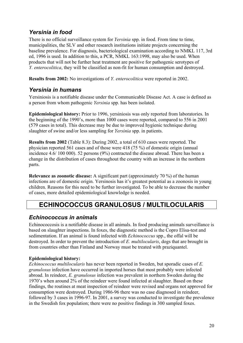### *Yersinia in food*

There is no official surveillance system for *Yersinia* spp. in food. From time to time, municipalities, the SLV and other research institutions initiate projects concerning the baseline prevalence. For diagnosis, bacteriological examination according to NMKL 117, 3rd ed, 1996 is used. In addition to this, a PCR, NMKL 163:1998, may also be used. When products that will not be further heat treatment are positive for pathogenic serotypes of *Y. enterocolitica*, they will be classified as non-fit for human consumption and destroyed.

**Results from 2002:** No investigations of *Y. enterocolitica* were reported in 2002.

### *Yersinia in humans*

Yersiniosis is a notifiable disease under the Communicable Disease Act. A case is defined as a person from whom pathogenic *Yersinia* spp. has been isolated.

**Epidemiological history:** Prior to 1996, yersiniosis was only reported from laboratories. In the beginning of the 1990's, more than 1000 cases were reported, compared to 556 in 2001 (579 cases in total). This decrease may be due to improved hygienic technique during slaughter of swine and/or less sampling for *Yersinia* spp. in patients.

**Results from 2002** (Table 8.3): During 2002, a total of 610 cases were reported. The physician reported 561 cases and of those were 418 (75 %) of domestic origin (annual incidence 4.6/ 100 000). 52 persons (9%) contracted the disease abroad. There has been a change in the distribution of cases throughout the country with an increase in the northern parts.

**Relevance as zoonotic disease:** A significant part (approximately 70 %) of the human infections are of domestic origin. Yersinosis has it's greatest potential as a zoonosis in young children. Reasons for this need to be further investigated. To be able to decrease the number of cases, more detailed epidemiological knowledge is needed.

# **ECHINOCOCCUS GRANULOSUS / MULTILOCULARIS**

### *Echinococcus in animals*

Echinococcosis is a notifiable disease in all animals. In food producing animals surveillance is based on slaughter inspections. In foxes, the diagnostic method is the Copro Elisa-test and sedimentation. If an animal is found infected with *Echinococcus* spp., the offal will be destroyed. In order to prevent the introduction of *E. multilocularis*, dogs that are brought in from countries other than Finland and Norway must be treated with praziquantel.

### **Epidemiological history:**

*Echinococcus multilocularis* has never been reported in Sweden, but sporadic cases of *E. granulosus* infection have occurred in imported horses that most probably were infected abroad. In reindeer, *E. granulosus* infection was prevalent in northern Sweden during the 1970's when around 2% of the reindeer were found infected at slaughter. Based on these findings, the routines at meat inspection of reindeer were revised and organs not approved for consumption were destroyed. During 1986-96 there was no case diagnosed in reindeer, followed by 3 cases in 1996-97. In 2001, a survey was conducted to investigate the prevalence in the Swedish fox population; there were no positive findings in 300 sampled foxes.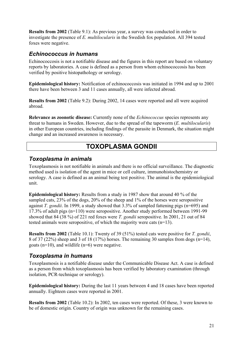**Results from 2002** (Table 9.1): As previous year, a survey was conducted in order to investigate the presence of *E. multilocularis* in the Swedish fox population. All 394 tested foxes were negative.

### *Echinococcus in humans*

Echinococcosis is not a notifiable disease and the figures in this report are based on voluntary reports by laboratories. A case is defined as a person from whom echinococcosis has been verified by positive histopathology or serology.

**Epidemiological history:** Notification of echinococcosis was initiated in 1994 and up to 2001 there have been between 3 and 11 cases annually, all were infected abroad.

**Results from 2002** (Table 9.2): During 2002, 14 cases were reported and all were acquired abroad.

**Relevance as zoonotic disease:** Currently none of the *Echinococcus* species represents any threat to humans in Sweden. However, due to the spread of the tapeworm (*E. multilocularis*) in other European countries, including findings of the parasite in Denmark, the situation might change and an increased awareness is necessary.

### **TOXOPLASMA GONDII**

### *Toxoplasma in animals*

Toxoplasmosis is not notifiable in animals and there is no official surveillance. The diagnostic method used is isolation of the agent in mice or cell culture, immunohistochemistry or serology. A case is defined as an animal being test positive. The animal is the epidemiological unit.

**Epidemiological history:** Results from a study in 1987 show that around 40 % of the sampled cats, 23% of the dogs, 20% of the sheep and 1% of the horses were seropositive against *T. gondii*. In 1999, a study showed that 3.3% of sampled fattening pigs (n=695) and 17.3% of adult pigs (n=110) were seropositive. Another study performed between 1991-99 showed that 84 (38 %) of 221 red foxes were *T. gondii* seropositive. In 2001, 21 out of 84 tested animals were seropositive, of which the majority were cats (n=13).

**Results from 2002** (Table 10.1): Twenty of 39 (51%) tested cats were positive for *T. gondii*, 8 of 37 (22%) sheep and 3 of 18 (17%) horses. The remaining 30 samples from dogs (n=14), goats (n=10), and wildlife (n=6) were negative.

### *Toxoplasma in humans*

Toxoplasmosis is a notifiable disease under the Communicable Disease Act. A case is defined as a person from which toxoplasmosis has been verified by laboratory examination (through isolation, PCR-technique or serology).

**Epidemiological history:** During the last 11 years between 4 and 18 cases have been reported annually. Eighteen cases were reported in 2001.

**Results from 2002** (Table 10.2): In 2002, ten cases were reported. Of these, 3 were known to be of domestic origin. Country of origin was unknown for the remaining cases.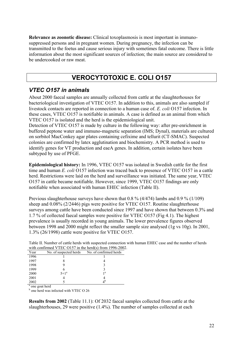**Relevance as zoonotic disease:** Clinical toxoplasmosis is most important in immunosuppressed persons and in pregnant women. During pregnancy, the infection can be transmitted to the foetus and cause serious injury with sometimes fatal outcome. There is little information about the most significant sources of infection; the main source are considered to be undercooked or raw meat.

### **VEROCYTOTOXIC E. COLI O157**

### *VTEC O157 in animals*

About 2000 faecal samples are annually collected from cattle at the slaughterhouses for bacteriological investigation of VTEC O157. In addition to this, animals are also sampled if livestock contacts are reported in connection to a human case of. *E. coli* O157 infection. In these cases, VTEC O157 is notifiable in animals. A case is defined as an animal from which VTEC O157 is isolated and the herd is the epidemiological unit.

Detection of VTEC O157 is made by culture in the following way: after pre-enrichment in buffered peptone water and immuno-magnetic separation (IMS; Dynal), materials are cultured on sorbitol MacConkey agar plates containing cefixime and tellurit (CT-SMAC). Suspected colonies are confirmed by latex agglutination and biochemistry. A PCR method is used to identify genes for VT production and eaeA genes. In addition, certain isolates have been subtyped by use of PFGE.

**Epidemiological history:** In 1996, VTEC O157 was isolated in Swedish cattle for the first time and human *E. coli* O157 infection was traced back to presence of VTEC O157 in a cattle herd. Restrictions were laid on the herd and surveillance was initiated. The same year, VTEC O157 in cattle became notifiable. However, since 1999, VTEC O157 findings are only notifiable when associated with human EHEC infection (Table II).

Previous slaughterhouse surveys have shown that 0.8 % (4/474) lambs and 0.9 % (1/109) sheep and 0.08% (2/2446) pigs were positive for VTEC O157. Routine slaughterhouse surveys among cattle have been conducted since 1997 and have shown that between 0.3% and 1.7 % of collected faecal samples were positive for VTEC O157 (Fig 4.1). The highest prevalence is usually recorded in young animals. The lower prevalence figures observed between 1998 and 2000 might reflect the smaller sample size analysed (1g vs 10g). In 2001, 1.3% (26/1998) cattle were positive for VTEC O157.

|      |                        | WHILE COMMITTING V LEG OT 3 / III LIIG HOLD ST HOME 1770-200 |
|------|------------------------|--------------------------------------------------------------|
| Year | No. of suspected herds | No. of confirmed herds                                       |
| 1996 |                        |                                                              |
| 1997 |                        |                                                              |
| 1998 |                        |                                                              |
| 1999 |                        |                                                              |
| 2000 | $5+1^a$                | 1 <sup>a</sup>                                               |
| 2001 |                        |                                                              |
| 2002 |                        | $4^{\rm b}$                                                  |

Table II. Number of cattle herds with suspected connection with human EHEC case and the number of herds with confirmed VTEC  $\Omega$ 157 in the herd(s) from 1996-2002.

a one goat herd b

 $<sup>b</sup>$  one herd was infected with VTEC O 26</sup>

**Results from 2002** (Table 11.1): Of 2032 faecal samples collected from cattle at the slaughterhouses, 29 were positive (1.4%). The number of samples collected at each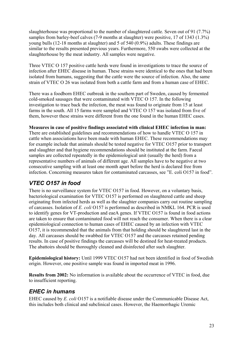slaughterhouse was proportional to the number of slaughtered cattle. Seven out of 91 (7.7%) samples from barley-beef calves (7-9 months at slaughter) were positive, 17 of 1343 (1.3%) young bulls (12-18 months at slaughter) and 5 of 540 (0.9%) adults. These findings are similar to the results presented previous years. Furthermore, 550 swabs were collected at the slaughterhouse by the meat industry. All samples were negative.

Three VTEC O 157 positive cattle herds were found in investigations to trace the source of infection after EHEC disease in human. These strains were identical to the ones that had been isolated from humans, suggesting that the cattle were the source of infection. Also, the same strain of VTEC O 26 was isolated from both a cattle farm and from a human case of EHEC.

There was a foodborn EHEC outbreak in the southern part of Sweden, caused by fermented cold-smoked sausages that were contaminated with VTEC O 157. In the following investigation to trace back the infection, the meat was found to originate from 15 at least farms in the south. All 15 farms were sampled and VTEC O 157 was isolated from five of them, however these strains were different from the one found in the human EHEC cases.

#### **Measures in case of positive findings associated with clinical EHEC infection in man:**

There are established guidelines and recommendations of how to handle VTEC O 157 in cattle when associations have been made with human EHEC. These recommendations may for example include that animals should be tested negative for VTEC O157 prior to transport and slaughter and that hygiene recommendations should be instituted at the farm. Faecal samples are collected repeatedly in the epidemiological unit (usually the herd) from a representative numbers of animals of different age. All samples have to be negative at two consecutive sampling with at least one month apart before the herd is declared free from infection. Concerning measures taken for contaminated carcasses, see "E. coli O157 in food".

### *VTEC O157 in food*

There is no surveillance system for VTEC O157 in food. However, on a voluntary basis, bacteriological examination for VTEC O157 is performed on slaughtered cattle and sheep originating from infected herds as well as the slaughter companies carry out routine sampling of carcasses. Isolation of *E. coli* O157 is performed as described in NMKL 164. PCR is used to identify genes for VT-production and eaeA genes. If VTEC O157 is found in food actions are taken to ensure that contaminated food will not reach the consumer. When there is a clear epidemiological connection to human cases of EHEC caused by an infection with VTEC O157, it is recommended that the animals from that holding should be slaughtered last in the day. All carcasses should be swabbed for VTEC O157 and the carcasses retained pending results. In case of positive findings the carcasses will be destined for heat-treated products. The abattoirs should be thoroughly cleaned and disinfected after such slaughter.

**Epidemiological history:** Until 1999 VTEC O157 had not been identified in food of Swedish origin. However, one positive sample was found in imported meat in 1996.

**Results from 2002:** No information is available about the occurrence of VTEC in food, due to insufficient reporting.

### *EHEC in humans*

EHEC caused by *E. coli* O157 is a notifiable disease under the Communicable Disease Act, this includes both clinical and subclinical cases. However, the Haemorrhagic Uremic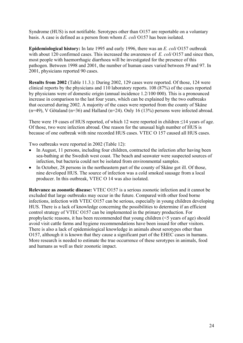Syndrome (HUS) is not notifiable. Serotypes other than O157 are reportable on a voluntary basis. A case is defined as a person from whom *E. coli* O157 has been isolated.

**Epidemiological history:** In late 1995 and early 1996, there was an *E. coli* O157 outbreak with about 120 confirmed cases. This increased the awareness of *E. coli* O157 and since then, most people with haemorrhagic diarrhoea will be investigated for the presence of this pathogen. Between 1998 and 2001, the number of human cases varied between 59 and 97. In 2001, physicians reported 90 cases.

**Results from 2002** (Table 11.3.): During 2002, 129 cases were reported. Of those, 124 were clinical reports by the physicians and 110 laboratory reports. 108 (87%) of the cases reported by physicians were of domestic origin (annual incidence 1.2/100 000). This is a pronounced increase in comparison to the last four years, which can be explained by the two outbreaks that occurred during 2002. A majority of the cases were reported from the county of Skåne  $(n=49)$ , V Götaland  $(n=36)$  and Halland  $(n=24)$ . Only 16 (13%) persons were infected abroad.

There were 19 cases of HUS reported, of which 12 were reported in children  $\leq$ 14 years of age. Of those, two were infection abroad. One reason for the unusual high number of HUS is because of one outbreak with nine recorded HUS cases. VTEC O 157 caused all HUS cases.

Two outbreaks were reported in 2002 (Table 12):

- In August, 11 persons, including four children, contracted the infection after having been sea-bathing at the Swedish west coast. The beach and seawater were suspected sources of infection, but bacteria could not be isolated from environmental samples.
- In October, 28 persons in the northeastern part of the county of Skåne got ill. Of those, nine developed HUS. The source of infection was a cold smoked sausage from a local producer. In this outbreak, VTEC O 14 was also isolated.

**Relevance as zoonotic disease:** VTEC O157 is a serious zoonotic infection and it cannot be excluded that large outbreaks may occur in the future. Compared with other food borne infections, infection with VTEC O157 can be serious, especially in young children developing HUS. There is a lack of knowledge concerning the possibilities to determine if an efficient control strategy of VTEC O157 can be implemented in the primary production. For prophylactic reasons, it has been recommended that young children (<5 years of age) should avoid visit cattle farms and hygiene recommendations have been issued for other visitors. There is also a lack of epidemiological knowledge in animals about serotypes other than O157, although it is known that they cause a significant part of the EHEC cases in humans. More research is needed to estimate the true occurrence of these serotypes in animals, food and humans as well as their zoonotic impact.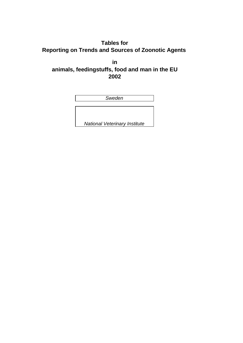**Tables for Reporting on Trends and Sources of Zoonotic Agents** 

**in animals, feedingstuffs, food and man in the EU 2002**

| Sweden                               |  |  |  |  |
|--------------------------------------|--|--|--|--|
|                                      |  |  |  |  |
|                                      |  |  |  |  |
|                                      |  |  |  |  |
| <b>National Veterinary Institute</b> |  |  |  |  |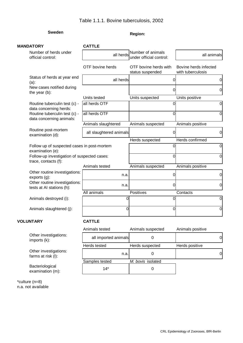#### Table 1.1.1. Bovine tuberculosis, 2002

### **Sweden Region:**

| <b>MANDATORY</b>                                                    | <b>CATTLE</b>           |                                              |                                            |
|---------------------------------------------------------------------|-------------------------|----------------------------------------------|--------------------------------------------|
| Number of herds under<br>official control:                          | all herds               | Number of animals<br>under official control: | all animals                                |
|                                                                     | OTF bovine herds        | OTF bovine herds with<br>status suspended    | Bovine herds infected<br>with tuberculosis |
| Status of herds at year end<br>$(a)$ :                              | all herds               | 0                                            | 0                                          |
| New cases notified during<br>the year (b):                          |                         | 0                                            | 0                                          |
|                                                                     | Units tested            | Units suspected                              | Units positive                             |
| Routine tuberculin test (c) -<br>data concerning herds:             | all herds OTF           | 0                                            | 0                                          |
| Routine tuberculin test (c) -<br>data concerning animals:           | all herds OTF           | 0                                            | 0                                          |
|                                                                     | Animals slaughtered     | Animals suspected                            | Animals positive                           |
| Routine post-mortem<br>examination (d):                             | all slaughtered animals | 0                                            | $\overline{0}$                             |
|                                                                     |                         | Herds suspected                              | Herds confirmed                            |
| Follow up of suspected cases in post-mortem<br>examination (e):     |                         | 0                                            | 0                                          |
| Follow-up investigation of suspected cases:<br>trace, contacts (f): |                         | $\Omega$                                     | 0                                          |
|                                                                     | Animals tested          | Animals suspected                            | Animals positive                           |
| Other routine investigations:<br>exports (g):                       | n.a.                    | 0                                            | 0                                          |
| Other routine investigations:<br>tests at AI stations (h):          | n.a.                    | 0                                            | 0                                          |
|                                                                     | All animals             | Positives                                    | Contacts                                   |
| Animals destroyed (i):                                              | 0                       | 0                                            | $\overline{0}$                             |
| Animals slaughtered (j):                                            | 0                       | 0                                            | $\Omega$                                   |
| <b>VOLUNTARY</b>                                                    | <b>CATTLE</b>           |                                              |                                            |
|                                                                     | Animals tested          | Animals suspected                            | Animals positive                           |
| Other investigations:<br>imports (k):                               | all imported animals    | $\mathbf 0$                                  | $\overline{0}$                             |
|                                                                     | Herds tested            | Herds suspected                              | Herds positive                             |
| Other investigations:<br>farms at risk (I):                         | n.a.                    | $\pmb{0}$                                    | $\overline{0}$                             |
|                                                                     | Samples tested          | M. bovis isolated                            |                                            |
| Bacteriological<br>examination (m):                                 | $14*$                   | $\pmb{0}$                                    |                                            |

\*culture (n=8) n.a. not available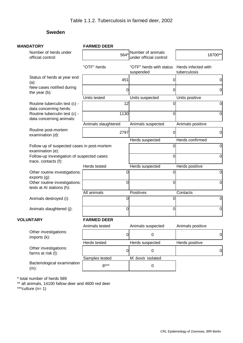#### **Sweden**

| <b>MANDATORY</b>                                                    | <b>FARMED DEER</b>  |                                              |                                     |
|---------------------------------------------------------------------|---------------------|----------------------------------------------|-------------------------------------|
| Number of herds under<br>official control:                          | 564*                | Number of animals<br>under official control: | 18700**                             |
|                                                                     | "OTF" herds         | "OTF" herds with status<br>suspended         | Herds infected with<br>tuberculosis |
| Status of herds at year end<br>$(a)$ :                              | 451                 |                                              | $\overline{0}$<br>O                 |
| New cases notified during<br>the year (b):                          |                     | 0                                            | $\overline{0}$<br>0                 |
|                                                                     | Units tested        | Units suspected                              | Units positive                      |
| Routine tuberculin test (c) -<br>data concerning herds:             | 12                  |                                              | $\overline{0}$<br>0                 |
| Routine tuberculin test (c) -<br>data concerning animals:           | 1130                |                                              | $\overline{0}$<br>O                 |
|                                                                     | Animals slaughtered | Animals suspected                            | Animals positive                    |
| Routine post-mortem<br>examination (d):                             | 2797                |                                              | 0<br>$\overline{0}$                 |
|                                                                     |                     | Herds suspected                              | <b>Herds confirmed</b>              |
| Follow up of suspected cases in post-mortem<br>examination (e):     |                     |                                              | $\overline{0}$<br>0<br>0            |
| Follow-up investigation of suspected cases:<br>trace, contacts (f): |                     |                                              | $\overline{0}$                      |
|                                                                     | Herds tested        | Herds suspected                              | Herds positive                      |
| Other routine investigations:<br>exports(g):                        |                     | 0                                            | $\overline{0}$<br>0                 |
| Other routine investigations:<br>tests at AI stations (h):          |                     | 0                                            | 0<br>0                              |
|                                                                     | All animals         | Positives                                    | Contacts                            |
| Animals destroyed (i):                                              |                     | 0                                            | $\overline{0}$<br>0                 |
| Animals slaughtered (j):                                            |                     | $\overline{0}$                               | $\overline{0}$<br>$\Omega$          |
| <b>VOLUNTARY</b>                                                    | <b>FARMED DEER</b>  |                                              |                                     |
|                                                                     | Animals tested      | Animals suspected                            | Animals positive                    |
| Other investigations:<br>imports (k):                               |                     | $\overline{0}$<br>$\mathbf 0$                | $\overline{0}$                      |
|                                                                     | Herds tested        | Herds suspected                              | Herds positive                      |
| Other investigations:<br>farms at risk (I):                         |                     | $\pmb{0}$<br>$\mathbf 0$                     | $\overline{0}$                      |
|                                                                     | Samples tested      | M. bovis isolated                            |                                     |
| Bacteriological examination<br>$(m)$ :                              | $8***$              | 0                                            |                                     |

\* total number of herds 589

\*\* all animals, 14100 fallow deer and 4600 red deer

\*\*\*culture  $(n= 1)$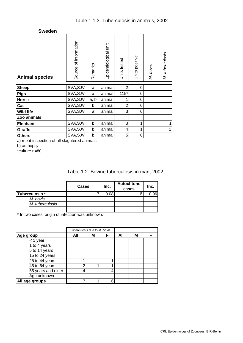| <b>Sweden</b>         |                          |         |                      |                |                |          |                 |
|-----------------------|--------------------------|---------|----------------------|----------------|----------------|----------|-----------------|
| <b>Animal species</b> | of information<br>Source | Remarks | Epidemiological unit | Units tested   | Units positive | M. bovis | M. tuberculosis |
| <b>Sheep</b>          | SVA, SJV                 | a       | animal               | $\overline{2}$ | 0              |          |                 |
| <b>Pigs</b>           | SVA, SJV                 | a       | animal               | $115*$         | 0              |          |                 |
| Horse                 | SVA, SJV                 | a, b    | animal               | 1              | 0              |          |                 |
| Cat                   | SVA, SJV                 | b       | animal               | $\overline{2}$ | 0              |          |                 |
| <b>Wild life</b>      | SVA, SJV                 | a       | animal               | 3              | 0              |          |                 |
| Zoo animals           |                          |         |                      |                |                |          |                 |
| Elephant              | SVA, SJV                 | b       | animal               | 3              | 1              |          | 1               |
| Giraffe               | SVA, SJV                 | b       | animal               | 4              | 1              |          | 1               |
| <b>Others</b>         | SVA, SJV                 | b       | animal               | 5              | 0              |          |                 |

a) meat inspection of all slaghtered animals

b) authopsy

\*culture n=80

#### Table 1.2. Bovine tuberculosis in man, 2002

|                 | <b>Cases</b> | Inc. | <b>Autochtone</b><br>cases | Inc. |
|-----------------|--------------|------|----------------------------|------|
| Tuberculosis *  |              | 0.08 |                            | ).06 |
| M. bovis        |              |      |                            |      |
| M. tuberculosis |              |      |                            |      |
|                 |              |      |                            |      |

\* In two cases, origin of infection was unknown.

|                    | Tuberculosis due to M. bovis |   |   |     |   |  |
|--------------------|------------------------------|---|---|-----|---|--|
| Age group          | All                          | М | F | All | М |  |
| $<$ 1 year         |                              |   |   |     |   |  |
| 1 to 4 years       |                              |   |   |     |   |  |
| 5 to 14 years      |                              |   |   |     |   |  |
| 15 to 24 years     |                              |   |   |     |   |  |
| 25 to 44 years     |                              |   |   |     |   |  |
| 45 to 64 years     |                              |   |   |     |   |  |
| 65 years and older |                              |   |   |     |   |  |
| Age unknown        |                              |   |   |     |   |  |
| All age groups     |                              |   |   |     |   |  |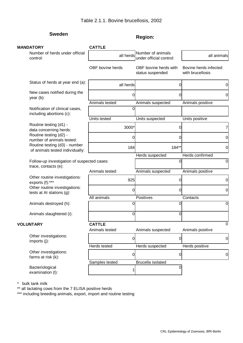# **Sweden Region: Region:**

| <b>MANDATORY</b>                                                    | <b>CATTLE</b>    |                                              |                                           |
|---------------------------------------------------------------------|------------------|----------------------------------------------|-------------------------------------------|
| Number of herds under official<br>control:                          | all herds        | Number of animals<br>under official control: | all animals                               |
|                                                                     | OBF bovine herds | OBF bovine herds with<br>status suspended    | Bovine herds infected<br>with brucellosis |
| Status of herds at year end (a):                                    | all herds        | 0                                            | 0                                         |
| New cases notified during the<br>year $(b)$ :                       |                  | 0                                            | 0                                         |
|                                                                     | Animals tested   | Animals suspected                            | Animals positive                          |
| Notification of clinical cases,<br>including abortions (c):         | 0                |                                              |                                           |
|                                                                     | Units tested     | Units suspected                              | Units positive                            |
| Routine testing (d1) -<br>data concerning herds:                    | 3000*            | 0                                            | 7                                         |
| Routine testing (d2) -<br>number of animals tested:                 |                  | 0                                            | 0                                         |
| Routine testing (d3) - number<br>of animals tested individually:    | 184              | 184**                                        | 0                                         |
|                                                                     |                  | Herds suspected                              | Herds confirmed                           |
| Follow-up investigation of suspected cases:<br>trace, contacts (e): |                  | 0                                            | $\mathbf 0$                               |
|                                                                     | Animals tested   | Animals suspected                            | Animals positive                          |
| Other routine investigations:<br>exports (f):***                    | 925              | $\overline{0}$                               | $\mathbf 0$                               |
| Other routine investigations:<br>tests at AI stations (g):          | 0                | $\overline{0}$                               | $\mathbf 0$                               |
|                                                                     | All animals      | Positives                                    | Contacts                                  |
| Animals destroyed (h):                                              | 0                | $\Omega$                                     | $\Omega$                                  |
| Animals slaughtered (i):                                            | 0                | $\Omega$                                     |                                           |
| <b>VOLUNTARY</b>                                                    | <b>CATTLE</b>    |                                              | $\Omega$                                  |
|                                                                     | Animals tested   | Animals suspected                            | Animals positive                          |
| Other investigations:<br>imports (j):                               | 0                | $\overline{0}$                               | $\overline{0}$                            |
|                                                                     | Herds tested     | Herds suspected                              | Herds positive                            |
| Other investigations:<br>farms at risk (k):                         | 0                | $\overline{0}$                               | $\overline{0}$                            |
|                                                                     | Samples tested   | <b>Brucella isolated</b>                     |                                           |
| Bacteriological<br>examination (I):                                 |                  | $\Omega$                                     |                                           |

\* bulk tank milk

\*\* all lactating cows from the 7 ELISA positive herds

\*\*\* including breeding animals, export, import and routine testing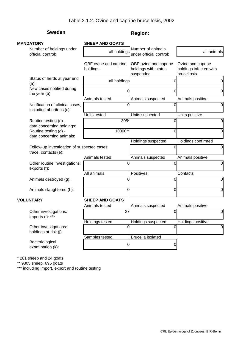### **Sweden Region: Region:**

| <b>MANDATORY</b>                                                    | <b>SHEEP AND GOATS</b>            |                                                            |                                                            |
|---------------------------------------------------------------------|-----------------------------------|------------------------------------------------------------|------------------------------------------------------------|
| Number of holdings under<br>official control:                       | all holdings                      | Number of animals<br>under official control:               | all animals                                                |
|                                                                     | OBF ovine and caprine<br>holdings | OBF ovine and caprine<br>holdings with status<br>suspended | Ovine and caprine<br>holdings infected with<br>brucellosis |
| Status of herds at year end<br>$(a)$ :                              | all holdings                      | 0                                                          | 0                                                          |
| New cases notified during<br>the year (b):                          |                                   | 0                                                          | $\overline{0}$                                             |
|                                                                     | Animals tested                    | Animals suspected                                          | Animals positive                                           |
| Notification of clinical cases,<br>including abortions (c):         | $\Omega$                          | $\overline{0}$                                             | $\overline{0}$                                             |
|                                                                     | Units tested                      | Units suspected                                            | Units positive                                             |
| Routine testing (d) -<br>data concerning holdings:                  | 305*                              | 0                                                          | $\overline{0}$                                             |
| Routine testing (d) -<br>data concerning animals:                   | 10000**                           | 0                                                          | $\overline{0}$                                             |
|                                                                     |                                   | Holdings suspected                                         | Holdings confirmed                                         |
| Follow-up investigation of suspected cases:<br>trace, contacts (e): |                                   | $\overline{0}$                                             | $\overline{0}$                                             |
|                                                                     | Animals tested                    | Animals suspected                                          | Animals positive                                           |
| Other routine investigations:<br>exports (f):                       | 0                                 | 0                                                          | $\overline{0}$                                             |
|                                                                     | All animals                       | <b>Positives</b>                                           | Contacts                                                   |
| Animals destroyed (g):                                              | 0                                 | 0                                                          | $\overline{0}$                                             |
| Animals slaughtered (h):                                            | 0                                 | $\Omega$                                                   | $\overline{0}$                                             |
| <b>VOLUNTARY</b>                                                    | <b>SHEEP AND GOATS</b>            |                                                            |                                                            |
|                                                                     | Animals tested                    | Animals suspected                                          | Animals positive                                           |
| Other investigations:<br>imports (i): ***                           | 27                                | 0                                                          | $\overline{O}$                                             |
|                                                                     | <b>Holdings tested</b>            | Holdings suspected                                         | Holdings positive                                          |
| Other investigations:<br>holdings at risk (j):                      | $\overline{0}$                    | Ō                                                          | $\overline{0}$                                             |
|                                                                     | Samples tested                    | Brucella isolated                                          |                                                            |
| Bacteriological<br>examination (k):                                 | 0                                 | 0                                                          |                                                            |
|                                                                     |                                   |                                                            |                                                            |

\* 281 sheep and 24 goats

\*\* 9305 sheep, 695 goats

\*\*\* including import, export and routine testing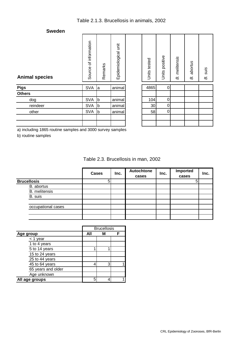#### **Sweden**

| <b>Animal species</b> | Source of information | Remarks     | Epidemiological unit | Units tested | Units positive |
|-----------------------|-----------------------|-------------|----------------------|--------------|----------------|
| <b>Pigs</b>           | <b>SVA</b>            | a           | animal               | 4865         | 0              |
| <b>Others</b>         |                       |             |                      |              |                |
| dog                   | <b>SVA</b>            | $\mathsf b$ | animal               | 104          | $\mathbf 0$    |
| reindeer              | <b>SVA</b>            | b           | animal               | 30           | 0              |
| other                 | <b>SVA</b>            | b           | animal               | 58           | 0              |
|                       |                       |             |                      |              |                |
|                       |                       |             |                      |              |                |

| Units tested   | Units positive | <b>B.</b> melitensis | <b>B.</b> abortus | B. suis |
|----------------|----------------|----------------------|-------------------|---------|
| 4865           | ი              |                      |                   |         |
|                |                |                      |                   |         |
| 104            | 0              |                      |                   |         |
| $\frac{30}{5}$ | 0              |                      |                   |         |
| 58             | 0              |                      |                   |         |
|                |                |                      |                   |         |
|                |                |                      |                   |         |

| -------- |            |        |
|----------|------------|--------|
| dog      | <b>SVA</b> | animal |
| reindeer | <b>SVA</b> | animal |
| other    | <b>SVA</b> | animal |
|          |            |        |
|          |            |        |

| 4865 |  |  |
|------|--|--|
|      |  |  |
| 104  |  |  |
| 30   |  |  |
| 58   |  |  |
|      |  |  |
|      |  |  |
|      |  |  |

a) including 1865 routine samples and 3000 survey samples

b) routine samples

|  | Table 2.3. Brucellosis in man, 2002 |  |
|--|-------------------------------------|--|
|--|-------------------------------------|--|

|                      | <b>Cases</b> | Inc. | Autochtone<br>cases | Inc. | Imported<br>cases | Inc. |
|----------------------|--------------|------|---------------------|------|-------------------|------|
| <b>Brucellosis</b>   |              |      |                     |      |                   |      |
| B. abortus           |              |      |                     |      |                   |      |
| <b>B.</b> melitensis |              |      |                     |      |                   |      |
| B. suis              |              |      |                     |      |                   |      |
|                      |              |      |                     |      |                   |      |
| occupational cases   |              |      |                     |      |                   |      |
|                      |              |      |                     |      |                   |      |
|                      |              |      |                     |      |                   |      |

|                    |     | <b>Brucellosis</b> |  |  |
|--------------------|-----|--------------------|--|--|
| Age group          | All | М                  |  |  |
| < 1 year           |     |                    |  |  |
| 1 to 4 years       |     |                    |  |  |
| 5 to 14 years      |     |                    |  |  |
| 15 to 24 years     |     |                    |  |  |
| 25 to 44 years     |     |                    |  |  |
| 45 to 64 years     | 4   | 3                  |  |  |
| 65 years and older |     |                    |  |  |
| Age unknown        |     |                    |  |  |
| All age groups     | 5   |                    |  |  |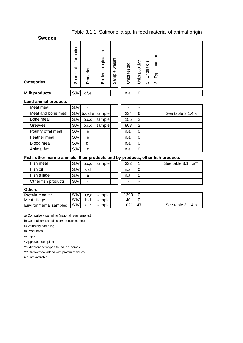### Table 3.1.1. Salmonella sp. In feed material of animal origin

**Sweden**

| <b>Categories</b>    | information<br>৳<br>Source | Remarks | irit<br>Epidemiological | weight<br>Sample | tested<br>Units | positive<br>Units | Enteritidis<br>$\mathbf{r}$<br>S | Typhimurium<br>S |  |  |
|----------------------|----------------------------|---------|-------------------------|------------------|-----------------|-------------------|----------------------------------|------------------|--|--|
| <b>Milk products</b> | SJV                        | d*,e    |                         |                  | n.a.            | 0                 |                                  |                  |  |  |

#### **Land animal products**

| Meat meal          | SJV        |         |                     | ۰    | -              |  |                   |  |
|--------------------|------------|---------|---------------------|------|----------------|--|-------------------|--|
| Meat and bone meal | <b>SJV</b> |         | $b, c, d, e$ sample | 234  | 6              |  | See table 3.1.4.a |  |
| Bone meal          | <b>SJV</b> | b,c,d   | sample              | 155  | 2              |  |                   |  |
| Greaves            | <b>SJV</b> | b, c, d | sample              | 803  | $\overline{2}$ |  |                   |  |
| Poultry offal meal | SJV        | e       |                     | n.a. | 0              |  |                   |  |
| Feather meal       | SJV        | e       |                     | n.a. | 0              |  |                   |  |
| Blood meal         | SJV        | $d^*$   |                     | n.a. | 0              |  |                   |  |
| Animal fat         | SJV        | С       |                     | n.a. |                |  |                   |  |

#### **Fish, other marine animals, their products and by-products, other fish-products**

| Fish meal           | <b>SJV</b> | b,c,d | sample | 332  |  |  | See table 3.1.4.a** |  |
|---------------------|------------|-------|--------|------|--|--|---------------------|--|
| Fish oil            | <b>SJV</b> | c.d   |        | n.a. |  |  |                     |  |
| Fish silage         | SJV        | e     |        | n.a. |  |  |                     |  |
| Other fish products | SJV        |       |        | -    |  |  |                     |  |

#### **Others**

| Protein meal***       | <b>SJV</b> | b.c.d | sample |  | 1390 |    |  |  |                   |  |
|-----------------------|------------|-------|--------|--|------|----|--|--|-------------------|--|
| Meat silage           | 5J V       |       | sample |  | 40   | ∽  |  |  |                   |  |
| Environmental samples | <b>SJV</b> | a.c   | sample |  | 1021 | 47 |  |  | See table 3.1.4.b |  |

a) Compulsory sampling (national requirements)

b) Compulsory sampling (EU requirements)

c) Voluntary sampling

d) Production

e) Import

\* Approved food plant

\*\*2 different serotypes found in 1 sample

\*\*\* Greavemeal added with protein residues

n.a. not available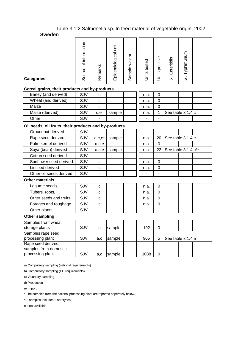#### Table 3.1.2 Salmonella sp. In feed material of vegetable origin, 2002 **Sweden**

| <b>Categories</b>                                     | Source of information | Remarks        | Epidemiological unit | Sample weight | Units tested | Units positive | Enteritidis<br>$\dot{\infty}$ | S. Typhimurium |  |  |  |
|-------------------------------------------------------|-----------------------|----------------|----------------------|---------------|--------------|----------------|-------------------------------|----------------|--|--|--|
| Cereal grains, their products and by-products         |                       |                |                      |               |              |                |                               |                |  |  |  |
| Barley (and derived)                                  | SJV                   | C              |                      |               | n.a.         | $\mathbf 0$    |                               |                |  |  |  |
| Wheat (and derived)                                   | SJV                   | $\mathbf c$    |                      |               | n.a.         | 0              |                               |                |  |  |  |
| Maize                                                 | SJV                   | $\mathbf{C}$   |                      |               | n.a.         | 0              |                               |                |  |  |  |
| Maize (derived)                                       | SJV                   | c,e            | sample               |               | n.a.         | 1              | See table 3.1.4.c             |                |  |  |  |
| Other                                                 | SJV                   |                |                      |               |              |                |                               |                |  |  |  |
| Oil seeds, oil fruits, their products and by-products |                       |                |                      |               |              |                |                               |                |  |  |  |
| Groundnut derived                                     | SJV                   |                |                      |               |              |                |                               |                |  |  |  |
| Rape seed derived                                     | SJV                   | $a,c,e^*$      | sample               |               | n.a.         | 20             | See table 3.1.4.c             |                |  |  |  |
| Palm kernel derived                                   | SJV                   | a,c,e          |                      |               | n.a.         | 0              |                               |                |  |  |  |
| Soya (bean) derived                                   | SJV                   | a,c,e          | sample               |               | n.a.         | 22             | See table 3.1.4.c**           |                |  |  |  |
| Cotton seed derived                                   | SJV                   |                |                      |               |              |                |                               |                |  |  |  |
| Sunflower seed derived                                | SJV                   | с              |                      |               | n.a.         | 0              |                               |                |  |  |  |
| Linseed derived                                       | SJV                   | $\mathbf c$    |                      |               | n.a.         | 0              |                               |                |  |  |  |
| Other oil seeds derived                               | SJV                   | $\blacksquare$ |                      |               |              |                |                               |                |  |  |  |
| <b>Other materials</b>                                |                       |                |                      |               |              |                |                               |                |  |  |  |
| Legume seeds,                                         | SJV                   | C              |                      |               | n.a.         | 0              |                               |                |  |  |  |
| Tubers, roots,                                        | SJV                   | $\mathbf c$    |                      |               | n.a.         | 0              |                               |                |  |  |  |
| Other seeds and fruits                                | SJV                   | C              |                      |               | n.a.         | 0              |                               |                |  |  |  |
| Forages and roughage                                  | SJV                   | $\mathbf c$    |                      |               | n.a.         | 0              |                               |                |  |  |  |
| Other plants,                                         | SJV                   | -              |                      |               |              |                |                               |                |  |  |  |
| Other sampling                                        |                       |                |                      |               |              |                |                               |                |  |  |  |
| Samples from wheat                                    |                       |                |                      |               |              |                |                               |                |  |  |  |
| storage plants                                        | SJV                   | a              | sample               |               | 192          | 0              |                               |                |  |  |  |
| Samples rape seed                                     |                       |                |                      |               |              |                | See table 3.1.4.e             |                |  |  |  |
| processing plant<br>Rape seed derived                 | SJV                   | a,c            | sample               |               | 905          | 5              |                               |                |  |  |  |
| samples from domestic                                 |                       |                |                      |               |              |                |                               |                |  |  |  |
| processing plant                                      | SJV                   | a,c            | sample               |               | 1088         | 0              |                               |                |  |  |  |
|                                                       |                       |                |                      |               |              |                |                               |                |  |  |  |

a) Compulsory sampling (national requirements)

b) Compulsory sampling (EU requirements)

c) Voluntary sampling

d) Production

e) Import

\* The samples from the national processing plant are reported seperately below.

\*\*2 samples included 2 serotypes

n.a.not available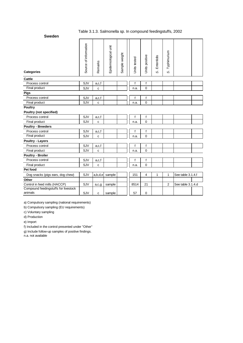#### Table 3.1.3. Salmonella sp. In compound feedingstuffs, 2002

| <b>Sweden</b>                                   |                       |         |                      |               |              |                |                        |                |                   |  |
|-------------------------------------------------|-----------------------|---------|----------------------|---------------|--------------|----------------|------------------------|----------------|-------------------|--|
| <b>Categories</b>                               | Source of information | Remarks | Epidemiological unit | Sample weight | Units tested | Units positive | Enteritidis<br>$\circ$ | S. Typhimurium |                   |  |
| Cattle                                          |                       |         |                      |               |              |                |                        |                |                   |  |
| Process control                                 | SJV                   | a,c,f   |                      |               | f            | f              |                        |                |                   |  |
| Final product                                   | SJV                   | C       |                      |               | n.a.         | $\overline{0}$ |                        |                |                   |  |
| <b>Pigs</b>                                     |                       |         |                      |               |              |                |                        |                |                   |  |
| Process control                                 | SJV                   | a,c,f   |                      |               | f            | f              |                        |                |                   |  |
| Final product                                   | SJV                   | C       |                      |               | n.a.         | $\mathbf 0$    |                        |                |                   |  |
| <b>Poultry</b>                                  |                       |         |                      |               |              |                |                        |                |                   |  |
| Poultry (not specified)                         |                       |         |                      |               |              |                |                        |                |                   |  |
| Process control                                 | SJV                   | a,c,f   |                      |               | f            | f              |                        |                |                   |  |
| Final product                                   | SJV                   | C       |                      |               | n.a.         | $\mathbf 0$    |                        |                |                   |  |
| <b>Poultry - Breeders</b>                       |                       |         |                      |               |              |                |                        |                |                   |  |
| Process control                                 | SJV                   | a,c,f   |                      |               | f            | f              |                        |                |                   |  |
| Final product                                   | SJV                   | C       |                      |               | n.a.         | $\overline{0}$ |                        |                |                   |  |
| <b>Poultry - Layers</b>                         |                       |         |                      |               |              |                |                        |                |                   |  |
| Process control                                 | SJV                   | a,c,f   |                      |               | f            | $\mathsf{f}$   |                        |                |                   |  |
| Final product                                   | SJV                   | C       |                      |               | n.a.         | $\mathbf 0$    |                        |                |                   |  |
| <b>Poultry - Broiler</b>                        |                       |         |                      |               |              |                |                        |                |                   |  |
| Process control                                 | SJV                   | a,c,f   |                      |               | f            | f              |                        |                |                   |  |
| Final product                                   | SJV                   | C       |                      |               | n.a.         | $\mathbf 0$    |                        |                |                   |  |
| Pet food                                        |                       |         |                      |               |              |                |                        |                |                   |  |
| Dog snacks (pigs ears, dog chew)                | SJV                   | a,b,d,e | sample               |               | 151          | 4              | 1                      | 1              | See table 3.1.4.f |  |
| Other                                           |                       |         |                      |               |              |                |                        |                |                   |  |
| Control in feed mills (HACCP)                   | SJV                   | a,c,g   | sample               |               | 8514         | 21             |                        | $\overline{c}$ | See table 3.1.4.d |  |
| Compound feedingstuffs for livestock<br>animals | SJV                   | C       | sample               |               | 57           | $\mathbf 0$    |                        |                |                   |  |
|                                                 |                       |         |                      |               |              |                |                        |                |                   |  |

a) Compulsory sampling (national requirements)

b) Compulsory sampling (EU requirements)

c) Voluntary sampling

d) Production

e) Import

f) Included in the control presented under "Other"

g) Include follow-up samples of positive findings.

n.a. not available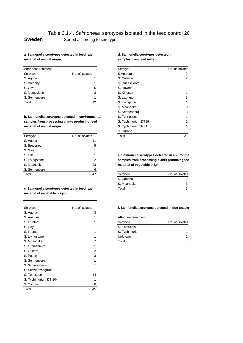## Table 3.1.4. *Salmonella* serotypes isolated in the feed control 20 **Sweden** Sorted according to serotype.

#### **a. Salmonella serotypes detected in feed raw d. Salmonella serotypes detected in**  material of animal origin **now of any contract of animal origin** samples from feed mills

| After heat treatment |                 | Serotype       | No. of isolates |
|----------------------|-----------------|----------------|-----------------|
| Serotype             | No. of isolates | S Anatum       | 2               |
| S. Agona             |                 | S. Cubana      | 2               |
| S. Bredeny           |                 | S. Duesseldorf | 1               |
| S. Give              | 6               | S. Havana      | 1               |
| S. Montevideo        | 3               | S. Kingston    | 1               |
| S. Senftenberg       |                 | S. Lexington   | 3               |
| Total                | 12              | S. Livinaston  |                 |

| Serotype       | No. of isolates | Total                        | 21                                              |
|----------------|-----------------|------------------------------|-------------------------------------------------|
| S. Agona       | 11              |                              |                                                 |
| S. Bredeney    | 5               |                              |                                                 |
| S. Give        |                 |                              |                                                 |
| S. Lille       |                 |                              | e. Salmonella serotypes detected in environment |
| S. Livingstone | 2               |                              | samples from processing plants producing fee    |
| S. Mbandaka    | 23              | material of vegetable origin |                                                 |
| S. Senftenberg | 4               |                              |                                                 |
| Total          | 47              | Serotype                     | No. of isolates                                 |

c. Salmonella serotypes detected in feed raw **material of vegetable origin** 

| Serotype              | No. of isolates | f. Salmonella serotypes detected in dog snack |                 |
|-----------------------|-----------------|-----------------------------------------------|-----------------|
| S. Agona              | 3               |                                               |                 |
| S. Anatum             |                 | After heat treatment                          |                 |
| S. Fluntern           |                 | Serotype                                      | No. of isolates |
| S. Ikayi              |                 | S. Enteritidis                                |                 |
| S. Infantis           |                 | S. Typhimurium                                |                 |
| S. Livingstone        |                 | Unknown                                       | 2               |
| S. Mbandaka           | 7               | Total                                         | 4               |
| S. Oranienburg        |                 |                                               |                 |
| S. Oukam              | 2               |                                               |                 |
| S. Putten             | 3               |                                               |                 |
| S. Senftenberg        |                 |                                               |                 |
| S. Schleissheim       |                 |                                               |                 |
| S. Schwartzengrund    |                 |                                               |                 |
| S. Tenessee           | 14              |                                               |                 |
| S. Typhimurium DT 104 | 1               |                                               |                 |
| S. Yoruba             | 6               |                                               |                 |
| Total                 | 45              |                                               |                 |

|                                                   | Serotype            | No. of isolates |
|---------------------------------------------------|---------------------|-----------------|
| No. of isolates                                   | S Anatum            | 2               |
|                                                   | S. Cubana           | 2               |
|                                                   | S. Duesseldorf      |                 |
| 6                                                 | S. Havana           |                 |
| 3                                                 | S. Kingston         |                 |
|                                                   | S. Lexington        | 3               |
| 12                                                | S. Livingston       |                 |
|                                                   | S. Mbandaka         | 3               |
|                                                   | S. Senftenberg      | 3               |
| b. Salmonella serotypes detected in environmental | S. Tennessee        |                 |
| samples from processing plants producing feed     | S. Typhimurium DT99 |                 |
|                                                   | S. Typhimurium NST  |                 |
|                                                   | S. Urbana           |                 |
| No. of isolates                                   | Total               | 21              |
|                                                   |                     |                 |

| Serotype    | No. of isolates |
|-------------|-----------------|
| S. Cubana   |                 |
| S. Mbandaka |                 |
| Total       |                 |

#### f. Salmonella serotypes detected in dog snacks

| After heat treatment |                 |
|----------------------|-----------------|
| Serotype             | No. of isolates |
| S. Enteritidis       |                 |
| S. Typhimurium       |                 |
| Unknown              |                 |
| Total                |                 |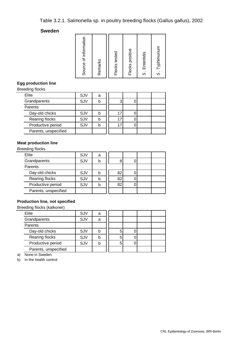# Table 3.2.1. Salmonella sp. in poultry breeding flocks (Gallus gallus), 2002

#### **Sweden**

| Source of information<br>Remarks | Flocks tested | Flocks positive | S. Enteritidis | S. Typhimurium |
|----------------------------------|---------------|-----------------|----------------|----------------|
|----------------------------------|---------------|-----------------|----------------|----------------|

## **Egg production line**

Breeding flocks

| Elite                | SJV | a |    |  |  |
|----------------------|-----|---|----|--|--|
| Grandparents         | SJV |   |    |  |  |
| Parents              |     |   |    |  |  |
| Day-old chicks       | SJV |   | 17 |  |  |
| Rearing flocks       | SJV |   | 17 |  |  |
| Productive period    | SJV |   | 17 |  |  |
| Parents, unspecified |     |   |    |  |  |

## **Meat production line**

Breeding flocks

| Elite                | SJV | а |    |  |  |
|----------------------|-----|---|----|--|--|
| Grandparents         | SJV |   |    |  |  |
| Parents              |     |   |    |  |  |
| Day-old chicks       | SJV |   | 82 |  |  |
| Rearing flocks       | SJV |   | 82 |  |  |
| Productive period    | SJV |   | 82 |  |  |
| Parents, unspecified |     |   |    |  |  |

## **Production line, not specified**

Breeding flocks (kalkoner)

| Elite                | SJV | a |  |  |  |
|----------------------|-----|---|--|--|--|
| Grandparents         | SJV | a |  |  |  |
| Parents              |     |   |  |  |  |
| Day-old chicks       | SJV |   |  |  |  |
| Rearing flocks       | SJV |   |  |  |  |
| Productive period    | SJV |   |  |  |  |
| Parents, unspecified |     |   |  |  |  |

a) None in Sweden.

b) In the health control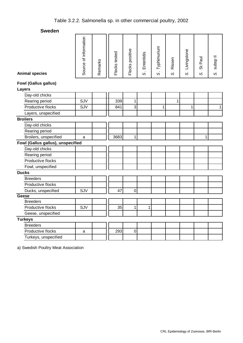| <b>Animal species</b>             | Source of information | Remarks | Flocks tested | Flocks positive | S. Enteritidis | S. Typhimurium | Rissen<br>$\dot{\omega}$ | Livingstone<br>$\dot{\infty}$ | St Paul<br>S | Il dsqns<br>$\dot{\infty}$ |
|-----------------------------------|-----------------------|---------|---------------|-----------------|----------------|----------------|--------------------------|-------------------------------|--------------|----------------------------|
| <b>Fowl (Gallus gallus)</b>       |                       |         |               |                 |                |                |                          |                               |              |                            |
| Layers                            |                       |         |               |                 |                |                |                          |                               |              |                            |
| Day-old chicks                    |                       |         |               |                 |                |                |                          |                               |              |                            |
| Rearing period                    | SJV                   |         | 339           | $\mathbf{1}$    |                |                | $\mathbf 1$              |                               |              |                            |
| Productive flocks                 | SJV                   |         | 841           | ن               |                | 1              |                          | 1                             |              | $\mathbf{1}$               |
| Layers, unspecified               |                       |         |               |                 |                |                |                          |                               |              |                            |
| <b>Broilers</b>                   |                       |         |               |                 |                |                |                          |                               |              |                            |
| Day-old chicks                    |                       |         |               |                 |                |                |                          |                               |              |                            |
| Rearing period                    |                       |         |               |                 |                |                |                          |                               |              |                            |
| Broilers, unspecified             | a                     |         | 3683          | 1               |                |                |                          |                               | 1            |                            |
| Fowl (Gallus gallus), unspecified |                       |         |               |                 |                |                |                          |                               |              |                            |
| Day-old chicks                    |                       |         |               |                 |                |                |                          |                               |              |                            |
| Rearing period                    |                       |         |               |                 |                |                |                          |                               |              |                            |
| Productive flocks                 |                       |         |               |                 |                |                |                          |                               |              |                            |
| Fowl, unspecified                 |                       |         |               |                 |                |                |                          |                               |              |                            |
| <b>Ducks</b>                      |                       |         |               |                 |                |                |                          |                               |              |                            |
| <b>Breeders</b>                   |                       |         |               |                 |                |                |                          |                               |              |                            |
| Productive flocks                 |                       |         |               |                 |                |                |                          |                               |              |                            |
| Ducks, unspecified                | SJV                   |         | 47            | $\mathbf 0$     |                |                |                          |                               |              |                            |
| Geese                             |                       |         |               |                 |                |                |                          |                               |              |                            |
| <b>Breeders</b>                   |                       |         |               |                 |                |                |                          |                               |              |                            |
| Productive flocks                 | SJV                   |         | 35            | $\mathbf{1}$    | 1              |                |                          |                               |              |                            |
| Geese, unspecified                |                       |         |               |                 |                |                |                          |                               |              |                            |
| <b>Turkeys</b>                    |                       |         |               |                 |                |                |                          |                               |              |                            |
| <b>Breeders</b>                   |                       |         |               |                 |                |                |                          |                               |              |                            |
| Productive flocks                 | a                     |         | 293           | $\mathbf 0$     |                |                |                          |                               |              |                            |
| Turkeys, unspecified              |                       |         |               |                 |                |                |                          |                               |              |                            |

a) Swedish Poultry Meat Association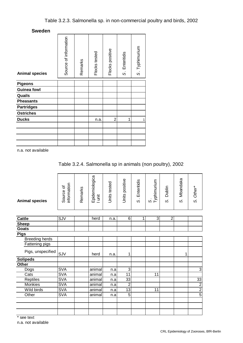| <b>Animal species</b> | Source of information | Remarks | Flocks tested | Flocks positive | S. Enteritidis | S. Typhimurium |
|-----------------------|-----------------------|---------|---------------|-----------------|----------------|----------------|
| <b>Pigeons</b>        |                       |         |               |                 |                |                |
| <b>Guinea fowl</b>    |                       |         |               |                 |                |                |
| Quails                |                       |         |               |                 |                |                |
| <b>Pheasants</b>      |                       |         |               |                 |                |                |
| <b>Partridges</b>     |                       |         |               |                 |                |                |
| <b>Ostriches</b>      |                       |         |               |                 |                |                |
| <b>Ducks</b>          |                       |         | n.a.          | $\overline{2}$  | 1              | 1              |
|                       |                       |         |               |                 |                |                |
|                       |                       |         |               |                 |                |                |
|                       |                       |         |               |                 |                |                |
|                       |                       |         |               |                 |                |                |

n.a. not available

|  | Table 3.2.4. Salmonella sp in animals (non poultry), 2002 |  |  |
|--|-----------------------------------------------------------|--|--|
|  |                                                           |  |  |

| <b>Animal species</b> | information<br>Source of | Remarks | Epidemiologica<br>I unit | Units tested | Units positive  | Enteritidis<br>$\dot{\infty}$ | S.<br>Typhimurium | Dublin<br>$\dot{\omega}$ | Mbandaka<br>$\dot{\mathcal{O}}$ | Other*<br>$\dot{\infty}$ |
|-----------------------|--------------------------|---------|--------------------------|--------------|-----------------|-------------------------------|-------------------|--------------------------|---------------------------------|--------------------------|
| <b>Cattle</b>         | SJV                      |         | herd                     | n.a.         | 6               | 1                             | $\overline{3}$    | $\overline{2}$           |                                 |                          |
| <b>Sheep</b>          |                          |         |                          |              |                 |                               |                   |                          |                                 |                          |
| Goats                 |                          |         |                          |              |                 |                               |                   |                          |                                 |                          |
| <b>Pigs</b>           |                          |         |                          |              |                 |                               |                   |                          |                                 |                          |
| <b>Breeding herds</b> |                          |         |                          |              |                 |                               |                   |                          |                                 |                          |
| Fattening pigs        |                          |         |                          |              |                 |                               |                   |                          |                                 |                          |
| Pigs, unspecified     | SJV                      |         | herd                     | n.a.         | 1               |                               |                   |                          | 1                               |                          |
| <b>Solipeds</b>       |                          |         |                          |              |                 |                               |                   |                          |                                 |                          |
| Other                 |                          |         |                          |              |                 |                               |                   |                          |                                 |                          |
| Dogs                  | <b>SVA</b>               |         | animal                   | n.a          | $\overline{3}$  |                               |                   |                          |                                 | $\overline{3}$           |
| Cats                  | <b>SVA</b>               |         | animal                   | n.a          | 11              |                               | 11                |                          |                                 |                          |
| Reptiles              | <b>SVA</b>               |         | animal                   | n.a          | 33              |                               |                   |                          |                                 |                          |
| <b>Monkies</b>        | <b>SVA</b>               |         | animal                   | n.a          | $\overline{2}$  |                               |                   |                          |                                 |                          |
| Wild birds            | <b>SVA</b>               |         | animal                   | n.a          | $\overline{13}$ |                               | 11                |                          |                                 | $\frac{33}{2}$           |
| Other                 | <b>SVA</b>               |         | animal                   | n.a          | $\overline{5}$  |                               |                   |                          |                                 | $\overline{5}$           |
|                       |                          |         |                          |              |                 |                               |                   |                          |                                 |                          |
|                       |                          |         |                          |              |                 |                               |                   |                          |                                 |                          |
|                       |                          |         |                          |              |                 |                               |                   |                          |                                 |                          |

\* see text

n.a. not available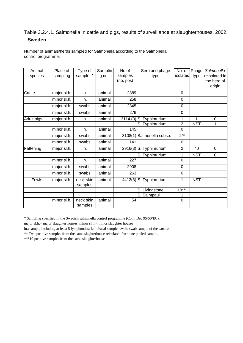# Table 3.2.4.1. Salmonella in cattle and pigs, results of surveillance at slaughterhouses, 2002 **Sweden**

| Animal<br>species | Place of<br>sampling | Type of<br>sample *  | Samplin<br>g unit | No of<br>samples<br>(no. pos) | Sero and phage<br>type    | No. of Phage<br>isolates | type       | Salmonella<br>reisolated in<br>the herd of<br>origin |
|-------------------|----------------------|----------------------|-------------------|-------------------------------|---------------------------|--------------------------|------------|------------------------------------------------------|
| Cattle            | major sl.h.          | In.                  | animal            | 2889                          |                           | $\Omega$                 |            |                                                      |
|                   | minor sl.h.          | In.                  | animal            | 258                           |                           | 0                        |            |                                                      |
|                   | major sl.h.          | swabs                | animal            | 2845                          |                           | 0                        |            |                                                      |
|                   | minor sl.h.          | swabs                | animal            | 276                           |                           | 0                        |            |                                                      |
| Adult pigs        | major sl.h.          | In.                  | animal            |                               | 3114 (3) S. Typhimurium   | 1                        | 1          | $\mathbf 0$                                          |
|                   |                      |                      |                   |                               | S. Typhimurium            | $\overline{2}$           | <b>NST</b> | 1                                                    |
|                   | minor sl.h.          | In.                  | animal            | 145                           |                           | 0                        |            |                                                      |
|                   | major sl.h.          | swabs                | animal            |                               | 3108(1) Salmonella subsp. | $2***$                   |            |                                                      |
|                   | minor sl.h.          | swabs                | animal            | 141                           |                           | 0                        |            |                                                      |
| Fattening         | major sl.h.          | In.                  | animal            |                               | 2916(3) S. Typhimurium    | $\overline{2}$           | 40         | $\overline{0}$                                       |
|                   |                      |                      |                   |                               | S. Typhimurium            | 1                        | NST        | 0                                                    |
|                   | minor sl.h.          | In.                  | animal            | 227                           |                           | 0                        |            |                                                      |
|                   | major sl.h.          | swabs                | animal            | 2908                          |                           | 0                        |            |                                                      |
|                   | minor sl.h.          | swabs                | animal            | 263                           |                           | $\mathbf 0$              |            |                                                      |
| Fowls             | major sl.h.          | neck skin<br>samples | animal            |                               | 4412(3) S. Typhimurium    | 1                        | <b>NST</b> |                                                      |
|                   |                      |                      |                   |                               | S. Livingstone            | $10***$                  |            |                                                      |
|                   |                      |                      |                   |                               | S. Saintpaul              | 1                        |            |                                                      |
|                   | minor sl.h.          | neck skin<br>samples | animal            | 54                            |                           | 0                        |            |                                                      |

Number of animals/herds sampled for Salmonella according to the Salmonella control programme.

\* Sampling specified in the Swedish salmonella control programme (Com. Dec 95/50/EC).

major sl.h.= major slaughter houses, minor sl.h.= minor slaughter houses

ln.: sample including at least 5 lymphnodes; f.s.: feacal sample; swab: swab sample of the carcass

\*\* Two positive samples from the same slaghterhouse reisolated from one pooled sample.

\*\*\*10 positive samples from the same slaughterhouse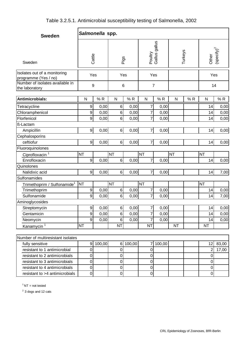| Table 3.2.5.1. Antimicrobial susceptibility testing of Salmonella, 2002 |  |
|-------------------------------------------------------------------------|--|
|-------------------------------------------------------------------------|--|

| <b>Sweden</b>                                        |                  | Salmonella spp. |                |          |                          |                |              |    |                  |                                         |
|------------------------------------------------------|------------------|-----------------|----------------|----------|--------------------------|----------------|--------------|----|------------------|-----------------------------------------|
| Sweden                                               | Cattle           |                 | Pigs           |          | Poultry<br>Gallus gallus |                | Turkeys      |    | Other            | $\left($ specify $\right)$ <sup>2</sup> |
| Isolates out of a monitoring<br>programme (Yes / no) |                  | Yes             | Yes            |          | Yes                      |                |              |    | Yes              |                                         |
| Number of isolates available in<br>the laboratory    |                  | 9               | 6              |          |                          | $\overline{7}$ |              |    |                  | 14                                      |
| Antimicrobials:                                      | $\mathsf{N}$     | %R              | $\mathsf{N}$   | %R       | N                        | %R             | $\mathsf{N}$ | %R | $\mathsf{N}$     | %R                                      |
| Tetracycline                                         | $\boldsymbol{9}$ | 0,00            | 6              | 0,00     | 7                        | 0,00           |              |    | 14               | 0,00                                    |
| Chloramphenicol                                      | $\boldsymbol{9}$ | 0,00            | 6              | 0,00     | 7                        | 0,00           |              |    | 14               | 0,00                                    |
| Florfenicol                                          | $\boldsymbol{9}$ | 0,00            | 6              | 0,00     | $\overline{7}$           | 0,00           |              |    | 14               | 0,00                                    |
| ß-Lactam                                             |                  |                 |                |          |                          |                |              |    |                  |                                         |
| Ampicillin                                           | $\boldsymbol{9}$ | 0,00            | 6              | 0,00     | 7                        | 0,00           |              |    | 14               | 0,00                                    |
| Cephalosporins                                       |                  |                 |                |          |                          |                |              |    |                  |                                         |
| ceftiofur                                            | $\boldsymbol{9}$ | 0,00            | 6 <sup>1</sup> | 0,00     | 7                        | 0,00           |              |    | 14               | 0,00                                    |
| Fluoroquinolones                                     |                  |                 |                |          |                          |                |              |    |                  |                                         |
| Ciprofloxacin <sup>1</sup>                           | <b>NT</b>        |                 | <b>NT</b>      |          | <b>NT</b>                |                | <b>NT</b>    |    | <b>NT</b>        |                                         |
| Enrofloxacin                                         | $\boldsymbol{9}$ | 0,00            | 6              | 0,00     | 7                        | 0,00           |              |    | 14               | 0,00                                    |
| Quinolones                                           |                  |                 |                |          |                          |                |              |    |                  |                                         |
| Nalidixic acid                                       | $\boldsymbol{9}$ | 0,00            | 6              | 0,00     | $\overline{7}$           | 0,00           |              |    | 14               | 7,00                                    |
| Sulfonamides                                         |                  |                 |                |          |                          |                |              |    |                  |                                         |
| Trimethoprim / Sulfonamide <sup>1</sup>              | <b>NT</b>        |                 | <b>NT</b>      |          | <b>NT</b>                |                |              |    | <b>NT</b>        |                                         |
| Trimethoprim                                         | $\boldsymbol{9}$ | 0,00            | 6              | 0,00     | 7                        | 0,00           |              |    | 14               | 0,00                                    |
| Sulfonamide                                          | $\boldsymbol{9}$ | 0,00            | 6              | 0,00     | 7                        | 0,00           |              |    | 14               | 7,00                                    |
| Aminoglycosides                                      |                  |                 |                |          |                          |                |              |    |                  |                                         |
| Streptomycin                                         | 9                | 0,00            | 6              | 0,00     | ſ.                       | 0,00           |              |    | 14               | 0,00                                    |
| Gentamicin                                           | $\boldsymbol{9}$ | 0,00            | 6              | 0,00     | 7                        | 0,00           |              |    | 14               | 0,00                                    |
| Neomycin                                             | $\boldsymbol{9}$ | 0,00            | 6              | 0,00     | 7                        | 0,00           |              |    | 14               | 0,00                                    |
| Kanamycin <sup>1</sup>                               | <b>NT</b>        |                 | <b>NT</b>      |          | <b>NT</b>                |                | <b>NT</b>    |    | <b>NT</b>        |                                         |
|                                                      |                  |                 |                |          |                          |                |              |    |                  |                                         |
| Number of multiresistant isolates                    |                  |                 |                |          |                          |                |              |    |                  |                                         |
| fully sensitive                                      | $\boldsymbol{9}$ | 100,00          |                | 6 100,00 | 7                        | 100,00         |              |    | 12               | 83,00                                   |
| resistant to 1 antimicrobial                         | $\boldsymbol{0}$ |                 | $\mathbf 0$    |          | $\mathbf 0$              |                |              |    | $\overline{2}$   | 17,00                                   |
| resistant to 2 antimicrobials                        | $\pmb{0}$        |                 | $\pmb{0}$      |          | $\mathbf 0$              |                |              |    | $\pmb{0}$        |                                         |
| resistant to 3 antimicrobials                        | $\pmb{0}$        |                 | $\mathbf 0$    |          | $\mathbf 0$              |                |              |    | $\pmb{0}$        |                                         |
| resistant to 4 antimicrobials                        | $\mathbf 0$      |                 | $\mathbf 0$    |          | $\mathbf 0$              |                |              |    | $\boldsymbol{0}$ |                                         |
| resistant to >4 antimicrobials                       | $\pmb{0}$        |                 | 0              |          | $\mathbf 0$              |                |              |    | 0                |                                         |

 $1$  NT = not tested

 $2$  3 dogs and 12 cats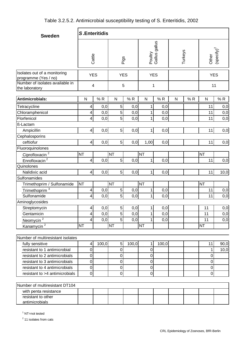| <b>Sweden</b>                                                                           |                         | <b>S.Enteritidis</b> |                     |       |              |                          |   |         |            |                                 |
|-----------------------------------------------------------------------------------------|-------------------------|----------------------|---------------------|-------|--------------|--------------------------|---|---------|------------|---------------------------------|
|                                                                                         |                         | Cattle               |                     | Pigs  |              | Poultry<br>Gallus gallus |   | Turkeys |            | Other<br>(specify) <sup>2</sup> |
| Isolates out of a monitoring<br>programme (Yes / no)<br>Number of isolates available in |                         | <b>YES</b>           | <b>YES</b>          |       | <b>YES</b>   |                          |   |         | <b>YES</b> |                                 |
| the laboratory                                                                          |                         | 4                    | 5                   |       | $\mathbf 1$  |                          |   |         | 11         |                                 |
| Antimicrobials:                                                                         | $\mathsf{N}$            | %R                   | $\mathsf{N}$        | %R    | N            | %R                       | N | %R      | N          | %R                              |
| Tetracycline                                                                            | 4                       | 0,0                  | $\overline{5}$      | 0,0   | 1            | 0,0                      |   |         | 11         | 0,0                             |
| Chloramphenicol                                                                         | 4                       | 0,0                  | 5                   | 0,0   | 1            | 0,0                      |   |         | 11         | 0,0                             |
| Florfenicol                                                                             | 4                       | 0,0                  | 5                   | 0,0   | 1            | 0,0                      |   |         | 11         | 0,0                             |
| ß-Lactam                                                                                |                         |                      |                     |       |              |                          |   |         |            |                                 |
| Ampicillin                                                                              | 4                       | 0,0                  | 5                   | 0,0   | 1            | 0,0                      |   |         | 11         | 0,0                             |
| Cephalosporins                                                                          |                         |                      |                     |       |              |                          |   |         |            |                                 |
| ceftiofur                                                                               | 4                       | 0,0                  | 5 <sup>1</sup>      | 0,0   | 1,00         | 0,0                      |   |         | 11         | 0,0                             |
| Fluoroquinolones                                                                        |                         |                      |                     |       |              |                          |   |         |            |                                 |
| Ciprofloxacin <sup>2</sup>                                                              | <b>NT</b>               |                      | <b>NT</b>           |       | <b>NT</b>    |                          |   |         | <b>NT</b>  |                                 |
| Enrofloxacin <sup>2</sup>                                                               | 4                       | 0,0                  | 5 <sup>1</sup>      | 0,0   | 1            | 0,0                      |   |         | 11         | 0,0                             |
| Quinolones                                                                              |                         |                      |                     |       |              |                          |   |         |            |                                 |
| Nalidixic acid                                                                          | $\overline{\mathbf{4}}$ | 0,0                  | 5 <sup>1</sup>      | 0,0   | $\mathbf{1}$ | 0,0                      |   |         | 11         | 10,0                            |
| Sulfonamides                                                                            |                         |                      |                     |       |              |                          |   |         |            |                                 |
| Trimethoprim / Sulfonamide                                                              | <b>NT</b>               |                      | <b>NT</b>           |       | <b>NT</b>    |                          |   |         | <b>NT</b>  |                                 |
| Trimethoprim <sup>3</sup>                                                               | 4                       | 0,0                  | 5                   | 0,0   | 1            | 0,0                      |   |         | 11         | 0,0                             |
| Sulfonamide                                                                             | 4                       | 0,0                  | 5                   | 0,0   | 1            | 0,0                      |   |         | 11         | 0,0                             |
| Aminoglycosides                                                                         |                         |                      |                     |       |              |                          |   |         |            |                                 |
| Streptomycin                                                                            | 4                       | $0,0$                | $\overline{5}$      | $0,0$ | $\mathbf{1}$ | $0,0$                    |   |         | 11         | $_{0,0}$                        |
| Gentamicin                                                                              | 4                       | 0,0                  | 5                   | 0,0   |              | 0,0                      |   |         | 11         | 0,0                             |
| Neomycin $\overline{2}$                                                                 | 4                       | 0,0                  | 5                   | 0,0   | 1            | 0,0                      |   |         | 11         | 0,0                             |
| Kanamycin <sup>2</sup>                                                                  | <b>NT</b>               |                      | <b>NT</b>           |       | <b>NT</b>    |                          |   |         | <b>NT</b>  |                                 |
| Number of multiresistant isolates                                                       |                         |                      |                     |       |              |                          |   |         |            |                                 |
| fully sensitive                                                                         | 4                       | 100,0                | $\sqrt{5}$          | 100,0 | 1            | 100,0                    |   |         | 11         | 90,0                            |
| resistant to 1 antimicrobial                                                            | $\pmb{0}$               |                      | $\mathsf{O}\xspace$ |       | $\mathsf 0$  |                          |   |         | 1          | 10,0                            |
| resistant to 2 antimicrobials                                                           | $\boldsymbol{0}$        |                      | 0                   |       | 0            |                          |   |         | $\pmb{0}$  |                                 |
| resistant to 3 antimicrobials                                                           | $\boldsymbol{0}$        |                      | $\mathbf 0$         |       | 0            |                          |   |         | $\pmb{0}$  |                                 |
| resistant to 4 antimicrobials                                                           | $\boldsymbol{0}$        |                      | 0                   |       | 0            |                          |   |         | $\pmb{0}$  |                                 |
| resistant to >4 antimicrobials                                                          | $\overline{0}$          |                      | 0                   |       | 0            |                          |   |         | 0          |                                 |
|                                                                                         |                         |                      |                     |       |              |                          |   |         |            |                                 |
| Number of multiresistant DT104                                                          |                         |                      |                     |       |              |                          |   |         |            |                                 |
| with penta resistance                                                                   |                         |                      |                     |       |              |                          |   |         |            |                                 |
| resistant to other<br>antimicrobials                                                    |                         |                      |                     |       |              |                          |   |         |            |                                 |

<sup>1</sup> NT=not tested

<sup>2</sup> 11 isolates from cats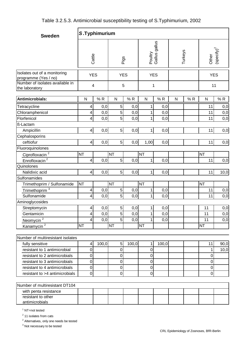| <b>Sweden</b>                                        | S.Typhimurium           |                         |                |       |                |                          |              |         |                  |                               |  |
|------------------------------------------------------|-------------------------|-------------------------|----------------|-------|----------------|--------------------------|--------------|---------|------------------|-------------------------------|--|
|                                                      | Cattle                  |                         |                | Pigs  |                | Poultry<br>Gallus gallus |              | Turkeys |                  | Other<br>$(\text{specify})^2$ |  |
| Isolates out of a monitoring<br>programme (Yes / no) |                         | <b>YES</b>              | <b>YES</b>     |       | <b>YES</b>     |                          |              |         | <b>YES</b>       |                               |  |
| Number of isolates available in<br>the laboratory    |                         | $\overline{\mathbf{4}}$ | 5              |       | 1              |                          |              |         | 11               |                               |  |
| Antimicrobials:                                      | ${\sf N}$               | %R                      | ${\sf N}$      | %R    | ${\sf N}$      | %R                       | $\mathsf{N}$ | %R      | ${\sf N}$        | $\%$ R                        |  |
| Tetracycline                                         | 4                       | 0,0                     | 5              | 0,0   | 1              | 0,0                      |              |         | 11               | 0,0                           |  |
| Chloramphenicol                                      | 4                       | 0,0                     | 5              | 0,0   | 1              | 0,0                      |              |         | 11               | 0,0                           |  |
| Florfenicol                                          | 4                       | 0,0                     | 5              | 0,0   | 1              | 0,0                      |              |         | 11               | 0,0                           |  |
| ß-Lactam                                             |                         |                         |                |       |                |                          |              |         |                  |                               |  |
| Ampicillin                                           | $\overline{\mathbf{4}}$ | 0,0                     | $\overline{5}$ | 0,0   | 1              | 0,0                      |              |         | 11               | 0,0                           |  |
| Cephalosporins                                       |                         |                         |                |       |                |                          |              |         |                  |                               |  |
| ceftiofur                                            | $\overline{\mathbf{4}}$ | 0,0                     | 5              | 0,0   | 1,00           | 0,0                      |              |         | 11               | 0,0                           |  |
| Fluoroquinolones                                     |                         |                         |                |       |                |                          |              |         |                  |                               |  |
| Ciprofloxacin <sup>2</sup>                           | <b>NT</b>               |                         | <b>NT</b>      |       | <b>NT</b>      |                          |              |         | <b>NT</b>        |                               |  |
| Enrofloxacin <sup>2</sup>                            | 4                       | 0,0                     | $\overline{5}$ | 0,0   | 1              | 0,0                      |              |         | 11               | 0,0                           |  |
| Quinolones                                           |                         |                         |                |       |                |                          |              |         |                  |                               |  |
| Nalidixic acid                                       | $\overline{\mathbf{4}}$ | 0,0                     | 5              | 0,0   | 1              | 0,0                      |              |         | 11               | 10,0                          |  |
| Sulfonamides                                         |                         |                         |                |       |                |                          |              |         |                  |                               |  |
| Trimethoprim / Sulfonamide                           | <b>NT</b>               |                         | <b>NT</b>      |       | <b>NT</b>      |                          |              |         | <b>NT</b>        |                               |  |
| Trimethoprim <sup>3</sup>                            | 4                       | 0,0                     | 5              | 0,0   | 1              | 0,0                      |              |         | 11               | 0,0                           |  |
| Sulfonamide                                          | 4                       | 0,0                     | 5              | 0,0   | 1              | 0,0                      |              |         | 11               | 0,0                           |  |
| Aminoglycosides                                      |                         |                         |                |       |                |                          |              |         |                  |                               |  |
| Streptomycin                                         | $\overline{\mathbf{4}}$ | 0,0                     | 5 <sup>1</sup> | 0,0   | 1              | 0,0                      |              |         | 11               | 0,0                           |  |
| Gentamicin                                           | 4                       | 0,0                     | 5              | 0,0   | 1              | 0,0                      |              |         | 11               | 0,0                           |  |
| Neomycin <sup>2</sup>                                | 4                       | 0,0                     | 5              | 0,0   | 1              | 0,0                      |              |         | 11               | 0,0                           |  |
| Kanamycin <sup>2</sup>                               | <b>NT</b>               |                         | <b>NT</b>      |       | <b>NT</b>      |                          |              |         | <b>NT</b>        |                               |  |
| Number of multiresistant isolates                    |                         |                         |                |       |                |                          |              |         |                  |                               |  |
| fully sensitive                                      | $\overline{\mathbf{4}}$ | 100,0                   | $\sqrt{5}$     | 100,0 | 1              | 100,0                    |              |         | 11               | 90,0                          |  |
| resistant to 1 antimicrobial                         | $\boldsymbol{0}$        |                         | $\mathbf 0$    |       | 0              |                          |              |         | 1                | 10,0                          |  |
| resistant to 2 antimicrobials                        | $\mathbf 0$             |                         | $\mathbf 0$    |       | $\overline{0}$ |                          |              |         | 0                |                               |  |
| resistant to 3 antimicrobials                        | $\pmb{0}$               |                         | $\pmb{0}$      |       | $\pmb{0}$      |                          |              |         | $\pmb{0}$        |                               |  |
| resistant to 4 antimicrobials                        | $\pmb{0}$               |                         | $\mathbf 0$    |       | $\mathbf 0$    |                          |              |         | $\boldsymbol{0}$ |                               |  |
| resistant to >4 antimicrobials                       | $\boldsymbol{0}$        |                         | $\mathbf 0$    |       | $\mathbf 0$    |                          |              |         | $\mathbf 0$      |                               |  |
|                                                      |                         |                         |                |       |                |                          |              |         |                  |                               |  |
| Number of multiresistant DT104                       |                         |                         |                |       |                |                          |              |         |                  |                               |  |

| with penta resistance |  |  |  |  |  |
|-----------------------|--|--|--|--|--|
| resistant to other    |  |  |  |  |  |
| antimicrobials        |  |  |  |  |  |

<sup>1</sup> NT=not tested

 $\overline{\phantom{a}}$ 

<sup>2</sup> 11 isolates from cats

<sup>2</sup> Alternatives, only one needs be tested

 $3$  Not necessary to be tested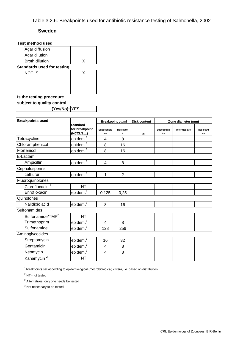## Table 3.2.6. Breakpoints used for antibiotic resistance testing of Salmonella, 2002

#### **Sweden**

## **Test method used**

| Agar diffusion                    |   |  |  |  |  |  |  |  |
|-----------------------------------|---|--|--|--|--|--|--|--|
| Agar dilution                     |   |  |  |  |  |  |  |  |
| <b>Broth dilution</b>             | x |  |  |  |  |  |  |  |
| <b>Standards used for testing</b> |   |  |  |  |  |  |  |  |
| <b>NCCLS</b>                      | x |  |  |  |  |  |  |  |
|                                   |   |  |  |  |  |  |  |  |
|                                   |   |  |  |  |  |  |  |  |
|                                   |   |  |  |  |  |  |  |  |

# **Is the testing procedure**

**subject to quality control** 

**(Yes/No):** YES

| <b>Breakpoints used</b>      |                                               |                              | <b>Breakpoint ug/ml</b>            | <b>Disk content</b> | Zone diameter (mm)  |              |                 |  |
|------------------------------|-----------------------------------------------|------------------------------|------------------------------------|---------------------|---------------------|--------------|-----------------|--|
|                              | <b>Standard</b><br>for breakpoint<br>(NCCLS,) | <b>Susceptible</b><br>$\leq$ | <b>Resistant</b><br>$\overline{ }$ | μg                  | Susceptible<br>$>=$ | Intermediate | Resistant<br><= |  |
| Tetracycline                 | epidem. <sup>1</sup>                          | 4                            | 8                                  |                     |                     |              |                 |  |
| Chloramphenicol              | epidem. <sup>1</sup>                          | 8                            | 16                                 |                     |                     |              |                 |  |
| Florfenicol                  | epidem. <sup>1</sup>                          | 8                            | 16                                 |                     |                     |              |                 |  |
| ß-Lactam                     |                                               |                              |                                    |                     |                     |              |                 |  |
| Ampicillin                   | epidem. <sup>1</sup>                          | 4                            | 8                                  |                     |                     |              |                 |  |
| Cephalosporins               |                                               |                              |                                    |                     |                     |              |                 |  |
| ceftiufur                    | lepidem. <sup>1</sup>                         | 1                            | $\overline{2}$                     |                     |                     |              |                 |  |
| Fluoroquinolones             |                                               |                              |                                    |                     |                     |              |                 |  |
| Ciprofloxacin <sup>2</sup>   | <b>NT</b>                                     |                              |                                    |                     |                     |              |                 |  |
| Enrofloxacin                 | epidem. <sup>1</sup>                          | 0,125                        | 0,25                               |                     |                     |              |                 |  |
| Quinolones                   |                                               |                              |                                    |                     |                     |              |                 |  |
| Nalidixic acid               | epidem. <sup>1</sup>                          | 8                            | 16                                 |                     |                     |              |                 |  |
| Sulfonamides                 |                                               |                              |                                    |                     |                     |              |                 |  |
| Sulfonamide/TMP <sup>2</sup> | <b>NT</b>                                     |                              |                                    |                     |                     |              |                 |  |
| Trimethoprim                 | epidem. <sup>1</sup>                          | 4                            | 8                                  |                     |                     |              |                 |  |
| Sulfonamide                  | epidem. <sup>1</sup>                          | 128                          | 256                                |                     |                     |              |                 |  |
| Aminoglycosides              |                                               |                              |                                    |                     |                     |              |                 |  |
| Streptomycin                 | epidem. <sup>1</sup>                          | 16                           | 32                                 |                     |                     |              |                 |  |
| Gentamicin                   | epidem. <sup>1</sup>                          | 4                            | 8                                  |                     |                     |              |                 |  |
| Neomycin                     | epidem. <sup>1</sup>                          | 4                            | 8                                  |                     |                     |              |                 |  |
| Kanamycin <sup>2</sup>       | <b>NT</b>                                     |                              |                                    |                     |                     |              |                 |  |

 $1$  breakpoints set according to epidemiological (mocrobiological) critera, i.e. based on distribution

<sup>2</sup> NT=not tested

<sup>2</sup> Alternatives, only one needs be tested

 $3$  Not necessary to be tested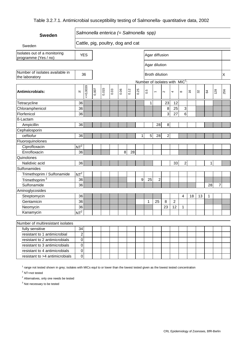## Table 3.2.7.1. Antimicrobial susceptibility testing of Salmonella- quantitative data, 2002

| <b>Sweden</b>                                        |                         |            |       |       |      | Salmonella enterica (= Salmonella spp) |      |              |              |                          |                                                      |    |                  |               |    |                |     |             |
|------------------------------------------------------|-------------------------|------------|-------|-------|------|----------------------------------------|------|--------------|--------------|--------------------------|------------------------------------------------------|----|------------------|---------------|----|----------------|-----|-------------|
| Sweden                                               |                         |            |       |       |      | Cattle, pig, poultry, dog and cat      |      |              |              |                          |                                                      |    |                  |               |    |                |     |             |
| Isolates out of a monitoring<br>programme (Yes / no) |                         | <b>YES</b> |       |       |      |                                        |      |              |              | Agar diffusion           |                                                      |    |                  |               |    |                |     |             |
|                                                      |                         |            |       |       |      |                                        |      |              |              | Agar dilution            |                                                      |    |                  |               |    |                |     |             |
| Number of isolates available in<br>the laboratory    |                         | 36         |       |       |      |                                        |      |              |              | <b>Broth dilution</b>    |                                                      |    |                  |               |    |                |     | $\mathsf X$ |
| Antimicrobials:                                      | N                       | 50,0039    | 0,007 | 0,015 | 0.03 | 0.06                                   | 0.12 | 0.25         | rù<br>ö      | $\overline{\phantom{0}}$ | Number of isolates with MIC <sup>1</sup> :<br>$\sim$ | 4  | $\infty$         | $\frac{6}{5}$ | 32 | $\mathfrak{g}$ | 128 | 256         |
| Tetracycline                                         | 36                      |            |       |       |      |                                        |      |              | $\mathbf{1}$ |                          | 23                                                   | 12 |                  |               |    |                |     |             |
| Chloramphenicol                                      | 36                      |            |       |       |      |                                        |      |              |              |                          | 8                                                    | 25 | 3                |               |    |                |     |             |
| Florfenicol                                          | 36                      |            |       |       |      |                                        |      |              |              |                          | 3                                                    | 27 | $6\phantom{a}$   |               |    |                |     |             |
| ß-Lactam                                             |                         |            |       |       |      |                                        |      |              |              |                          |                                                      |    |                  |               |    |                |     |             |
| Ampicillin                                           | 36                      |            |       |       |      |                                        |      |              |              | 28                       | 8                                                    |    |                  |               |    |                |     |             |
| Cephalosporin                                        |                         |            |       |       |      |                                        |      |              |              |                          |                                                      |    |                  |               |    |                |     |             |
| ceftiofur                                            | 36                      |            |       |       |      |                                        |      | $\mathbf{1}$ | $\sqrt{5}$   | 28                       | $\overline{\mathbf{c}}$                              |    |                  |               |    |                |     |             |
| Fluoroquinolones                                     |                         |            |       |       |      |                                        |      |              |              |                          |                                                      |    |                  |               |    |                |     |             |
| Ciprofloxacin                                        | NT <sup>2</sup>         |            |       |       |      |                                        |      |              |              |                          |                                                      |    |                  |               |    |                |     |             |
| Enrofloxacin                                         | 36                      |            |       |       |      | 8                                      | 28   |              |              |                          |                                                      |    |                  |               |    |                |     |             |
| Quinolones                                           |                         |            |       |       |      |                                        |      |              |              |                          |                                                      |    |                  |               |    |                |     |             |
| Nalidixic acid                                       | 36                      |            |       |       |      |                                        |      |              |              |                          |                                                      | 33 | $\boldsymbol{2}$ |               |    | 1              |     |             |
| Sulfonamides                                         |                         |            |       |       |      |                                        |      |              |              |                          |                                                      |    |                  |               |    |                |     |             |
| Trimethoprim / Sulfonamide                           | NT <sup>2</sup>         |            |       |       |      |                                        |      |              |              |                          |                                                      |    |                  |               |    |                |     |             |
| Trimethoprim <sup>3</sup>                            | 36                      |            |       |       |      |                                        |      | 9            | 25           | $\overline{\mathbf{c}}$  |                                                      |    |                  |               |    |                |     |             |
| Sulfonamide                                          | 36                      |            |       |       |      |                                        |      |              |              |                          |                                                      |    |                  |               |    | 28             | 7   |             |
| Aminoglycosides                                      |                         |            |       |       |      |                                        |      |              |              |                          |                                                      |    |                  |               |    |                |     |             |
| Streptomycin                                         | 36                      |            |       |       |      |                                        |      |              |              |                          |                                                      |    | 4                | 18            | 13 | 1              |     |             |
| Gentamicin                                           | 36                      |            |       |       |      |                                        |      |              | 1            | 25                       | 8                                                    | 2  |                  |               |    |                |     |             |
| Neomycin                                             | 36                      |            |       |       |      |                                        |      |              |              |                          | 23                                                   | 12 | 1                |               |    |                |     |             |
| Kanamycin                                            | $NT^2$                  |            |       |       |      |                                        |      |              |              |                          |                                                      |    |                  |               |    |                |     |             |
|                                                      |                         |            |       |       |      |                                        |      |              |              |                          |                                                      |    |                  |               |    |                |     |             |
| Number of multiresistant isolates                    |                         |            |       |       |      |                                        |      |              |              |                          |                                                      |    |                  |               |    |                |     |             |
| fully sensitive                                      | 34                      |            |       |       |      |                                        |      |              |              |                          |                                                      |    |                  |               |    |                |     |             |
| resistant to 1 antimicrobial                         | $\overline{\mathbf{c}}$ |            |       |       |      |                                        |      |              |              |                          |                                                      |    |                  |               |    |                |     |             |
| resistant to 2 antimicrobials                        | 0                       |            |       |       |      |                                        |      |              |              |                          |                                                      |    |                  |               |    |                |     |             |
| resistant to 3 antimicrobials                        | 0                       |            |       |       |      |                                        |      |              |              |                          |                                                      |    |                  |               |    |                |     |             |
| resistant to 4 antimicrobials                        | 0                       |            |       |       |      |                                        |      |              |              |                          |                                                      |    |                  |               |    |                |     |             |
| resistant to >4 antimicrobials                       | 0                       |            |       |       |      |                                        |      |              |              |                          |                                                      |    |                  |               |    |                |     |             |

<sup>1</sup> range not tested shown in grey; isolates with MICs equl to or lower than the lowest tested given as the lowest tested concentration

2 NT=not tested

<sup>2</sup> Alternatives, only one needs be tested

<sup>3</sup> Not necessary to be tested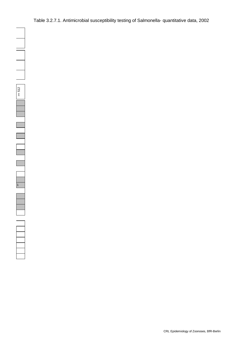Table 3.2.7.1. Antimicrobial susceptibility testing of Salmonella- quantitative data, 2002

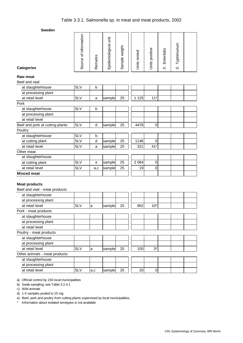| <b>Categories</b>                   | Source of information | Remarks | Epidemiological unit | Sample weight | Units tested | Units positive | Enteritidis<br>$\dot{\infty}$ | S. Typhimurium |  |
|-------------------------------------|-----------------------|---------|----------------------|---------------|--------------|----------------|-------------------------------|----------------|--|
| <b>Raw meat</b>                     |                       |         |                      |               |              |                |                               |                |  |
| Beef and veal                       |                       |         |                      |               |              |                |                               |                |  |
| at slaughterhouse                   | <b>SLV</b>            | b       |                      |               |              |                |                               |                |  |
| at processing plant                 |                       |         |                      |               |              |                |                               |                |  |
| at retail level                     | <b>SLV</b>            | a       | sample               | 25            | 1 1 2 5      | $11*$          |                               |                |  |
| Pork                                |                       |         |                      |               |              |                |                               |                |  |
| at slaughterhouse                   | <b>SLV</b>            | b       |                      |               |              |                |                               |                |  |
| at processing plant                 |                       |         |                      |               |              |                |                               |                |  |
| at retail level                     |                       |         |                      |               |              |                |                               |                |  |
| Beef and pork at cutting plants     | <b>SLV</b>            | d       | sample               | 25            | 4478         | 0              |                               |                |  |
| Poultry<br>at slaughterhouse        | <b>SLV</b>            | b       |                      |               |              |                |                               |                |  |
|                                     | <b>SLV</b>            | d       |                      | 25            | 1146         | 0              |                               |                |  |
| at cutting plant<br>at retail level | <b>SLV</b>            |         | sample               | 25            | 321          | $41*$          |                               |                |  |
| Other meat                          |                       | a       | sample               |               |              |                |                               |                |  |
| at slaughterhouse                   |                       |         |                      |               |              |                |                               |                |  |
|                                     | <b>SLV</b>            | е       | sample               | 25            | 2 0 6 4      | $\mathbf 0$    |                               |                |  |
| at cutting plant<br>at retail level | <b>SLV</b>            |         | sample               | 25            | 19           | $\mathbf 0$    |                               |                |  |
| <b>Minced meat</b>                  |                       | a,c     |                      |               |              |                |                               |                |  |
|                                     |                       |         |                      |               |              |                |                               |                |  |
| <b>Meat products</b>                |                       |         |                      |               |              |                |                               |                |  |
| Beef and veal - meat products       |                       |         |                      |               |              |                |                               |                |  |
| at slaughterhouse                   |                       |         |                      |               |              |                |                               |                |  |
| at processing plant                 |                       |         |                      |               |              |                |                               |                |  |
| at retail level                     | <b>SLV</b>            | a       | sample               | 25            | 962          | $10*$          |                               |                |  |
| Pork - meat products                |                       |         |                      |               |              |                |                               |                |  |
| at slaughterhouse                   |                       |         |                      |               |              |                |                               |                |  |
| at processing plant                 |                       |         |                      |               |              |                |                               |                |  |
| at retail level                     |                       |         |                      |               |              |                |                               |                |  |
| Poultry - meat products             |                       |         |                      |               |              |                |                               |                |  |
| at slaughterhouse                   |                       |         |                      |               |              |                |                               |                |  |
| at processing plant                 |                       |         |                      |               |              |                |                               |                |  |
| at retail level                     | <b>SLV</b>            | a       | sample               | 25            | 100          | $3^*$          |                               |                |  |
| Other animals - meat products       |                       |         |                      |               |              |                |                               |                |  |
| at slaughterhouse                   |                       |         |                      |               |              |                |                               |                |  |
| at processing plant                 |                       |         |                      |               |              |                |                               |                |  |
| at retail level                     | <b>SLV</b>            | a,c     | sample               | 25            | 20           | $\mathbf 0$    |                               |                |  |
|                                     |                       |         |                      |               |              |                |                               |                |  |

a) Official control by 230 local municipalities

b) Swab sampling, see Table 3.2.4.1

c) Wild animals

d) 1-5 samples pooled to 25 mg

e) Beef, pork and poultry from cutting plants supervised by local municipalities.

\* Information about isolated serotypes is not available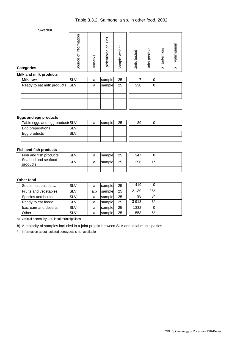| <b>Categories</b>          | Source of information | Remarks | Epidemiological unit | weight<br>Sample ' | Units tested | Units positive | Enteritidis<br>$\blacksquare$<br>S | Typhimurium<br>S, |
|----------------------------|-----------------------|---------|----------------------|--------------------|--------------|----------------|------------------------------------|-------------------|
| Milk and milk products     |                       |         |                      |                    |              |                |                                    |                   |
| Milk, raw                  | <b>SLV</b>            | a       | sample               | 25                 | 7            | 0              |                                    |                   |
| Ready to eat milk products | <b>SLV</b>            | a       | sample               | 25                 | 338          | $\mathbf 0$    |                                    |                   |
|                            |                       |         |                      |                    |              |                |                                    |                   |
|                            |                       |         |                      |                    |              |                |                                    |                   |
|                            |                       |         |                      |                    |              |                |                                    |                   |
|                            |                       |         |                      |                    |              |                |                                    |                   |

#### **Eggs and egg products**

| Table eggs and egg products SLV |     | a | sample | 25 | 39 |  |  |
|---------------------------------|-----|---|--------|----|----|--|--|
| Egg preperations                | SL∖ |   |        |    |    |  |  |
| Egg products                    |     |   |        |    |    |  |  |
|                                 |     |   |        |    |    |  |  |

#### **Fish and fish products**

| Fish and fish products          | SLV | а | sample | 25 | 347 |            |  |
|---------------------------------|-----|---|--------|----|-----|------------|--|
| Seafood and seafood<br>products | SLV | a | sample | 25 | 296 | <b>4 *</b> |  |
|                                 |     |   |        |    |     |            |  |

#### **Other food**

| Soups, sauces, fat    | <b>SLV</b> | a   | sample | 25 | 419     | 0     |  |
|-----------------------|------------|-----|--------|----|---------|-------|--|
| Fruits and vegetables | <b>SLV</b> | a,b | sample | 25 | 2 1 3 9 | $26*$ |  |
| Species and herbs     | <b>SLV</b> | a   | sample | 25 | 98      | $3^*$ |  |
| Ready to eat fooda    | <b>SLV</b> | a   | sample | 25 | 3913    | $3^*$ |  |
| Icecream and deserts  | <b>SLV</b> | a   | sample | 25 | 1332    | 0     |  |
| Other                 | <b>SLV</b> | a   | sample | 25 | 553     | $6*$  |  |

a) Official control by 230 local municipalities

b) A majority of samples included in a joint projekt between SLV and local municipalties

\* Information about isolated serotypes is not available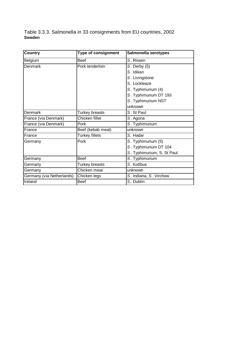Table 3.3.3. Salmonella in 33 consignments from EU countries, 2002 **Sweden**

| Country                   | <b>Type of consignment</b> | Salmonella serotypes       |
|---------------------------|----------------------------|----------------------------|
| Belgium                   | <b>Beef</b>                | S. Rissen                  |
| Denmark                   | Pork tenderloin            | S. Derby (5)               |
|                           |                            | S. Idikan                  |
|                           |                            | S. Livingstone             |
|                           |                            | S. Lockleaze               |
|                           |                            | S. Typhimurium (4)         |
|                           |                            | S. Typhimurium DT 193      |
|                           |                            | S. Typhimurium NST         |
|                           |                            | unknown                    |
| Denmark                   | Turkey breasts             | S. St Paul                 |
| France (via Denmark)      | Chicken fillet             | S. Agona                   |
| France (via Denmark)      | Pork                       | S. Typhimurium             |
| France                    | Beef (kebab meat)          | unknown                    |
| France                    | <b>Turkey fillets</b>      | S. Hadar                   |
| Germany                   | Pork                       | S. Typhimurium (5)         |
|                           |                            | S. Typhimurium DT 104      |
|                           |                            | S. Typhimurium, S. St Paul |
| Germany                   | <b>Beef</b>                | S. Typhimurium             |
| Germany                   | Turkey breasts             | S. Kottbus                 |
| Germany                   | Chicken meat               | unknown                    |
| Germany (via Netherlands) | Chicken legs               | S. Indiana, S. Virchow     |
| Ireland                   | <b>Beef</b>                | S. Dublin                  |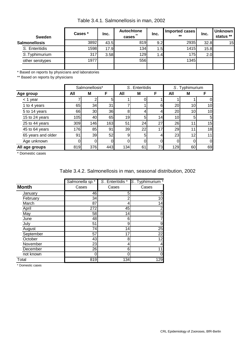| Table 3.4.1. Salmonellosis in man, 2002 |  |
|-----------------------------------------|--|
|-----------------------------------------|--|

| <b>Sweden</b>        | Cases * | Inc. | Autochtone<br>$***$<br>cases | Inc.             | Imported cases<br>$***$ | Inc. | <b>Unknown</b><br>status ** |
|----------------------|---------|------|------------------------------|------------------|-------------------------|------|-----------------------------|
| <b>Salmonellosis</b> | 3892    | 43.5 | 819                          | 9.2              | 2935                    | 32.8 | 15                          |
| S. Enteritidis       | 1598    | 17.9 | 134                          | ⊥.5I             | 1415                    | 15.8 |                             |
| S.Typhimurium        | 317     | 3.58 | 129                          | 1.4 <sub>l</sub> | 175                     | 2.0  |                             |
| other serotypes      | 1977    |      | 556                          |                  | 1345                    |      |                             |
|                      |         |      |                              |                  |                         |      |                             |

\* Based on reports by physicians and laboratories

\*\* Based on reports by physicians

|                    |     | Salmonellosis* |                |     | S. Enteritidis |    |                 | S. Typhimurium |    |
|--------------------|-----|----------------|----------------|-----|----------------|----|-----------------|----------------|----|
| Age group          | All | M              | F              | All | M              | F  | All             | M              | F  |
| $<$ 1 year         |     |                | 5 <sup>1</sup> |     |                |    |                 |                | 0  |
| 1 to 4 years       | 65  | 34             | 31             |     |                | 6  | 20              | 10             | 10 |
| 5 to 14 years      | 66  | 30             | 36             | 8   |                |    | 20              | 10             | 10 |
| 15 to 24 years     | 105 | 40             | 65             | 19  | 5              | 14 | 10 <sub>1</sub> | 5              | 5  |
| 25 to 44 years     | 309 | 146            | 163            | 51  | 24             | 27 | 26              |                | 15 |
| 45 to 64 years     | 176 | 85             | 91             | 39  | 22             | 17 | 29              |                | 18 |
| 65 years and older | 91  | 39             | 52             | 9   | 5              | 4  | 23              | 12             | 11 |
| Age unknown        |     |                | $\Omega$       | 0   | 0              |    |                 |                | 0  |
| All age groups     | 819 | 376            | 443            | 134 | 61             | 73 | 129             | 60             | 69 |

\* Domestic cases

| Table 3.4.2. Salmonellosis in man, seasonal distribution, 2002 |  |  |  |  |  |  |
|----------------------------------------------------------------|--|--|--|--|--|--|
|----------------------------------------------------------------|--|--|--|--|--|--|

|              | Salmonella sp.* | S. Enteritidis * | S. Typhimurium * |
|--------------|-----------------|------------------|------------------|
| <b>Month</b> | Cases           | Cases            | Cases            |
| January      | 46              | 5                | 5                |
| February     | 34              | ◠                | 10               |
| March        | 87              | 4                | 14               |
| April        | 272             | 45               | 2                |
| May          | 58              | 14               | 8                |
| June         | 48              | 6                | 7                |
| July         | 51              | 9                | 9                |
| August       | 74              | 14               | 25               |
| September    | 57              | 17               | 22               |
| October      | 43              | 8                | 12               |
| November     | 23              | 4                | 4                |
| December     | 26              | 6                | 11               |
| not known    | 0               | Ω                | 0                |
| Total        | 819             | 134              | 129              |

\* Domestic cases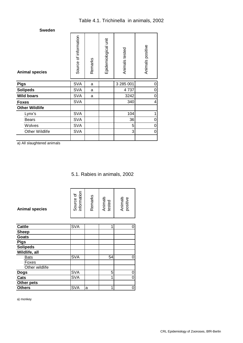| <b>Sweden</b>         |                       |         |                      |                |                  |
|-----------------------|-----------------------|---------|----------------------|----------------|------------------|
| <b>Animal species</b> | Source of information | Remarks | Epidemiological unit | Animals tested | Animals positive |
| <b>Pigs</b>           | SVA                   | a       |                      | 3 285 001      | 0                |
| <b>Solipeds</b>       | <b>SVA</b>            | a       |                      | 4737           | 0                |
| <b>Wild boars</b>     | <b>SVA</b>            | a       |                      | 3242           | $\mathbf 0$      |
| <b>Foxes</b>          | <b>SVA</b>            |         |                      | 340            | $\overline{4}$   |
| <b>Other Wildlife</b> |                       |         |                      |                |                  |
| Lynx's                | <b>SVA</b>            |         |                      | 104            | 1                |
| <b>Bears</b>          | <b>SVA</b>            |         |                      | 36             | 0                |
| Wolves                | <b>SVA</b>            |         |                      | 5              | 0                |
| <b>Other Wildlife</b> | <b>SVA</b>            |         |                      | 3              | $\mathbf 0$      |
|                       |                       |         |                      |                |                  |

a) All slaughtered animals

5.1. Rabies in animals, 2002

| <b>Animal species</b> | Source of<br>information | Remarks | Animals<br>tested | Animals<br>positive |
|-----------------------|--------------------------|---------|-------------------|---------------------|
| <b>Cattle</b>         | <b>SVA</b>               |         | 1                 | 0                   |
| <b>Sheep</b>          |                          |         |                   |                     |
| Goats                 |                          |         |                   |                     |
| <b>Pigs</b>           |                          |         |                   |                     |
| <b>Solipeds</b>       |                          |         |                   |                     |
| Wildlife, all         |                          |         |                   |                     |
| <b>Bats</b>           | <b>SVA</b>               |         | 54                | 0                   |
| Foxes                 |                          |         |                   |                     |
| Other wildlife        |                          |         |                   |                     |
| <b>Dogs</b>           | <b>SVA</b>               |         | 5                 | 0                   |
| Cats                  | <b>SVA</b>               |         | 1                 | 0                   |
| Other pets            |                          |         |                   |                     |
| <b>Others</b>         | <b>SVA</b>               | a       | 1                 | 0                   |

a) monkey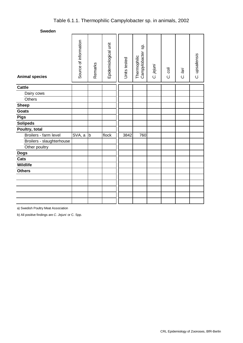# Table 6.1.1. Thermophilic Campylobacter sp. in animals, 2002

**Sweden**

| <b>Animal species</b>     | Source of information | Remarks      | Epidemiological unit | Units tested | sp.<br>Campylobacter<br>Thermophilic | C. jejuni | C. coli | C. lari | C. upsaliensis |
|---------------------------|-----------------------|--------------|----------------------|--------------|--------------------------------------|-----------|---------|---------|----------------|
| <b>Cattle</b>             |                       |              |                      |              |                                      |           |         |         |                |
| Dairy cows                |                       |              |                      |              |                                      |           |         |         |                |
| Others                    |                       |              |                      |              |                                      |           |         |         |                |
| <b>Sheep</b>              |                       |              |                      |              |                                      |           |         |         |                |
| <b>Goats</b>              |                       |              |                      |              |                                      |           |         |         |                |
| <b>Pigs</b>               |                       |              |                      |              |                                      |           |         |         |                |
| <b>Solipeds</b>           |                       |              |                      |              |                                      |           |         |         |                |
| Poultry, total            |                       |              |                      |              |                                      |           |         |         |                |
| Broilers - farm level     | SVA, a                | $\mathsf{b}$ | flock                | 3842         | 760                                  |           |         |         |                |
| Broilers - slaughterhouse |                       |              |                      |              |                                      |           |         |         |                |
| Other poultry             |                       |              |                      |              |                                      |           |         |         |                |
| <b>Dogs</b>               |                       |              |                      |              |                                      |           |         |         |                |
| Cats                      |                       |              |                      |              |                                      |           |         |         |                |
| Wildlife                  |                       |              |                      |              |                                      |           |         |         |                |
| <b>Others</b>             |                       |              |                      |              |                                      |           |         |         |                |
|                           |                       |              |                      |              |                                      |           |         |         |                |
|                           |                       |              |                      |              |                                      |           |         |         |                |
|                           |                       |              |                      |              |                                      |           |         |         |                |
|                           |                       |              |                      |              |                                      |           |         |         |                |
|                           |                       |              |                      |              |                                      |           |         |         |                |

a) Swedish Poultry Meat Association

b) All positive findings are *C. Jejuni* or C. Spp.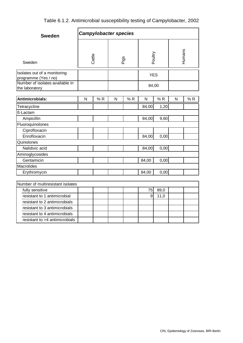|  |  |  |  | Table 6.1.2. Antimicrobial susceptibility testing of Campylobacter, 2002 |  |
|--|--|--|--|--------------------------------------------------------------------------|--|
|--|--|--|--|--------------------------------------------------------------------------|--|

| <b>Sweden</b>                                        |                | <b>Campylobacter species</b> |   |         |              |      |   |        |
|------------------------------------------------------|----------------|------------------------------|---|---------|--------------|------|---|--------|
| Sweden                                               | Cattle<br>Pigs |                              |   | Poultry |              |      |   | Humans |
| Isolates out of a monitoring<br>programme (Yes / no) |                |                              |   |         | <b>YES</b>   |      |   |        |
| Number of isolates available in<br>the laboratory    |                |                              |   |         | 84,00        |      |   |        |
| Antimicrobials:                                      | N              | %R                           | N | %R      | $\mathsf{N}$ | %R   | N | %R     |
| Tetracycline                                         |                |                              |   |         | 84,00        | 1,20 |   |        |
| ß-Lactam                                             |                |                              |   |         |              |      |   |        |
| Ampicillin                                           |                |                              |   |         | 84,00        | 9,60 |   |        |
| Fluoroquinolones                                     |                |                              |   |         |              |      |   |        |
| Ciprofloxacin                                        |                |                              |   |         |              |      |   |        |
| Enrofloxacin                                         |                |                              |   |         | 84,00        | 0,00 |   |        |
| Quinolones                                           |                |                              |   |         |              |      |   |        |
| Nalidixic acid                                       |                |                              |   |         | 84,00        | 0,00 |   |        |
| Aminoglycosides                                      |                |                              |   |         |              |      |   |        |
| Gentamicin                                           |                |                              |   |         | 84,00        | 0,00 |   |        |
| <b>Macrolides</b>                                    |                |                              |   |         |              |      |   |        |
| Erythromycin                                         |                |                              |   |         | 84,00        | 0,00 |   |        |
|                                                      |                |                              |   |         |              |      |   |        |
| Number of multiresistant isolates                    |                |                              |   |         |              |      |   |        |
| fully sensitive                                      |                |                              |   |         | 75           | 89,0 |   |        |
| resistant to 1 antimicrobial                         |                |                              |   |         | 9            | 11,0 |   |        |
| resistant to 2 antimicrobials                        |                |                              |   |         |              |      |   |        |
| resistant to 3 antimicrobials                        |                |                              |   |         |              |      |   |        |
| resistant to 4 antimicrobials                        |                |                              |   |         |              |      |   |        |
| resistant to >4 antimicrobials                       |                |                              |   |         |              |      |   |        |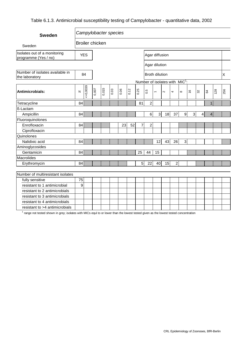## Table 6.1.3. Antimicrobial susceptibility testing of Campylobacter - quantitative data, 2002

| <b>Sweden</b>                                        |    |            |                        |       | Campylobacter species |      |      |                                            |                  |                       |        |                         |                  |                |    |                 |              |     |     |
|------------------------------------------------------|----|------------|------------------------|-------|-----------------------|------|------|--------------------------------------------|------------------|-----------------------|--------|-------------------------|------------------|----------------|----|-----------------|--------------|-----|-----|
| Sweden                                               |    |            | <b>Broiler chicken</b> |       |                       |      |      |                                            |                  |                       |        |                         |                  |                |    |                 |              |     |     |
| Isolates out of a monitoring<br>programme (Yes / no) |    | <b>YES</b> |                        |       |                       |      |      |                                            |                  | Agar diffusion        |        |                         |                  |                |    |                 |              |     |     |
|                                                      |    |            |                        |       |                       |      |      |                                            |                  | Agar dilution         |        |                         |                  |                |    |                 |              |     |     |
| Number of isolates available in<br>the laboratory    |    | 84         |                        |       |                       |      |      |                                            |                  | <b>Broth dilution</b> |        |                         |                  |                |    |                 |              |     | X   |
|                                                      |    |            |                        |       |                       |      |      | Number of isolates with MIC <sup>1</sup> : |                  |                       |        |                         |                  |                |    |                 |              |     |     |
| Antimicrobials:                                      | N  | 50,0039    | 0,007                  | 0,015 | 0.03                  | 0.06 | 0.12 | 0.25                                       | 0.5              | $\overline{ }$        | $\sim$ | $\overline{ }$          | $\infty$         | $\frac{6}{5}$  | 32 |                 | \$           | 128 | 256 |
| Tetracycline                                         | 84 |            |                        |       |                       |      |      | 81                                         | $\overline{2}$   |                       |        |                         |                  |                |    |                 | $\mathbf{1}$ |     |     |
| ß-Lactam                                             |    |            |                        |       |                       |      |      |                                            |                  |                       |        |                         |                  |                |    |                 |              |     |     |
| Ampicillin                                           | 84 |            |                        |       |                       |      |      |                                            | $\,6\,$          | $\mathbf{3}$          | 18     | 37                      | $\boldsymbol{9}$ | $\overline{3}$ |    | $\vert 4 \vert$ | 4            |     |     |
| Fluoroquinolones                                     |    |            |                        |       |                       |      |      |                                            |                  |                       |        |                         |                  |                |    |                 |              |     |     |
| Enrofloxacin                                         | 84 |            |                        |       |                       | 23   | 52   | 7                                          | $\boldsymbol{2}$ |                       |        |                         |                  |                |    |                 |              |     |     |
| Ciprofloxacin                                        |    |            |                        |       |                       |      |      |                                            |                  |                       |        |                         |                  |                |    |                 |              |     |     |
| Quinolones                                           |    |            |                        |       |                       |      |      |                                            |                  |                       |        |                         |                  |                |    |                 |              |     |     |
| Nalidixic acid                                       | 84 |            |                        |       |                       |      |      |                                            |                  | 12                    | 43     | 26                      | 3                |                |    |                 |              |     |     |
| Aminoglycosides                                      |    |            |                        |       |                       |      |      |                                            |                  |                       |        |                         |                  |                |    |                 |              |     |     |
| Gentamicin                                           | 84 |            |                        |       |                       |      |      | 25                                         | 44               | 15                    |        |                         |                  |                |    |                 |              |     |     |
| <b>Macrolides</b>                                    |    |            |                        |       |                       |      |      |                                            |                  |                       |        |                         |                  |                |    |                 |              |     |     |
| Erythromycin                                         | 84 |            |                        |       |                       |      |      | $\overline{5}$                             | 22               | 40                    | 15     | $\overline{\mathbf{c}}$ |                  |                |    |                 |              |     |     |
|                                                      |    |            |                        |       |                       |      |      |                                            |                  |                       |        |                         |                  |                |    |                 |              |     |     |
| Number of multiresistant isolates                    |    |            |                        |       |                       |      |      |                                            |                  |                       |        |                         |                  |                |    |                 |              |     |     |
| fully sensitive                                      | 75 |            |                        |       |                       |      |      |                                            |                  |                       |        |                         |                  |                |    |                 |              |     |     |
| resistant to 1 antimicrobial                         | 9  |            |                        |       |                       |      |      |                                            |                  |                       |        |                         |                  |                |    |                 |              |     |     |
| resistant to 2 antimicrobials                        |    |            |                        |       |                       |      |      |                                            |                  |                       |        |                         |                  |                |    |                 |              |     |     |
| resistant to 3 antimicrobials                        |    |            |                        |       |                       |      |      |                                            |                  |                       |        |                         |                  |                |    |                 |              |     |     |
| resistant to 4 antimicrobials                        |    |            |                        |       |                       |      |      |                                            |                  |                       |        |                         |                  |                |    |                 |              |     |     |
| resistant to >4 antimicrobials                       |    |            |                        |       |                       |      |      |                                            |                  |                       |        |                         |                  |                |    |                 |              |     |     |

 $^1$  range not tested shown in grey; isolates with MICs equl to or lower than the lowest tested given as the lowest tested concentration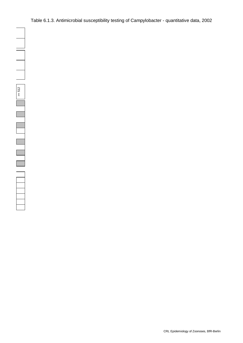Table 6.1.3. Antimicrobial susceptibility testing of Campylobacter - quantitative data, 2002

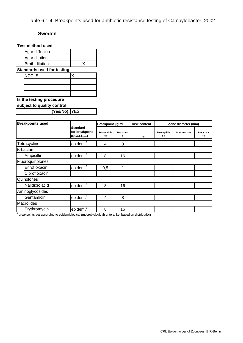Table 6.1.4. Breakpoints used for antibiotic resistance testing of Campylobacter, 2002

#### **Sweden**

| <b>Test method used</b>           |   |
|-----------------------------------|---|
| Agar diffusion                    |   |
| Agar dilution                     |   |
| Broth dilution                    | x |
| <b>Standards used for testing</b> |   |
| <b>NCCLS</b>                      |   |
|                                   |   |
|                                   |   |
|                                   |   |
| Is the testing procedure          |   |

**subject to quality control** 

**(Yes/No):** YES

| <b>Breakpoints used</b> |                                               | Breakpoint µg/ml  |                       | <b>Disk content</b> |                     | Zone diameter (mm) |                     |
|-------------------------|-----------------------------------------------|-------------------|-----------------------|---------------------|---------------------|--------------------|---------------------|
|                         | <b>Standard</b><br>for breakpoint<br>(NCCLS,) | Susceptible<br><= | <b>Resistant</b><br>> | μg                  | Susceptible<br>$>=$ | Intermediate       | Resistant<br>$\leq$ |
| Tetracycline            | epidem.                                       | 4                 | 8                     |                     |                     |                    |                     |
| ß-Lactam                |                                               |                   |                       |                     |                     |                    |                     |
| Ampicillin              | epidem.                                       | 8                 | 16                    |                     |                     |                    |                     |
| Fluoroquinolones        |                                               |                   |                       |                     |                     |                    |                     |
| Enrofloxacin            | epidem.                                       | 0,5               | 1                     |                     |                     |                    |                     |
| Ciprofloxacin           |                                               |                   |                       |                     |                     |                    |                     |
| Quinolones              |                                               |                   |                       |                     |                     |                    |                     |
| Nalidixic acid          | epidem.                                       | 8                 | 16                    |                     |                     |                    |                     |
| Aminoglycosides         |                                               |                   |                       |                     |                     |                    |                     |
| Gentamicin              | epidem.                                       | 4                 | 8                     |                     |                     |                    |                     |
| <b>Macrolides</b>       |                                               |                   |                       |                     |                     |                    |                     |
| Erythromycin            | epidem.                                       | 8                 | 16                    |                     |                     |                    |                     |

<sup>1</sup> breakpoints set according to epidemiological (mocrobiological) critera, i.e. based on distribution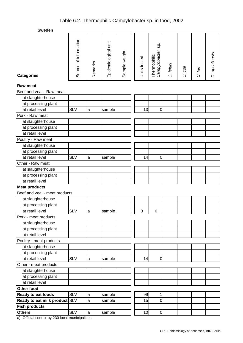| oweuen                         |                       |              |                      |               |              |                                      |           |         |         |                |
|--------------------------------|-----------------------|--------------|----------------------|---------------|--------------|--------------------------------------|-----------|---------|---------|----------------|
| <b>Categories</b>              | Source of information | Remarks      | Epidemiological unit | Sample weight | Units tested | Sp.<br>Campylobacter<br>Thermophilic | C. jejuni | C. coli | C. lari | C. upsaliensis |
|                                |                       |              |                      |               |              |                                      |           |         |         |                |
| <b>Raw meat</b>                |                       |              |                      |               |              |                                      |           |         |         |                |
| Beef and veal - Raw meat       |                       |              |                      |               |              |                                      |           |         |         |                |
| at slaughterhouse              |                       |              |                      |               |              |                                      |           |         |         |                |
| at processing plant            |                       |              |                      |               |              |                                      |           |         |         |                |
| at retail level                | <b>SLV</b>            | a            | sample               |               | 13           | 0                                    |           |         |         |                |
| Pork - Raw meat                |                       |              |                      |               |              |                                      |           |         |         |                |
| at slaughterhouse              |                       |              |                      |               |              |                                      |           |         |         |                |
| at processing plant            |                       |              |                      |               |              |                                      |           |         |         |                |
| at retail level                |                       |              |                      |               |              |                                      |           |         |         |                |
| Poultry - Raw meat             |                       |              |                      |               |              |                                      |           |         |         |                |
| at slaughterhouse              |                       |              |                      |               |              |                                      |           |         |         |                |
| at processing plant            |                       |              |                      |               |              |                                      |           |         |         |                |
| at retail level                | <b>SLV</b>            | a            | sample               |               | 14           | $\mathbf 0$                          |           |         |         |                |
| Other - Raw meat               |                       |              |                      |               |              |                                      |           |         |         |                |
| at slaughterhouse              |                       |              |                      |               |              |                                      |           |         |         |                |
| at processing plant            |                       |              |                      |               |              |                                      |           |         |         |                |
| at retail level                |                       |              |                      |               |              |                                      |           |         |         |                |
| <b>Meat products</b>           |                       |              |                      |               |              |                                      |           |         |         |                |
| Beef and veal - meat products  |                       |              |                      |               |              |                                      |           |         |         |                |
| at slaughterhouse              |                       |              |                      |               |              |                                      |           |         |         |                |
| at processing plant            |                       |              |                      |               |              |                                      |           |         |         |                |
| at retail level                | <b>SLV</b>            | a            | sample               |               | 3            | 0                                    |           |         |         |                |
| Pork - meat products           |                       |              |                      |               |              |                                      |           |         |         |                |
| at slaughterhouse              |                       |              |                      |               |              |                                      |           |         |         |                |
| at processing plant            |                       |              |                      |               |              |                                      |           |         |         |                |
| at retail level                |                       |              |                      |               |              |                                      |           |         |         |                |
| Poultry - meat products        |                       |              |                      |               |              |                                      |           |         |         |                |
| at slaughterhouse              |                       |              |                      |               |              |                                      |           |         |         |                |
| at processing plant            |                       |              |                      |               |              |                                      |           |         |         |                |
| at retail level                | <b>SLV</b>            | a            | sample               |               | 14           | $\mathsf 0$                          |           |         |         |                |
| Other - meat products          |                       |              |                      |               |              |                                      |           |         |         |                |
| at slaughterhouse              |                       |              |                      |               |              |                                      |           |         |         |                |
| at processing plant            |                       |              |                      |               |              |                                      |           |         |         |                |
| at retail level                |                       |              |                      |               |              |                                      |           |         |         |                |
| Other food                     |                       |              |                      |               |              |                                      |           |         |         |                |
| Ready to eat foods             | <b>SLV</b>            | a            | sample               |               | 99           | 1                                    |           |         |         |                |
| Ready to eat milk product: SLV |                       | a            | sample               |               | 15           | $\mathbf 0$                          |           |         |         |                |
| <b>Fish products</b>           |                       |              |                      |               |              |                                      |           |         |         |                |
| <b>Others</b>                  | <b>SLV</b>            | $\mathsf{a}$ | sample               |               | 10           | $\mathbf 0$                          |           |         |         |                |

a) Official control by 230 local municipalities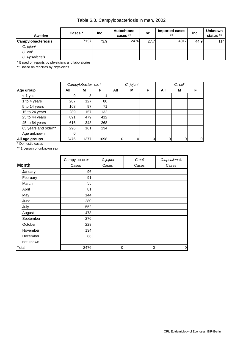Table 6.3. Campylobacteriosis in man, 2002

| <b>Sweden</b>      | Cases * | Inc. | Autochtone<br>cases ** | Inc. | Imported cases<br>$***$ | Inc. | <b>Unknown</b><br>status ** |
|--------------------|---------|------|------------------------|------|-------------------------|------|-----------------------------|
| Campylobacteriosis | 7137    | 73.9 | 2476                   | 27.7 | 4017                    | 44.9 | 114 <b>I</b>                |
| C. jejuni          |         |      |                        |      |                         |      |                             |
| C. coli            |         |      |                        |      |                         |      |                             |
| C. upsaliensis     |         |      |                        |      |                         |      |                             |

\* Based on reports by physicians and laboratories.

\*\* Based on reportes by physicians.

|                      |      | Campylobacter sp. * |      |     | C. jejuni |   |     | C. coli |   |
|----------------------|------|---------------------|------|-----|-----------|---|-----|---------|---|
| Age group            | All  | М                   | F    | All | м         | F | All | M       | F |
| $<$ 1 year           | 9    | 8                   |      |     |           |   |     |         |   |
| 1 to 4 years         | 207  | 127                 | 80   |     |           |   |     |         |   |
| 5 to 14 years        | 168  | 97                  | 71   |     |           |   |     |         |   |
| 15 to 24 years       | 289  | 157                 | 132  |     |           |   |     |         |   |
| 25 to 44 years       | 891  | 479                 | 412  |     |           |   |     |         |   |
| 45 to 64 years       | 616  | 348                 | 268  |     |           |   |     |         |   |
| 65 years and older** | 296  | 161                 | 134  |     |           |   |     |         |   |
| Age unknown          |      |                     |      |     |           |   |     |         |   |
| All age groups       | 2476 | 1377                | 1098 | 0   | 0         | 0 |     | 0       | 0 |

\* Domestic cases

\*\* 1 person of unknown sex

|              | Campylobacter | C.jejuni | C.coli | C.upsaliensis |
|--------------|---------------|----------|--------|---------------|
| <b>Month</b> | Cases         | Cases    | Cases  | Cases         |
| January      | 96            |          |        |               |
| February     | 91            |          |        |               |
| March        | 55            |          |        |               |
| April        | 81            |          |        |               |
| May          | 144           |          |        |               |
| June         | 280           |          |        |               |
| July         | 552           |          |        |               |
| August       | 473           |          |        |               |
| September    | 276           |          |        |               |
| October      | 228           |          |        |               |
| November     | 134           |          |        |               |
| December     | 66            |          |        |               |
| not known    |               |          |        |               |
| Total        | 2476          | 0        | 0      | 0             |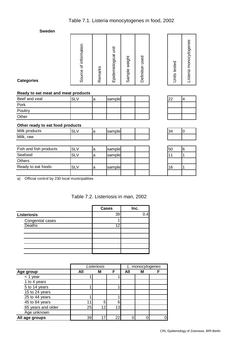# Table 7.1. Listeria monocytogenes in food, 2002

**Sweden**

| <b>Categories</b>                   | Source of information | Remarks | Epidemiological unit | Sample weight | Definition used | Units tested | Listeria monocytogenes |
|-------------------------------------|-----------------------|---------|----------------------|---------------|-----------------|--------------|------------------------|
| Ready to eat meat and meat products |                       |         |                      |               |                 |              |                        |
| Beef and veal                       | <b>SLV</b>            | a       | sample               |               |                 | 22           | 4                      |
| Pork                                |                       |         |                      |               |                 |              |                        |
| Poultry                             |                       |         |                      |               |                 |              |                        |
| Other                               |                       |         |                      |               |                 |              |                        |
| Other ready to eat food products    |                       |         |                      |               |                 |              |                        |
| Milk products                       | <b>SLV</b>            | a       | sample               |               |                 | 34           | $\overline{0}$         |
| Milk, raw                           |                       |         |                      |               |                 |              |                        |
|                                     |                       |         |                      |               |                 |              |                        |
| Fish and fish products              | <b>SLV</b>            | la      | sample               |               |                 | 50           | 6                      |
| Seafood                             | <b>SLV</b>            | a       | sample               |               |                 | 11           | 1                      |
| Others                              |                       |         |                      |               |                 |              |                        |
| Ready to eat foods                  | <b>SLV</b>            | a       | sample               |               |                 | 16           | 1                      |
|                                     |                       |         |                      |               |                 |              |                        |

a) Official control by 230 local municipalities

|  | Table 7.2. Listeriosis in man, 2002 |  |  |
|--|-------------------------------------|--|--|
|--|-------------------------------------|--|--|

|                    | <b>Cases</b> | Inc. |     |
|--------------------|--------------|------|-----|
| <b>Listeriosis</b> |              | 39   | 0.4 |
| Congenital cases   |              |      |     |
| <b>Deaths</b>      |              | 1 O  |     |
|                    |              |      |     |
|                    |              |      |     |
|                    |              |      |     |
|                    |              |      |     |
|                    |              |      |     |

|                    | Listeriosis |    |     | L. monocytogenes |   |  |
|--------------------|-------------|----|-----|------------------|---|--|
| <b>Age group</b>   | All         | М  | F   | All              | М |  |
| $<$ 1 year         |             |    |     |                  |   |  |
| 1 to 4 years       |             |    |     |                  |   |  |
| 5 to 14 years      |             |    |     |                  |   |  |
| 15 to 24 years     |             |    |     |                  |   |  |
| 25 to 44 years     |             |    |     |                  |   |  |
| 45 to 64 years     | 11          | 5  | ี่ค |                  |   |  |
| 65 years and older | 25          | ィウ | 13  |                  |   |  |
| Age unknown        |             |    |     |                  |   |  |
| All age groups     | 39          |    | 22  |                  |   |  |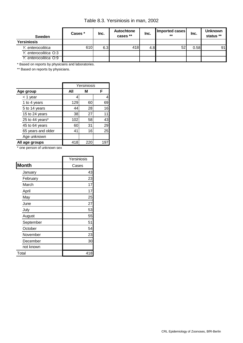Table 8.3. Yersiniosis in man, 2002

| <b>Sweden</b>         | Cases * | Inc. | Autochtone<br>cases ** | Inc. | Imported cases<br>** | Inc. | <b>Unknown</b><br>status ** |
|-----------------------|---------|------|------------------------|------|----------------------|------|-----------------------------|
| <b>Yersiniosis</b>    |         |      |                        |      |                      |      |                             |
| Y. enterocolitica     | 610     | 6.3  | 418                    | 4.8  | 52                   | 0.58 | 91                          |
| Y. enterocolitica O:3 |         |      |                        |      |                      |      |                             |
| Y. enterocolitica O:9 |         |      |                        |      |                      |      |                             |

\* Based on reports by physicians and laboratories.

\*\* Based on reports by physicians.

|                    | Yersiniosis      |    |    |  |
|--------------------|------------------|----|----|--|
| Age group          | All              | м  | F  |  |
| < 1 year           | 4                |    | 4  |  |
| 1 to 4 years       | 129              | 60 | 69 |  |
| 5 to 14 years      | 44               | 28 | 16 |  |
| 15 to 24 years     | 38               | 27 | 11 |  |
| 25 to 44 years*    | 102              | 58 | 43 |  |
| 45 to 64 years     | 60               | 31 | 29 |  |
| 65 years and older | 41               | 16 | 25 |  |
| Age unknown        |                  |    |    |  |
| All age groups     | 418<br>22<br>19. |    |    |  |

\* one person of unknown sex

|           | Yersiniosis |
|-----------|-------------|
| Month     | Cases       |
| January   | 43          |
| February  | 23          |
| March     | 17          |
| April     | 17          |
| May       | 25          |
| June      | 27          |
| July      | 53          |
| August    | 55          |
| September | 51          |
| October   | 54          |
| November  | 23          |
| December  | 30          |
| not known |             |
| Total     | 418         |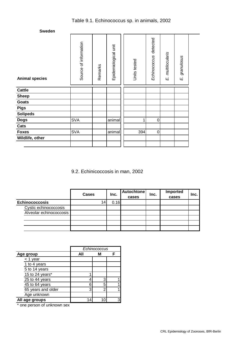| <b>Animal species</b> | Source of information | Remarks | Epidemiological unit | Units tested | Echinococcus detected | multilocularis<br>Цj | granulosus<br>Щj |
|-----------------------|-----------------------|---------|----------------------|--------------|-----------------------|----------------------|------------------|
| <b>Cattle</b>         |                       |         |                      |              |                       |                      |                  |
| <b>Sheep</b>          |                       |         |                      |              |                       |                      |                  |
| Goats                 |                       |         |                      |              |                       |                      |                  |
| <b>Pigs</b>           |                       |         |                      |              |                       |                      |                  |
| <b>Solipeds</b>       |                       |         |                      |              |                       |                      |                  |
| <b>Dogs</b>           | <b>SVA</b>            |         | animal               | 1            | $\pmb{0}$             |                      |                  |
| Cats                  |                       |         |                      |              |                       |                      |                  |
| <b>Foxes</b>          | <b>SVA</b>            |         | animal               | 394          | $\pmb{0}$             |                      |                  |
| Wildlife, other       |                       |         |                      |              |                       |                      |                  |

9.2. Echinicoccosis in man, 2002

|                         | <b>Cases</b> | Inc. | <b>Autochtone</b><br>cases | Inc. | Imported<br>cases | Inc. |
|-------------------------|--------------|------|----------------------------|------|-------------------|------|
| <b>Echinococcosis</b>   | 14.          | 0.16 |                            |      |                   |      |
| Cystic echinococcosis   |              |      |                            |      |                   |      |
| Alveolar echinococcosis |              |      |                            |      |                   |      |
|                         |              |      |                            |      |                   |      |
|                         |              |      |                            |      |                   |      |
|                         |              |      |                            |      |                   |      |

|                    | Echinococcus |   |   |
|--------------------|--------------|---|---|
| Age group          | All          | М | F |
| $<$ 1 year         |              |   |   |
| 1 to 4 years       |              |   |   |
| 5 to 14 years      |              |   |   |
| 15 to 24 years*    |              |   |   |
| 25 to 44 years     |              | 3 |   |
| 45 to 64 years     | 6            | 5 |   |
| 65 years and older | 3            | ◠ |   |
| Age unknown        |              |   |   |
| All age groups     |              |   | З |

\* one person of unknown sex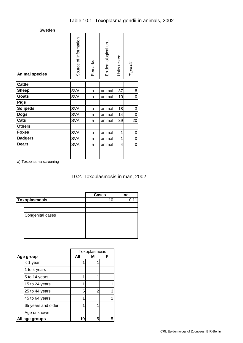| <b>Animal species</b> | Source of information | Remarks | Epidemiological unit | Units tested | T.gondii |
|-----------------------|-----------------------|---------|----------------------|--------------|----------|
| <b>Cattle</b>         |                       |         |                      |              |          |
| <b>Sheep</b>          | <b>SVA</b>            | a       | animal               | 37           | 8        |
| <b>Goats</b>          | <b>SVA</b>            | a       | animal               | 10           | 0        |
| <b>Pigs</b>           |                       |         |                      |              |          |
| <b>Solipeds</b>       | <b>SVA</b>            | a       | animal               | 18           | 3        |
| <b>Dogs</b>           | <b>SVA</b>            | a       | animal               | 14           | 0        |
| Cats                  | <b>SVA</b>            | a       | animal               | 39           | 20       |
| <b>Others</b>         |                       |         |                      |              |          |
| <b>Foxes</b>          | <b>SVA</b>            | a       | animal               | 1            | 0        |
| <b>Badgers</b>        | <b>SVA</b>            | a       | animal               | 1            | 0        |
| <b>Bears</b>          | <b>SVA</b>            | a       | animal               | 4            | 0        |
|                       |                       |         |                      |              |          |
|                       |                       |         |                      |              |          |

a) Toxoplasma screening

10.2. Toxoplasmosis in man, 2002

|                  | <b>Cases</b> | Inc. |
|------------------|--------------|------|
| Toxoplasmosis    | 10           |      |
|                  |              |      |
|                  |              |      |
| Congenital cases |              |      |
|                  |              |      |
|                  |              |      |
|                  |              |      |
|                  |              |      |

|                    | Toxoplasmosis |   |   |  |  |
|--------------------|---------------|---|---|--|--|
| Age group          | All           | М | F |  |  |
| < 1 year           |               |   |   |  |  |
| 1 to 4 years       |               |   |   |  |  |
| 5 to 14 years      |               |   |   |  |  |
| 15 to 24 years     |               |   |   |  |  |
| 25 to 44 years     | 5             | 2 | 3 |  |  |
| 45 to 64 years     |               |   |   |  |  |
| 65 years and older | 1             |   |   |  |  |
| Age unknown        |               |   |   |  |  |
| All age groups     | 10            | 5 |   |  |  |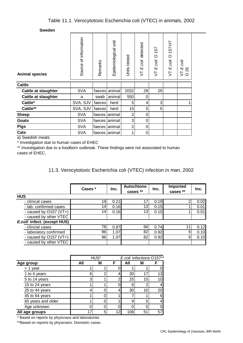| <b>Animal species</b>      | Source of information | Remarks | Epidemiological unit | Units tested | detected<br>E.coli<br>ち | 157<br>$\circ$<br>E.coli<br>5 | 157:H7<br>$\circ$<br>E.coli<br>5 | T E.coli<br>26<br>らご |  |
|----------------------------|-----------------------|---------|----------------------|--------------|-------------------------|-------------------------------|----------------------------------|----------------------|--|
| <b>Cattle</b>              |                       |         |                      |              |                         |                               |                                  |                      |  |
| <b>Cattle at slaughter</b> | <b>SVA</b>            | faeces  | animal               | 2032         | 29                      | 29                            |                                  |                      |  |
| Cattle at slaughter        | a                     | swab    | animal               | 550          | 0                       |                               |                                  |                      |  |
| Cattle*                    | SVA, SJV              | faeces  | herd                 | 5            | 4                       | 3                             |                                  |                      |  |
| Cattle**                   | SVA, SJV              | faeces  | herd                 | 15           | 5                       | 5                             |                                  |                      |  |
| <b>Sheep</b>               | <b>SVA</b>            |         | faeces animal        | 2            | 0                       |                               |                                  |                      |  |
| Goats                      | <b>SVA</b>            |         | faeces animal        | 3            | 0                       |                               |                                  |                      |  |
| <b>Pigs</b>                | <b>SVA</b>            | faeces  | animal               | 2            | 0                       |                               |                                  |                      |  |
| Cats                       | <b>SVA</b>            |         | faeces animal        | 1            | 0                       |                               |                                  |                      |  |
| a) Cusadish mesate         |                       |         |                      |              |                         |                               |                                  |                      |  |

a) Swedish meats

\* Investigation due to human cases of EHEC

\*\* Investigation due to a foodborn outbreak. These findings were not associated to human cases of EHEC.

11.3. Verocytotoxic Escherichia coli (VTEC) infection in man, 2002

|                             | Cases *         | Inc. | <b>Autochtone</b><br>cases ** | Inc. | <b>Imported</b><br>cases ** | Inc. |
|-----------------------------|-----------------|------|-------------------------------|------|-----------------------------|------|
| <b>HUS</b>                  |                 |      |                               |      |                             |      |
| - clinical cases            | 19              | 0.21 |                               | 0.19 |                             | 0.02 |
| - lab. confirmed cases      | 14 <sub>1</sub> | 0.16 | 13 <sub>1</sub>               | 0.15 |                             | 0.01 |
| - caused by $O157 (VT+)$    | 14              | 0.16 | 13 <sub>1</sub>               | 0.15 |                             | 0.01 |
| - caused by other VTEC      |                 |      |                               |      |                             |      |
| E.coli infect. (except HUS) |                 |      |                               |      |                             |      |
| - clincial cases            | 78              | 0.87 | 66                            | 0.74 | 11                          | 0.12 |
| - laboratory confirmed      | 96              | 1.07 | 82                            | 0.92 | 9                           | 0.10 |
| - caused by O157 (VT+)      | 96              | 1.07 | 82                            | 0.92 | 9                           | 0.10 |
| - caused by other VTEC      |                 |      |                               |      |                             |      |

|                    | E.coli infections O157**<br>HUS* |   |    |     |    |     |
|--------------------|----------------------------------|---|----|-----|----|-----|
| Age group          | All                              | M | F  | All | М  |     |
| $<$ 1 year         |                                  |   |    |     |    |     |
| 1 to 4 years       | 6                                |   |    | 30  | 17 | 131 |
| 5 to 14 years      | 3                                |   |    | 25  | 15 | 101 |
| 15 to 24 years     |                                  |   |    |     | ົ  |     |
| 25 to 44 years     |                                  |   |    | 30  | 10 | 20  |
| 45 to 64 years     |                                  |   |    |     |    | 61  |
| 65 years and older |                                  |   |    | 9   | 5  |     |
| Age unknown        |                                  |   |    |     |    |     |
| All age groups     |                                  |   | 12 | 108 | 51 | 57  |

\* Based on reports by physicians and laboratories

\*\*Based on reports by physicians. Domestic cases.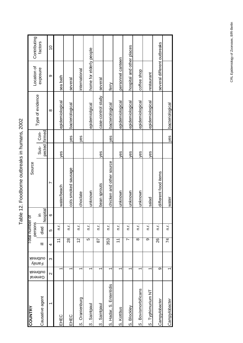| くくい                     |
|-------------------------|
| s<br>S<br>-<br>}        |
| $\overline{\mathbf{S}}$ |
| こくこう こくこうしょう<br>ľ       |
| くらこくくく                  |
|                         |
| $\frac{1}{2}$           |

| <b>COUNTRY</b>                     |                         |                    |                       | Total number of |           | Source                   |               |      |                    |                             |                         |
|------------------------------------|-------------------------|--------------------|-----------------------|-----------------|-----------|--------------------------|---------------|------|--------------------|-----------------------------|-------------------------|
|                                    | outbreak<br>General     | outbreak<br>Family |                       | persons         | $\subset$ |                          | Sus-          | Con- | Type of evidence   | Location of<br>exposure     | Contributing<br>factors |
| Causative agent                    |                         |                    | 亖                     | died            | hospital  |                          | pected firmed |      |                    |                             |                         |
| $\overline{\phantom{0}}$           | $\overline{\mathsf{C}}$ | ო                  | 4                     | 5               | ശ         | N                        |               |      | $\infty$           | တ                           | $\frac{1}{2}$           |
| EHEC                               |                         |                    | $\overline{1}$        | n.r.            |           | water/beach              | yes           |      | epidemiological    | sea bath                    |                         |
| EHEC                               | ᡪ                       |                    | $\overline{28}$       | n.r.            |           | cols smoked sausage      |               | yes  | bacteriological    | several                     |                         |
| Oranienburg<br>$\dot{\mathcal{O}}$ |                         |                    | 12                    | n.r.            |           | choclate                 |               | yes  |                    | international               |                         |
| Saintpaul<br>$\ddot{\circ}$        |                         |                    | 5                     | n.r.            |           | unknown                  |               |      | epidemiolgical     | home for elderly people     |                         |
| S. Saintpaul                       | ᡪ                       |                    | 29                    | n.r.            |           | bean sprouts             | yes           |      | case-control study | several                     |                         |
| S. Hadar, S. Enteritidis           |                         |                    | 353                   | n.r.            |           | chicken and other source |               | yes  | bacteriological    | ferry                       |                         |
| S. Kottbus                         |                         |                    | $\tilde{\mathcal{L}}$ | n.r.            |           | unknown                  | yes           |      | epidemiological    | personnel canteen           |                         |
| S. Blockley                        |                         |                    | $\overline{ }$        | n.r.            |           | unknown                  | ves           |      | epidemiological    | hospital and other places   |                         |
| S. Bovismorbificans                | ᡪ                       |                    | $\infty$              | n.r.            |           | unknown                  | yes           |      | epidemiological    | coffee shop                 |                         |
| S. Typhimurium NT                  |                         |                    | g                     | n.r.            |           | salad                    | yes           |      | epidemiological    | restaurant                  |                         |
| Campylobacter                      | တ                       |                    | 26                    | n.r.            |           | different food items     |               |      |                    | several different outbreaks |                         |
| Campylobacter                      |                         |                    | 74                    | n.r.            |           | water                    |               | yes  | bacteriological    |                             |                         |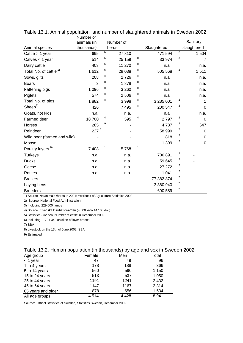|                                   | Number of   |   |           |   |             |                         |                          |
|-----------------------------------|-------------|---|-----------|---|-------------|-------------------------|--------------------------|
|                                   | animals (in |   | Number of |   |             |                         | Sanitary                 |
| Animal species                    | thousands)  |   | herds     |   | Slaughtered |                         | slaughtered <sup>2</sup> |
| Cattle $> 1$ year                 | 695         | 5 | 27810     |   | 471 594     | $\overline{2}$          | 1 504                    |
| Calves $<$ 1 year                 | 514         | 5 | 25 159    | 8 | 33 974      | 2                       | 7                        |
| Dairy cattle                      | 403         | 5 | 11 270    | 8 | n.a.        |                         | n.a.                     |
| Total No. of cattle <sup>1)</sup> | 1612        | 5 | 29 038    | 8 | 505 568     | $\overline{2}$          | 1511                     |
| Sows, gilts                       | 208         | 8 | 2726      | 8 | n.a.        |                         | n.a.                     |
| <b>Boars</b>                      | 3           | 8 | 1878      | 8 | n.a.        |                         | n.a.                     |
| Fattening pigs                    | 1 0 9 6     | 8 | 3 2 6 0   | 8 | n.a.        |                         | n.a.                     |
| Piglets                           | 574         | 8 | 2 506     | 8 | n.a.        |                         | n.a.                     |
| Total No. of pigs                 | 1882        | 8 | 3 9 9 8   | 8 | 3 285 001   | 2                       |                          |
| Sheep <sup>3</sup>                | 426         |   | 7495      | 8 | 200 547     | 2                       | $\mathbf 0$              |
| Goats, not kids                   | n.a.        |   | n.a.      |   | n.a.        |                         | n.a.                     |
| Farmed deer                       | 18700       | 4 | 595       | 4 | 2797        | 2                       | $\mathbf 0$              |
| <b>Horses</b>                     | 285         | 9 |           |   | 4737        | $\overline{2}$          | 647                      |
| Reindeer                          | $227^7$     |   |           |   | 58 999      | 7                       | 0                        |
| Wild boar (farmed and wild)       |             |   |           |   | 818         | $\overline{2}$          | $\mathbf 0$              |
| Moose                             |             |   |           |   | 1 3 9 9     | 2                       | $\mathbf 0$              |
| Poultry layers <sup>6)</sup>      | 7 4 0 8     | 1 | 5768      | 1 |             |                         |                          |
| <b>Turkeys</b>                    | n.a.        |   | n.a.      |   | 706 891     | $\overline{\mathbf{c}}$ |                          |
| <b>Ducks</b>                      | n.a.        |   | n.a.      |   | 59 645      | 2                       |                          |
| Geese                             | n.a.        |   | n.a.      |   | 27 27 2     | $\overline{2}$          |                          |
| <b>Ratites</b>                    | n.a.        |   | n.a.      |   | 1 0 4 1     | 2                       |                          |
| <b>Broilers</b>                   |             |   |           |   | 77 382 874  | $\overline{2}$          |                          |
| Laying hens                       |             |   |           |   | 3 380 940   | 2                       |                          |
| <b>Breeders</b>                   |             |   |           |   | 690 589     | 2                       |                          |

Table 13.1. Animal population and number of slaughtered animals in Sweden 2002

1) Source: No animals /herds in 2001: Yearbook of Agriculture Statistics 2002

2) Source: National Food Administration

3) Including 229 000 lambs

4) Source : Svenska Djurhälsovården (4 600 kron 14 100 dov)

5) Statistics Sweden, Number of cattle in December 2002

6) Including 1 721 342 chicken of layer breeed

7) SBA

8) Livestock on the 13th of June 2002, SBA

9) Estimated

| Table 13.2. Human population (in thousands) by age and sex in Sweden 2002 |  |  |
|---------------------------------------------------------------------------|--|--|
|---------------------------------------------------------------------------|--|--|

|                    |        | ັ       |         |
|--------------------|--------|---------|---------|
| Age group          | Female | Men     | Total   |
| $<$ 1 year         | 47     | 49      | 96      |
| 1 to 4 years       | 178    | 188     | 366     |
| 5 to 14 years      | 560    | 590     | 1 1 5 0 |
| 15 to 24 years     | 513    | 537     | 1 0 5 0 |
| 25 to 44 years     | 1191   | 1241    | 2 4 3 2 |
| 45 to 64 years     | 1147   | 1167    | 2 3 1 4 |
| 65 years and older | 878    | 656     | 1 5 3 4 |
| All age groups     | 4514   | 4 4 2 8 | 8 9 4 1 |

Source: Offical Statistics of Sweden, Statistics Sweden, December 2002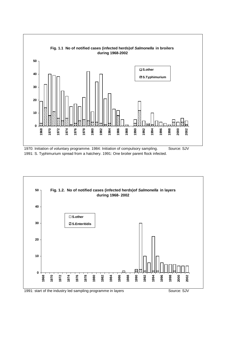

1991: S. Typhimurium spread from a hatchery. 1991: One broiler parent flock infected.

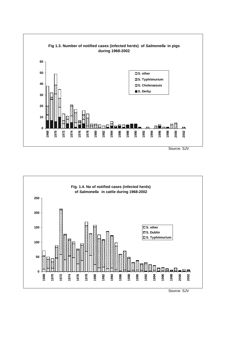

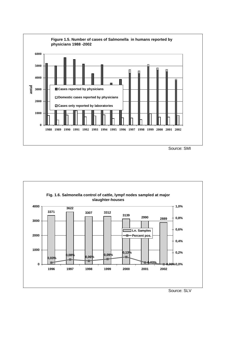

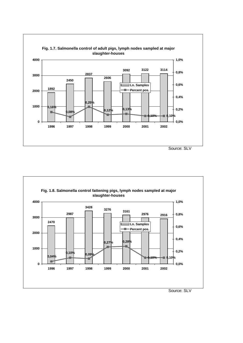

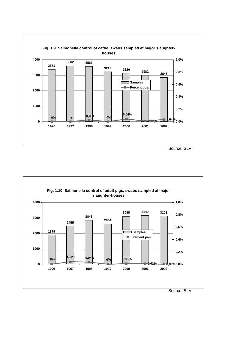

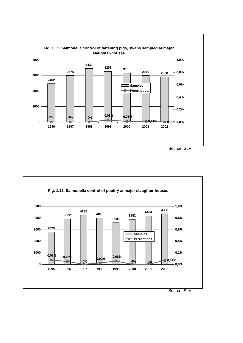

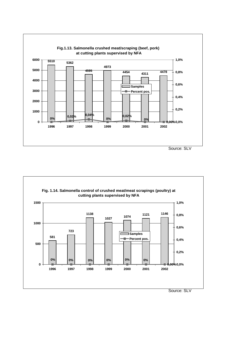

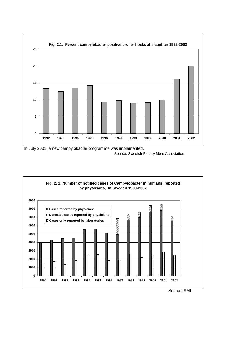





Source: SMI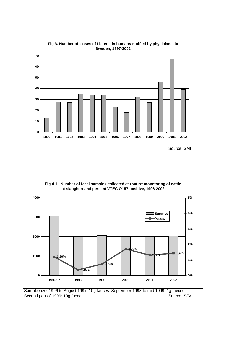



Sample size: 1996 to August 1997: 10g faeces. September 1998 to mid 1999: 1g faeces. Second part of 1999: 10g faeces. Source: SJV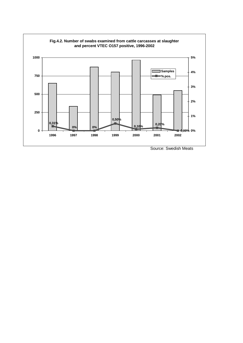

Source: Swedish Meats